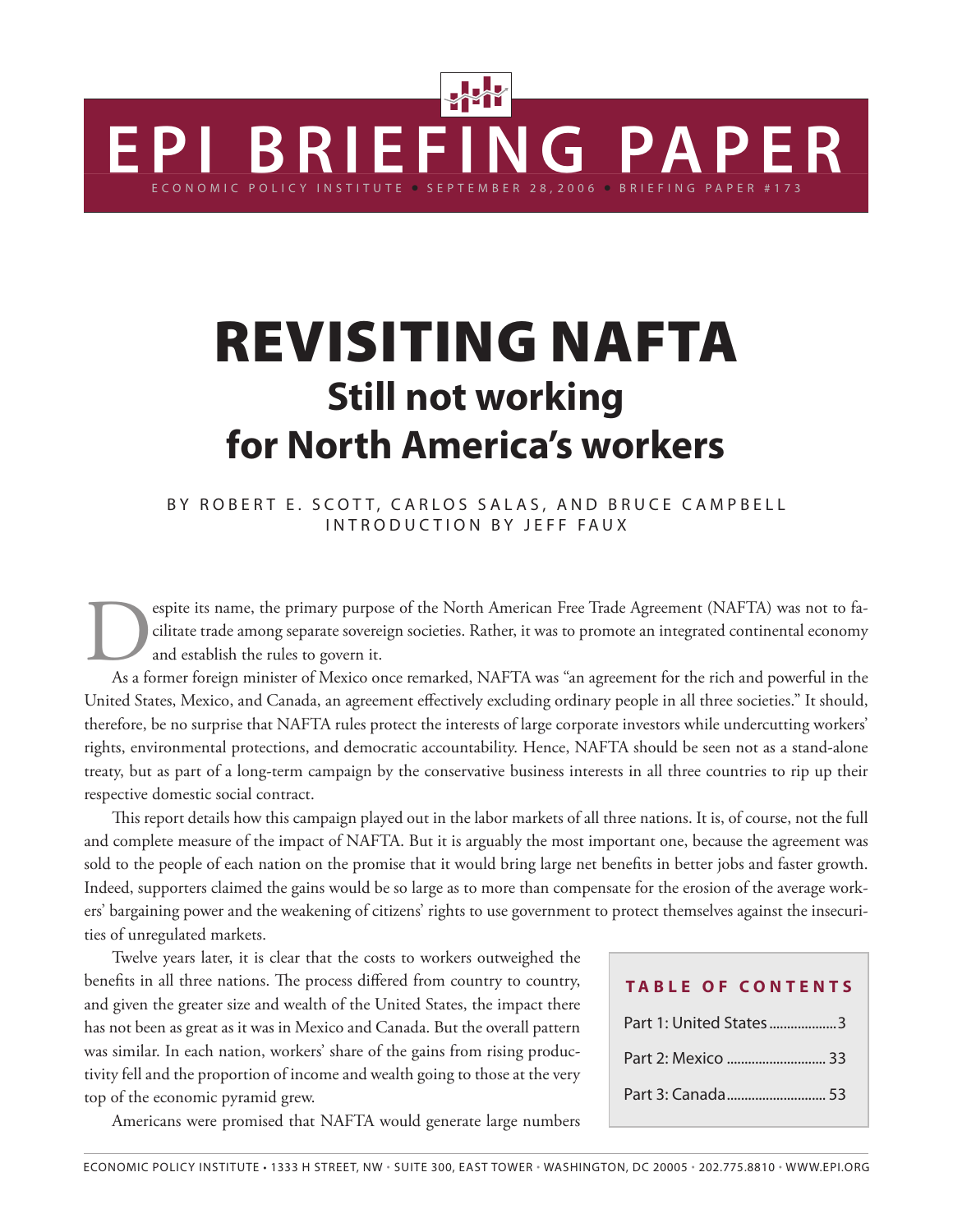# Revisiting NAFTA **Still not working for North America's workers**

E C O N O M I C P O L I C Y IN S T I T U T E  $\,$  S E P T E M B E R  $\,$  2 8 , 2 0 0 6  $\,$   $\,$  B R I E F I N G  $\,$  P A P E R  $\,$  # 1 7 3

**E P I B R I E F I N G PA P E R**

BY ROBERT E. SCOTT, CARLOS SALAS, AND BRUCE CAMPBELL INTRODUCTION BY JEFF FAUX

espite its name, the primary purpose of the North American Free Trade Agreement (NAFTA) was not to facilitate trade among separate sovereign societies. Rather, it was to promote an integrated continental economy and establ cilitate trade among separate sovereign societies. Rather, it was to promote an integrated continental economy and establish the rules to govern it.

As a former foreign minister of Mexico once remarked, NAFTA was "an agreement for the rich and powerful in the United States, Mexico, and Canada, an agreement effectively excluding ordinary people in all three societies." It should, therefore, be no surprise that NAFTA rules protect the interests of large corporate investors while undercutting workers' rights, environmental protections, and democratic accountability. Hence, NAFTA should be seen not as a stand-alone treaty, but as part of a long-term campaign by the conservative business interests in all three countries to rip up their respective domestic social contract.

This report details how this campaign played out in the labor markets of all three nations. It is, of course, not the full and complete measure of the impact of NAFTA. But it is arguably the most important one, because the agreement was sold to the people of each nation on the promise that it would bring large net benefits in better jobs and faster growth. Indeed, supporters claimed the gains would be so large as to more than compensate for the erosion of the average workers' bargaining power and the weakening of citizens' rights to use government to protect themselves against the insecurities of unregulated markets.

Twelve years later, it is clear that the costs to workers outweighed the benefits in all three nations. The process differed from country to country, and given the greater size and wealth of the United States, the impact there has not been as great as it was in Mexico and Canada. But the overall pattern was similar. In each nation, workers' share of the gains from rising productivity fell and the proportion of income and wealth going to those at the very top of the economic pyramid grew.

Americans were promised that NAFTA would generate large numbers

| <b>TABLE OF CONTENTS</b> |
|--------------------------|
| Part 1: United States3   |
|                          |
|                          |
|                          |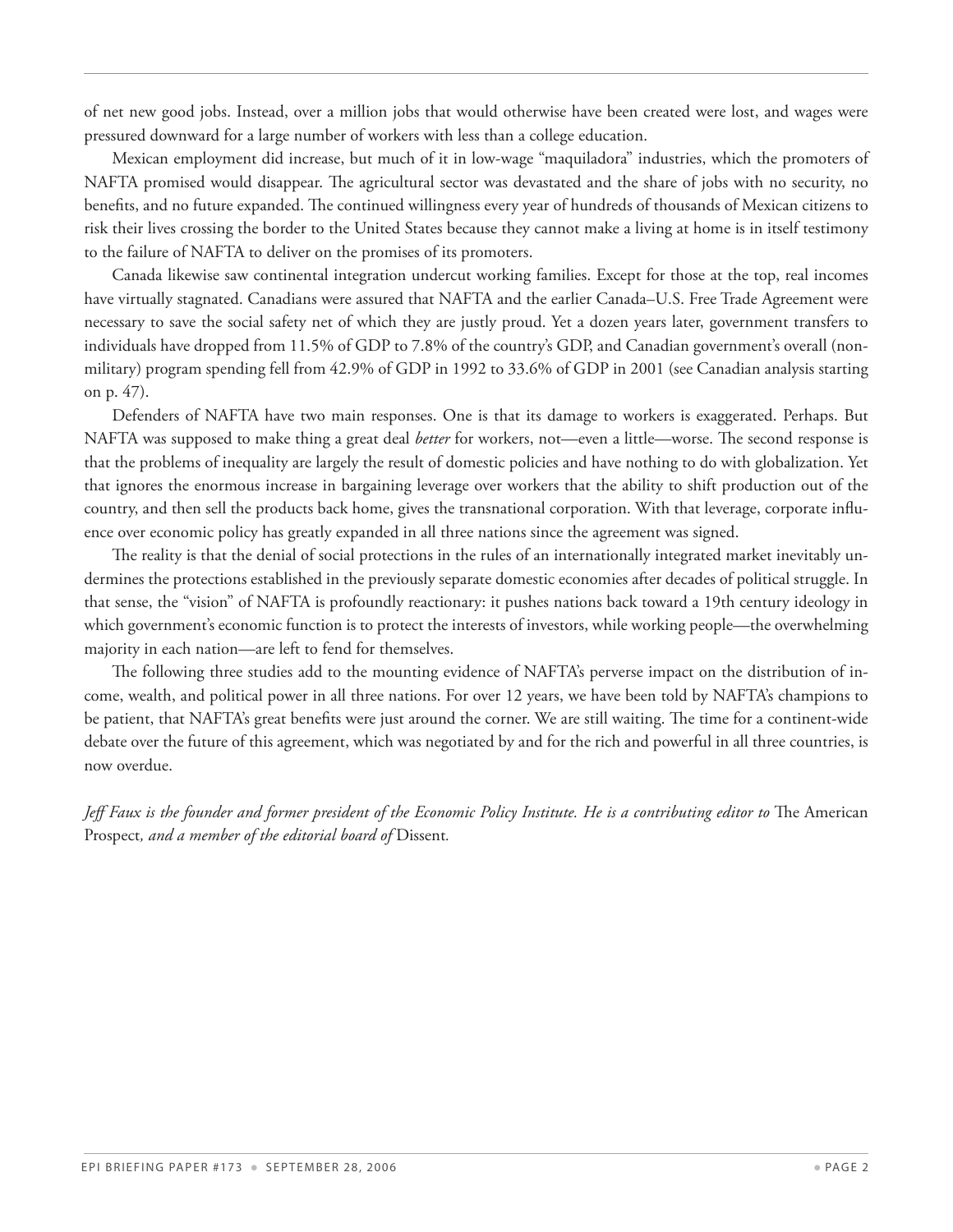of net new good jobs. Instead, over a million jobs that would otherwise have been created were lost, and wages were pressured downward for a large number of workers with less than a college education.

Mexican employment did increase, but much of it in low-wage "maquiladora" industries, which the promoters of NAFTA promised would disappear. The agricultural sector was devastated and the share of jobs with no security, no benefits, and no future expanded. The continued willingness every year of hundreds of thousands of Mexican citizens to risk their lives crossing the border to the United States because they cannot make a living at home is in itself testimony to the failure of NAFTA to deliver on the promises of its promoters.

Canada likewise saw continental integration undercut working families. Except for those at the top, real incomes have virtually stagnated. Canadians were assured that NAFTA and the earlier Canada–U.S. Free Trade Agreement were necessary to save the social safety net of which they are justly proud. Yet a dozen years later, government transfers to individuals have dropped from 11.5% of GDP to 7.8% of the country's GDP, and Canadian government's overall (nonmilitary) program spending fell from 42.9% of GDP in 1992 to 33.6% of GDP in 2001 (see Canadian analysis starting on p. 47).

Defenders of NAFTA have two main responses. One is that its damage to workers is exaggerated. Perhaps. But NAFTA was supposed to make thing a great deal *better* for workers, not—even a little—worse. The second response is that the problems of inequality are largely the result of domestic policies and have nothing to do with globalization. Yet that ignores the enormous increase in bargaining leverage over workers that the ability to shift production out of the country, and then sell the products back home, gives the transnational corporation. With that leverage, corporate influence over economic policy has greatly expanded in all three nations since the agreement was signed.

The reality is that the denial of social protections in the rules of an internationally integrated market inevitably undermines the protections established in the previously separate domestic economies after decades of political struggle. In that sense, the "vision" of NAFTA is profoundly reactionary: it pushes nations back toward a 19th century ideology in which government's economic function is to protect the interests of investors, while working people—the overwhelming majority in each nation—are left to fend for themselves.

The following three studies add to the mounting evidence of NAFTA's perverse impact on the distribution of income, wealth, and political power in all three nations. For over 12 years, we have been told by NAFTA's champions to be patient, that NAFTA's great benefits were just around the corner. We are still waiting. The time for a continent-wide debate over the future of this agreement, which was negotiated by and for the rich and powerful in all three countries, is now overdue.

*Jeff Faux is the founder and former president of the Economic Policy Institute. He is a contributing editor to* The American Prospect*, and a member of the editorial board of* Dissent*.*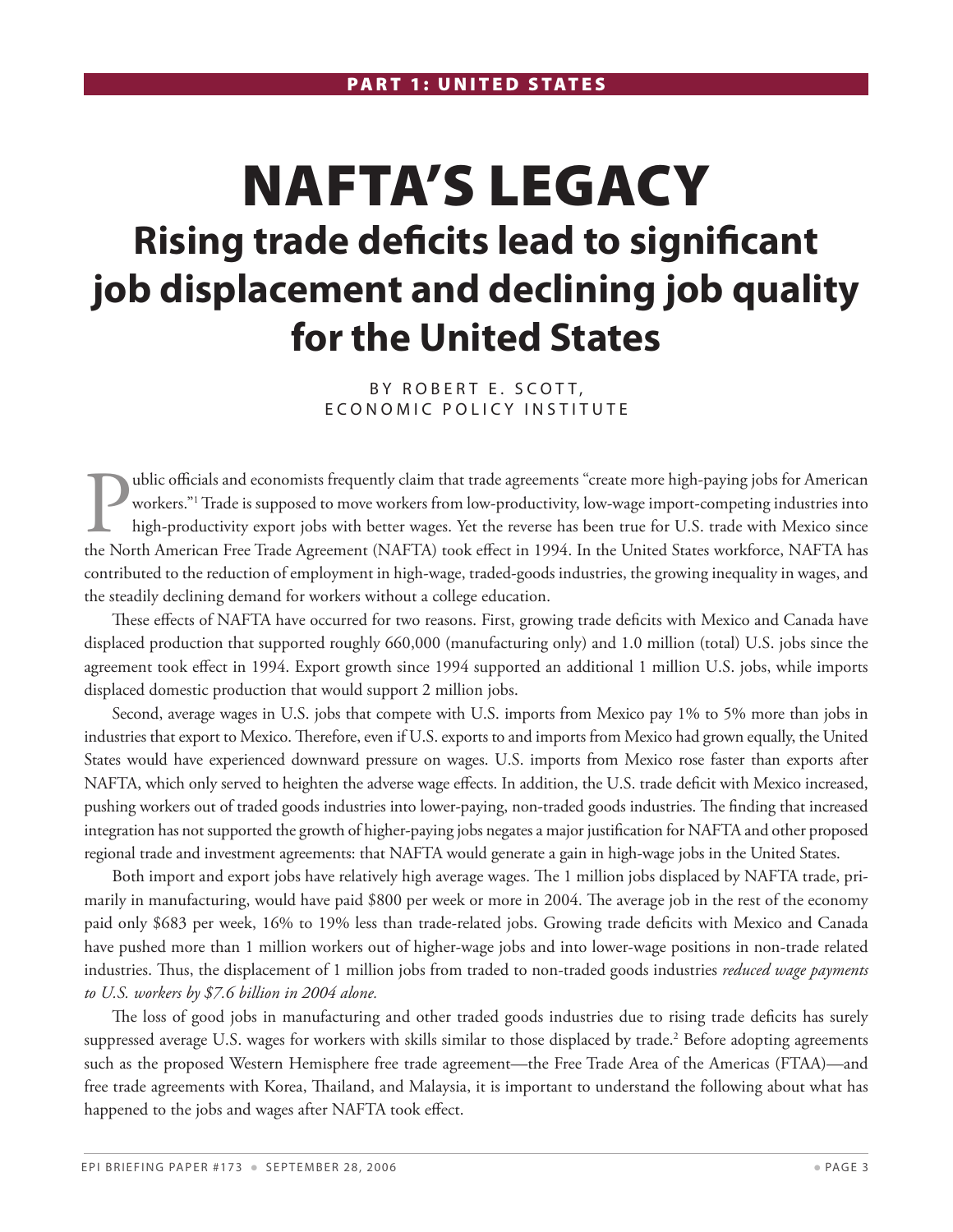# NAFTA's Legacy **Rising trade deficits lead to significant job displacement and declining job quality for the United States**

BY ROBERT E. SCOTT, E CONOMIC POLICY INSTITUTE

**Public officials and economists frequently claim that trade agreements "create more high-paying jobs for American workers." Trade is supposed to move workers from low-productivity, low-wage import-competing industries int** workers."1 Trade is supposed to move workers from low-productivity, low-wage import-competing industries into high-productivity export jobs with better wages. Yet the reverse has been true for U.S. trade with Mexico since the North American Free Trade Agreement (NAFTA) took effect in 1994. In the United States workforce, NAFTA has contributed to the reduction of employment in high-wage, traded-goods industries, the growing inequality in wages, and the steadily declining demand for workers without a college education.

These effects of NAFTA have occurred for two reasons. First, growing trade deficits with Mexico and Canada have displaced production that supported roughly 660,000 (manufacturing only) and 1.0 million (total) U.S. jobs since the agreement took effect in 1994. Export growth since 1994 supported an additional 1 million U.S. jobs, while imports displaced domestic production that would support 2 million jobs.

Second, average wages in U.S. jobs that compete with U.S. imports from Mexico pay 1% to 5% more than jobs in industries that export to Mexico. Therefore, even if U.S. exports to and imports from Mexico had grown equally, the United States would have experienced downward pressure on wages. U.S. imports from Mexico rose faster than exports after NAFTA, which only served to heighten the adverse wage effects. In addition, the U.S. trade deficit with Mexico increased, pushing workers out of traded goods industries into lower-paying, non-traded goods industries. The finding that increased integration has not supported the growth of higher-paying jobs negates a major justification for NAFTA and other proposed regional trade and investment agreements: that NAFTA would generate a gain in high-wage jobs in the United States.

Both import and export jobs have relatively high average wages. The 1 million jobs displaced by NAFTA trade, primarily in manufacturing, would have paid \$800 per week or more in 2004. The average job in the rest of the economy paid only \$683 per week, 16% to 19% less than trade-related jobs. Growing trade deficits with Mexico and Canada have pushed more than 1 million workers out of higher-wage jobs and into lower-wage positions in non-trade related industries. Thus, the displacement of 1 million jobs from traded to non-traded goods industries *reduced wage payments to U.S. workers by \$7.6 billion in 2004 alone.*

The loss of good jobs in manufacturing and other traded goods industries due to rising trade deficits has surely suppressed average U.S. wages for workers with skills similar to those displaced by trade.<sup>2</sup> Before adopting agreements such as the proposed Western Hemisphere free trade agreement—the Free Trade Area of the Americas (FTAA)—and free trade agreements with Korea, Thailand, and Malaysia, it is important to understand the following about what has happened to the jobs and wages after NAFTA took effect.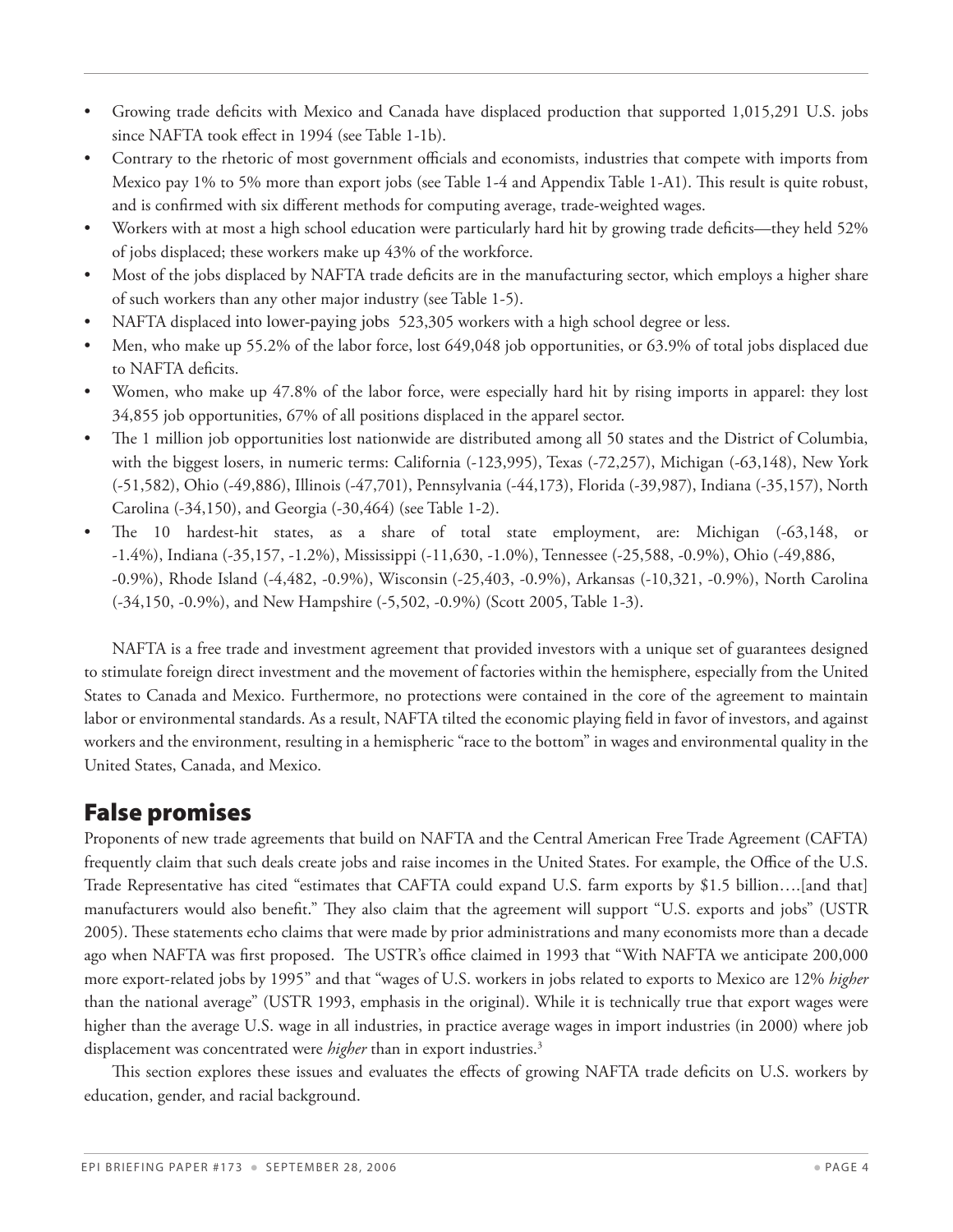- Growing trade deficits with Mexico and Canada have displaced production that supported 1,015,291 U.S. jobs since NAFTA took effect in 1994 (see Table 1-1b).
- Contrary to the rhetoric of most government officials and economists, industries that compete with imports from Mexico pay 1% to 5% more than export jobs (see Table 1-4 and Appendix Table 1-A1). This result is quite robust, and is confirmed with six different methods for computing average, trade-weighted wages.
- Workers with at most a high school education were particularly hard hit by growing trade deficits—they held 52% of jobs displaced; these workers make up 43% of the workforce.
- Most of the jobs displaced by NAFTA trade deficits are in the manufacturing sector, which employs a higher share of such workers than any other major industry (see Table 1-5).
- NAFTA displaced into lower-paying jobs 523,305 workers with a high school degree or less.
- Men, who make up 55.2% of the labor force, lost 649,048 job opportunities, or 63.9% of total jobs displaced due to NAFTA deficits.
- Women, who make up 47.8% of the labor force, were especially hard hit by rising imports in apparel: they lost 34,855 job opportunities, 67% of all positions displaced in the apparel sector.
- The 1 million job opportunities lost nationwide are distributed among all 50 states and the District of Columbia, with the biggest losers, in numeric terms: California (-123,995), Texas (-72,257), Michigan (-63,148), New York (-51,582), Ohio (-49,886), Illinois (-47,701), Pennsylvania (-44,173), Florida (-39,987), Indiana (-35,157), North Carolina (-34,150), and Georgia (-30,464) (see Table 1-2).
- The 10 hardest-hit states, as a share of total state employment, are: Michigan (-63,148, or -1.4%), Indiana (-35,157, -1.2%), Mississippi (-11,630, -1.0%), Tennessee (-25,588, -0.9%), Ohio (-49,886, -0.9%), Rhode Island (-4,482, -0.9%), Wisconsin (-25,403, -0.9%), Arkansas (-10,321, -0.9%), North Carolina (-34,150, -0.9%), and New Hampshire (-5,502, -0.9%) (Scott 2005, Table 1-3).

NAFTA is a free trade and investment agreement that provided investors with a unique set of guarantees designed to stimulate foreign direct investment and the movement of factories within the hemisphere, especially from the United States to Canada and Mexico. Furthermore, no protections were contained in the core of the agreement to maintain labor or environmental standards. As a result, NAFTA tilted the economic playing field in favor of investors, and against workers and the environment, resulting in a hemispheric "race to the bottom" in wages and environmental quality in the United States, Canada, and Mexico.

## False promises

Proponents of new trade agreements that build on NAFTA and the Central American Free Trade Agreement (CAFTA) frequently claim that such deals create jobs and raise incomes in the United States. For example, the Office of the U.S. Trade Representative has cited "estimates that CAFTA could expand U.S. farm exports by \$1.5 billion….[and that] manufacturers would also benefit." They also claim that the agreement will support "U.S. exports and jobs" (USTR 2005). These statements echo claims that were made by prior administrations and many economists more than a decade ago when NAFTA was first proposed. The USTR's office claimed in 1993 that "With NAFTA we anticipate 200,000 more export-related jobs by 1995" and that "wages of U.S. workers in jobs related to exports to Mexico are 12% *higher* than the national average" (USTR 1993, emphasis in the original). While it is technically true that export wages were higher than the average U.S. wage in all industries, in practice average wages in import industries (in 2000) where job displacement was concentrated were *higher* than in export industries.<sup>3</sup>

This section explores these issues and evaluates the effects of growing NAFTA trade deficits on U.S. workers by education, gender, and racial background.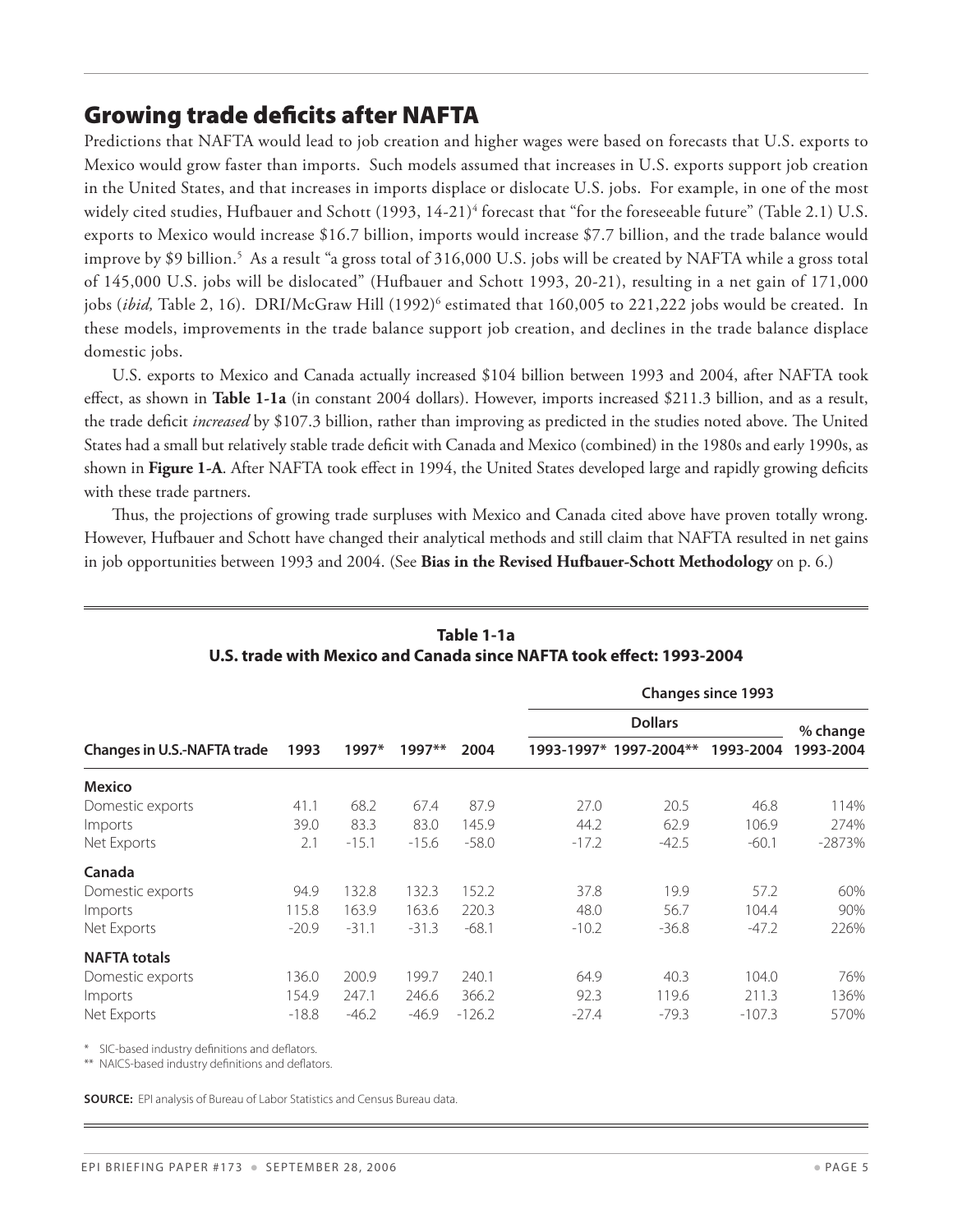## Growing trade deficits after NAFTA

Predictions that NAFTA would lead to job creation and higher wages were based on forecasts that U.S. exports to Mexico would grow faster than imports. Such models assumed that increases in U.S. exports support job creation in the United States, and that increases in imports displace or dislocate U.S. jobs. For example, in one of the most widely cited studies, Hufbauer and Schott (1993, 14-21)<sup>4</sup> forecast that "for the foreseeable future" (Table 2.1) U.S. exports to Mexico would increase \$16.7 billion, imports would increase \$7.7 billion, and the trade balance would improve by \$9 billion.5 As a result "a gross total of 316,000 U.S. jobs will be created by NAFTA while a gross total of 145,000 U.S. jobs will be dislocated" (Hufbauer and Schott 1993, 20-21), resulting in a net gain of 171,000 jobs (*ibid*, Table 2, 16). DRI/McGraw Hill (1992)<sup>6</sup> estimated that 160,005 to 221,222 jobs would be created. In these models, improvements in the trade balance support job creation, and declines in the trade balance displace domestic jobs.

U.S. exports to Mexico and Canada actually increased \$104 billion between 1993 and 2004, after NAFTA took effect, as shown in **Table 1-1a** (in constant 2004 dollars). However, imports increased \$211.3 billion, and as a result, the trade deficit *increased* by \$107.3 billion, rather than improving as predicted in the studies noted above. The United States had a small but relatively stable trade deficit with Canada and Mexico (combined) in the 1980s and early 1990s, as shown in **Figure 1-A**. After NAFTA took effect in 1994, the United States developed large and rapidly growing deficits with these trade partners.

Thus, the projections of growing trade surpluses with Mexico and Canada cited above have proven totally wrong. However, Hufbauer and Schott have changed their analytical methods and still claim that NAFTA resulted in net gains in job opportunities between 1993 and 2004. (See **Bias in the Revised Hufbauer-Schott Methodology** on p. 6.)

|                                    |         |         | $1997**$ |          |         |                        | <b>Changes since 1993</b> |           |
|------------------------------------|---------|---------|----------|----------|---------|------------------------|---------------------------|-----------|
|                                    |         |         |          |          |         | <b>Dollars</b>         |                           | % change  |
| <b>Changes in U.S.-NAFTA trade</b> | 1993    | 1997*   |          | 2004     |         | 1993-1997* 1997-2004** | 1993-2004                 | 1993-2004 |
| <b>Mexico</b>                      |         |         |          |          |         |                        |                           |           |
| Domestic exports                   | 41.1    | 68.2    | 67.4     | 87.9     | 27.0    | 20.5                   | 46.8                      | 114%      |
| Imports                            | 39.0    | 83.3    | 83.0     | 145.9    | 44.2    | 62.9                   | 106.9                     | 274%      |
| Net Exports                        | 2.1     | $-15.1$ | $-15.6$  | $-58.0$  | $-17.2$ | $-42.5$                | $-60.1$                   | $-2873%$  |
| Canada                             |         |         |          |          |         |                        |                           |           |
| Domestic exports                   | 94.9    | 132.8   | 132.3    | 152.2    | 37.8    | 19.9                   | 57.2                      | 60%       |
| Imports                            | 115.8   | 163.9   | 163.6    | 220.3    | 48.0    | 56.7                   | 104.4                     | 90%       |
| Net Exports                        | $-20.9$ | $-31.1$ | $-31.3$  | $-68.1$  | $-10.2$ | $-36.8$                | $-47.2$                   | 226%      |
| <b>NAFTA totals</b>                |         |         |          |          |         |                        |                           |           |
| Domestic exports                   | 136.0   | 200.9   | 199.7    | 240.1    | 64.9    | 40.3                   | 104.0                     | 76%       |
| Imports                            | 154.9   | 247.1   | 246.6    | 366.2    | 92.3    | 119.6                  | 211.3                     | 136%      |
| Net Exports                        | $-18.8$ | $-46.2$ | $-46.9$  | $-126.2$ | $-27.4$ | $-79.3$                | $-107.3$                  | 570%      |

#### **Table 1-1a U.S. trade with Mexico and Canada since NAFTA took effect: 1993-2004**

SIC-based industry definitions and deflators.

\*\* NAICS-based industry definitions and deflators.

**Source:** EPI analysis of Bureau of Labor Statistics and Census Bureau data.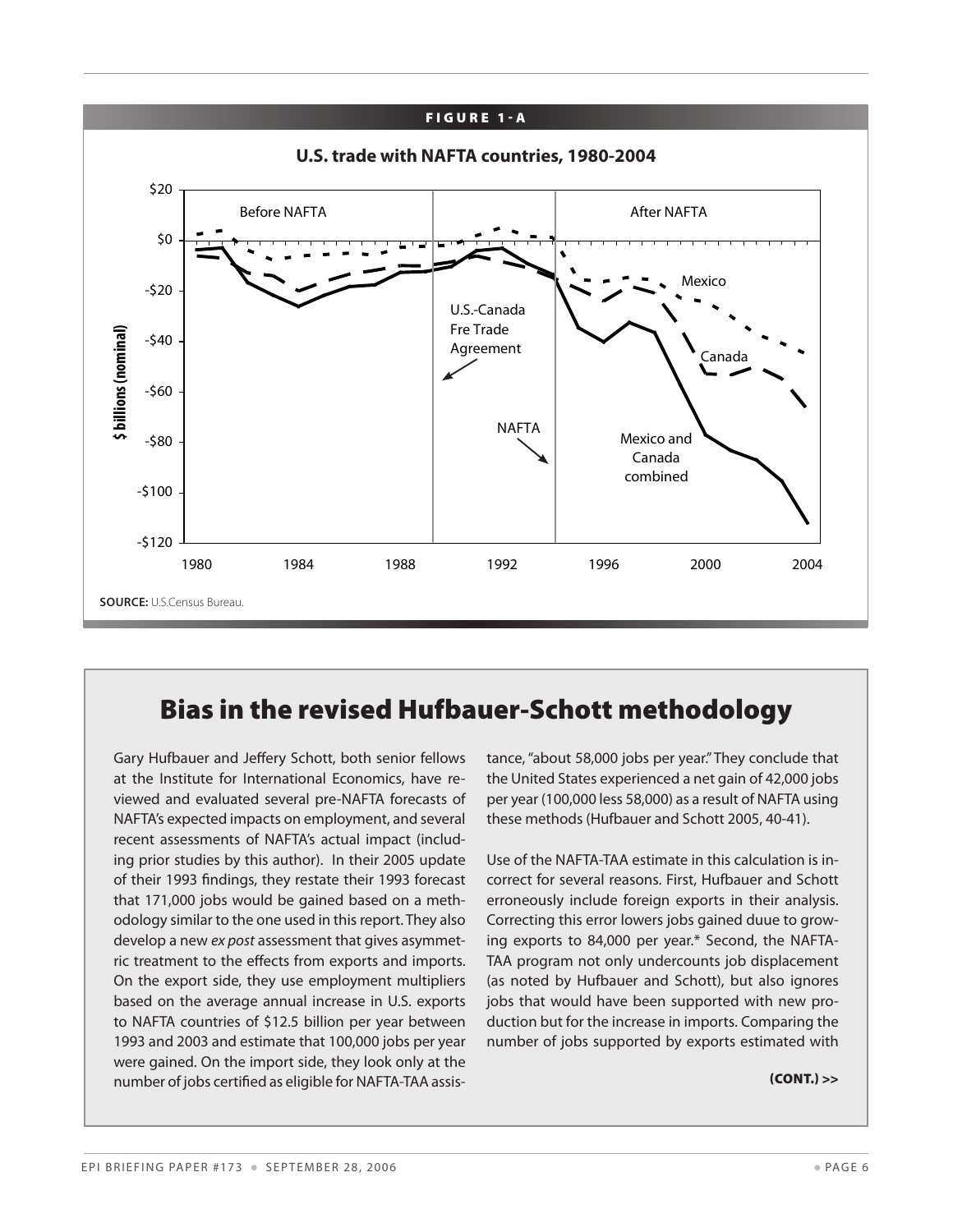

## Bias in the revised Hufbauer-Schott methodology

Gary Hufbauer and Jeffery Schott, both senior fellows at the Institute for International Economics, have reviewed and evaluated several pre-NAFTA forecasts of NAFTA's expected impacts on employment, and several recent assessments of NAFTA's actual impact (including prior studies by this author). In their 2005 update of their 1993 findings, they restate their 1993 forecast that 171,000 jobs would be gained based on a methodology similar to the one used in this report. They also develop a new *ex post* assessment that gives asymmetric treatment to the effects from exports and imports. On the export side, they use employment multipliers based on the average annual increase in U.S. exports to NAFTA countries of \$12.5 billion per year between 1993 and 2003 and estimate that 100,000 jobs per year were gained. On the import side, they look only at the number of jobs certified as eligible for NAFTA-TAA assistance, "about 58,000 jobs per year." They conclude that the United States experienced a net gain of 42,000 jobs per year (100,000 less 58,000) as a result of NAFTA using these methods (Hufbauer and Schott 2005, 40-41).

Use of the NAFTA-TAA estimate in this calculation is incorrect for several reasons. First, Hufbauer and Schott erroneously include foreign exports in their analysis. Correcting this error lowers jobs gained duue to growing exports to 84,000 per year.\* Second, the NAFTA-TAA program not only undercounts job displacement (as noted by Hufbauer and Schott), but also ignores jobs that would have been supported with new production but for the increase in imports. Comparing the number of jobs supported by exports estimated with

 $(CONT.)$  >>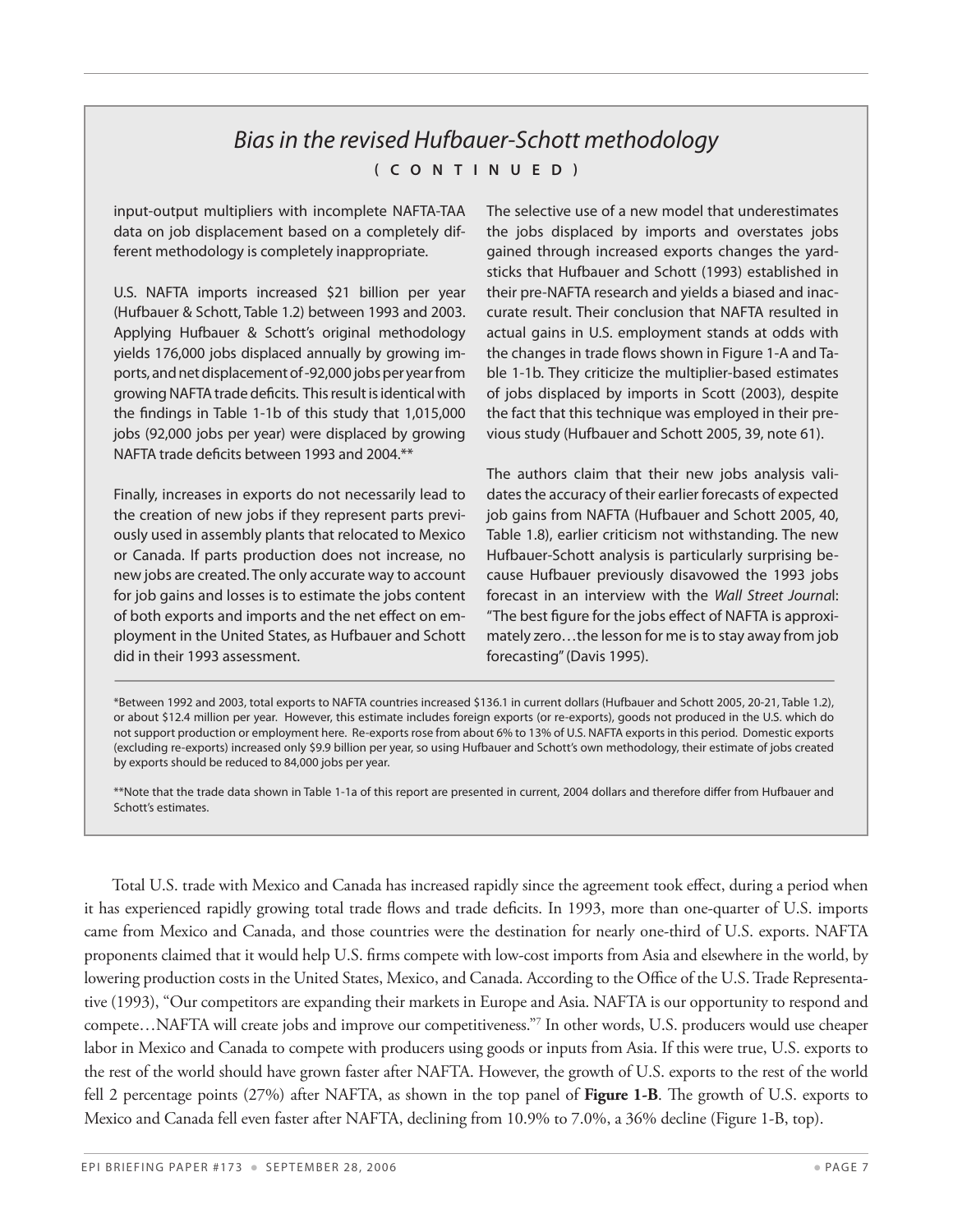#### *Bias in the revised Hufbauer-Schott methodology*  **( c o ntinued )**

input-output multipliers with incomplete NAFTA-TAA data on job displacement based on a completely different methodology is completely inappropriate.

U.S. NAFTA imports increased \$21 billion per year (Hufbauer & Schott, Table 1.2) between 1993 and 2003. Applying Hufbauer & Schott's original methodology yields 176,000 jobs displaced annually by growing imports, and net displacement of -92,000 jobs per year from growing NAFTA trade deficits. This result is identical with the findings in Table 1-1b of this study that 1,015,000 jobs (92,000 jobs per year) were displaced by growing NAFTA trade deficits between 1993 and 2004.\*\*

Finally, increases in exports do not necessarily lead to the creation of new jobs if they represent parts previously used in assembly plants that relocated to Mexico or Canada. If parts production does not increase, no new jobs are created. The only accurate way to account for job gains and losses is to estimate the jobs content of both exports and imports and the net effect on employment in the United States, as Hufbauer and Schott did in their 1993 assessment.

The selective use of a new model that underestimates the jobs displaced by imports and overstates jobs gained through increased exports changes the yardsticks that Hufbauer and Schott (1993) established in their pre-NAFTA research and yields a biased and inaccurate result. Their conclusion that NAFTA resulted in actual gains in U.S. employment stands at odds with the changes in trade flows shown in Figure 1-A and Table 1-1b. They criticize the multiplier-based estimates of jobs displaced by imports in Scott (2003), despite the fact that this technique was employed in their previous study (Hufbauer and Schott 2005, 39, note 61).

The authors claim that their new jobs analysis validates the accuracy of their earlier forecasts of expected job gains from NAFTA (Hufbauer and Schott 2005, 40, Table 1.8), earlier criticism not withstanding. The new Hufbauer-Schott analysis is particularly surprising because Hufbauer previously disavowed the 1993 jobs forecast in an interview with the *Wall Street Journa*l: "The best figure for the jobs effect of NAFTA is approximately zero…the lesson for me is to stay away from job forecasting" (Davis 1995).

\*Between 1992 and 2003, total exports to NAFTA countries increased \$136.1 in current dollars (Hufbauer and Schott 2005, 20-21, Table 1.2), or about \$12.4 million per year. However, this estimate includes foreign exports (or re-exports), goods not produced in the U.S. which do not support production or employment here. Re-exports rose from about 6% to 13% of U.S. NAFTA exports in this period. Domestic exports (excluding re-exports) increased only \$9.9 billion per year, so using Hufbauer and Schott's own methodology, their estimate of jobs created by exports should be reduced to 84,000 jobs per year.

\*\*Note that the trade data shown in Table 1-1a of this report are presented in current, 2004 dollars and therefore differ from Hufbauer and Schott's estimates.

Total U.S. trade with Mexico and Canada has increased rapidly since the agreement took effect, during a period when it has experienced rapidly growing total trade flows and trade deficits. In 1993, more than one-quarter of U.S. imports came from Mexico and Canada, and those countries were the destination for nearly one-third of U.S. exports. NAFTA proponents claimed that it would help U.S. firms compete with low-cost imports from Asia and elsewhere in the world, by lowering production costs in the United States, Mexico, and Canada. According to the Office of the U.S. Trade Representative (1993), "Our competitors are expanding their markets in Europe and Asia. NAFTA is our opportunity to respond and compete…NAFTA will create jobs and improve our competitiveness."7 In other words, U.S. producers would use cheaper labor in Mexico and Canada to compete with producers using goods or inputs from Asia. If this were true, U.S. exports to the rest of the world should have grown faster after NAFTA. However, the growth of U.S. exports to the rest of the world fell 2 percentage points (27%) after NAFTA, as shown in the top panel of **Figure 1-B**. The growth of U.S. exports to Mexico and Canada fell even faster after NAFTA, declining from 10.9% to 7.0%, a 36% decline (Figure 1-B, top).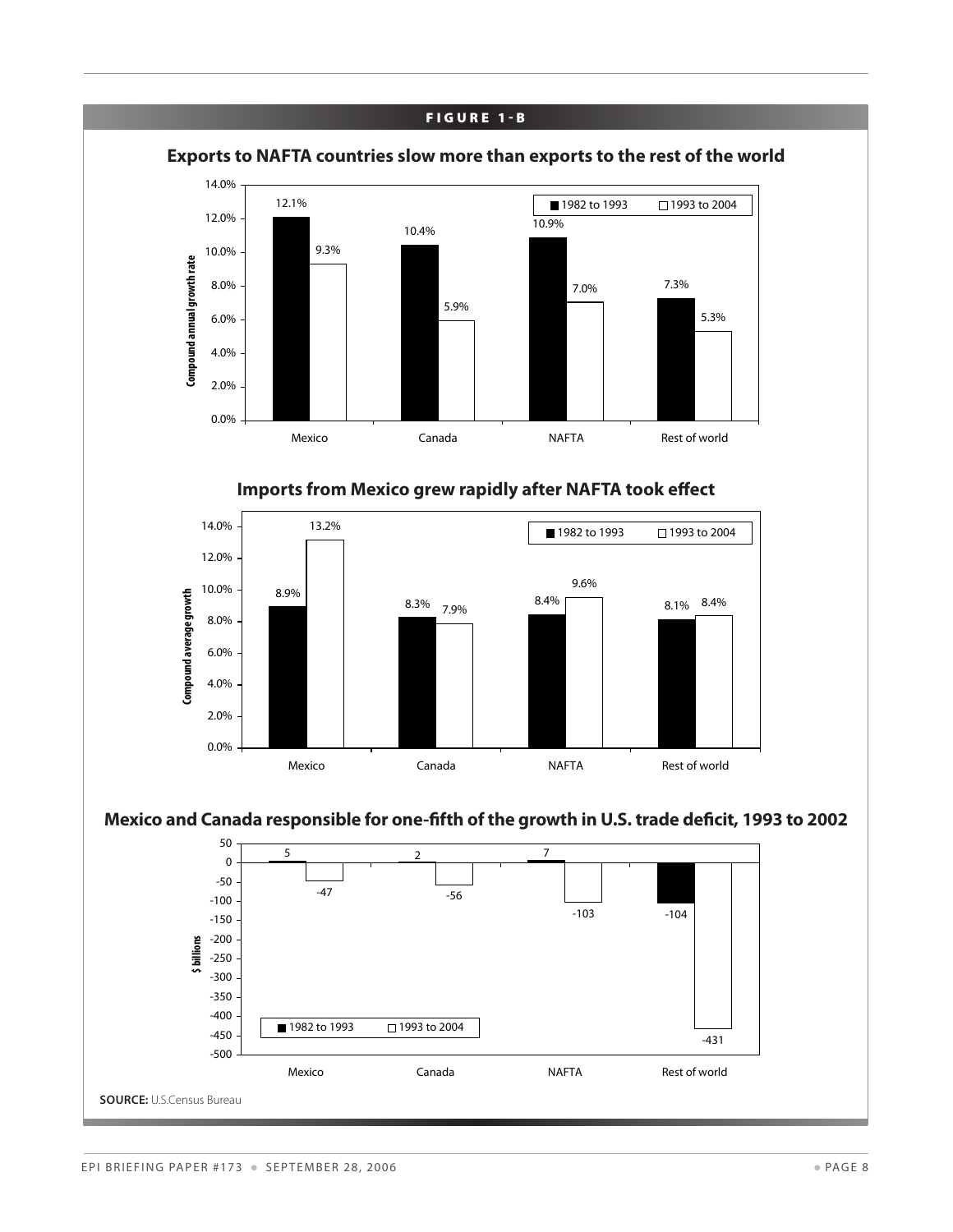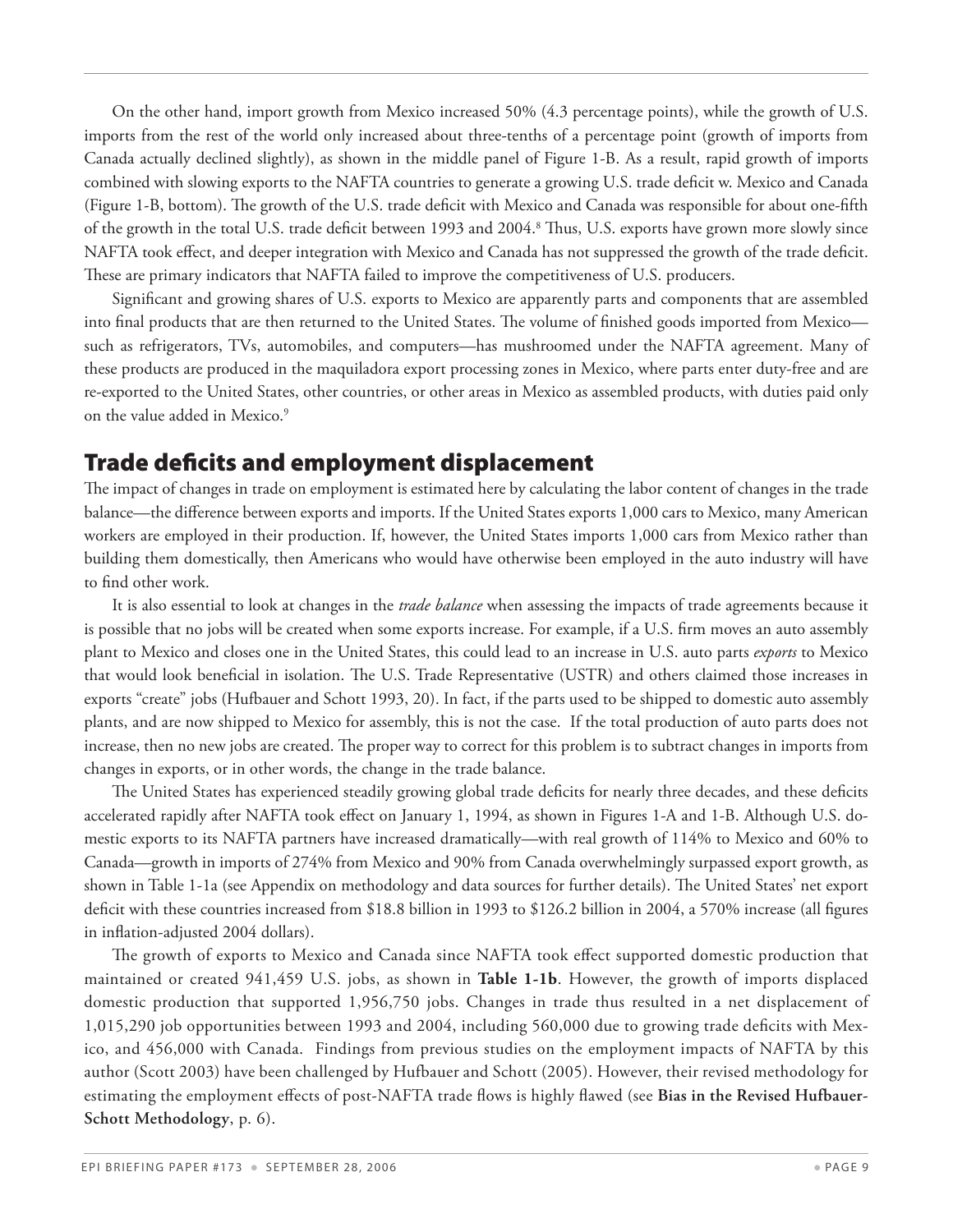On the other hand, import growth from Mexico increased 50% (4.3 percentage points), while the growth of U.S. imports from the rest of the world only increased about three-tenths of a percentage point (growth of imports from Canada actually declined slightly), as shown in the middle panel of Figure 1-B. As a result, rapid growth of imports combined with slowing exports to the NAFTA countries to generate a growing U.S. trade deficit w. Mexico and Canada (Figure 1-B, bottom). The growth of the U.S. trade deficit with Mexico and Canada was responsible for about one-fifth of the growth in the total U.S. trade deficit between 1993 and 2004.<sup>8</sup> Thus, U.S. exports have grown more slowly since NAFTA took effect, and deeper integration with Mexico and Canada has not suppressed the growth of the trade deficit. These are primary indicators that NAFTA failed to improve the competitiveness of U.S. producers.

Significant and growing shares of U.S. exports to Mexico are apparently parts and components that are assembled into final products that are then returned to the United States. The volume of finished goods imported from Mexico such as refrigerators, TVs, automobiles, and computers—has mushroomed under the NAFTA agreement. Many of these products are produced in the maquiladora export processing zones in Mexico, where parts enter duty-free and are re-exported to the United States, other countries, or other areas in Mexico as assembled products, with duties paid only on the value added in Mexico.<sup>9</sup>

## Trade deficits and employment displacement

The impact of changes in trade on employment is estimated here by calculating the labor content of changes in the trade balance—the difference between exports and imports. If the United States exports 1,000 cars to Mexico, many American workers are employed in their production. If, however, the United States imports 1,000 cars from Mexico rather than building them domestically, then Americans who would have otherwise been employed in the auto industry will have to find other work.

It is also essential to look at changes in the *trade balance* when assessing the impacts of trade agreements because it is possible that no jobs will be created when some exports increase. For example, if a U.S. firm moves an auto assembly plant to Mexico and closes one in the United States, this could lead to an increase in U.S. auto parts *exports* to Mexico that would look beneficial in isolation. The U.S. Trade Representative (USTR) and others claimed those increases in exports "create" jobs (Hufbauer and Schott 1993, 20). In fact, if the parts used to be shipped to domestic auto assembly plants, and are now shipped to Mexico for assembly, this is not the case. If the total production of auto parts does not increase, then no new jobs are created. The proper way to correct for this problem is to subtract changes in imports from changes in exports, or in other words, the change in the trade balance.

The United States has experienced steadily growing global trade deficits for nearly three decades, and these deficits accelerated rapidly after NAFTA took effect on January 1, 1994, as shown in Figures 1-A and 1-B. Although U.S. domestic exports to its NAFTA partners have increased dramatically—with real growth of 114% to Mexico and 60% to Canada—growth in imports of 274% from Mexico and 90% from Canada overwhelmingly surpassed export growth, as shown in Table 1-1a (see Appendix on methodology and data sources for further details). The United States' net export deficit with these countries increased from \$18.8 billion in 1993 to \$126.2 billion in 2004, a 570% increase (all figures in inflation-adjusted 2004 dollars).

The growth of exports to Mexico and Canada since NAFTA took effect supported domestic production that maintained or created 941,459 U.S. jobs, as shown in **Table 1-1b**. However, the growth of imports displaced domestic production that supported 1,956,750 jobs. Changes in trade thus resulted in a net displacement of 1,015,290 job opportunities between 1993 and 2004, including 560,000 due to growing trade deficits with Mexico, and 456,000 with Canada. Findings from previous studies on the employment impacts of NAFTA by this author (Scott 2003) have been challenged by Hufbauer and Schott (2005). However, their revised methodology for estimating the employment effects of post-NAFTA trade flows is highly flawed (see **Bias in the Revised Hufbauer-Schott Methodology**, p. 6).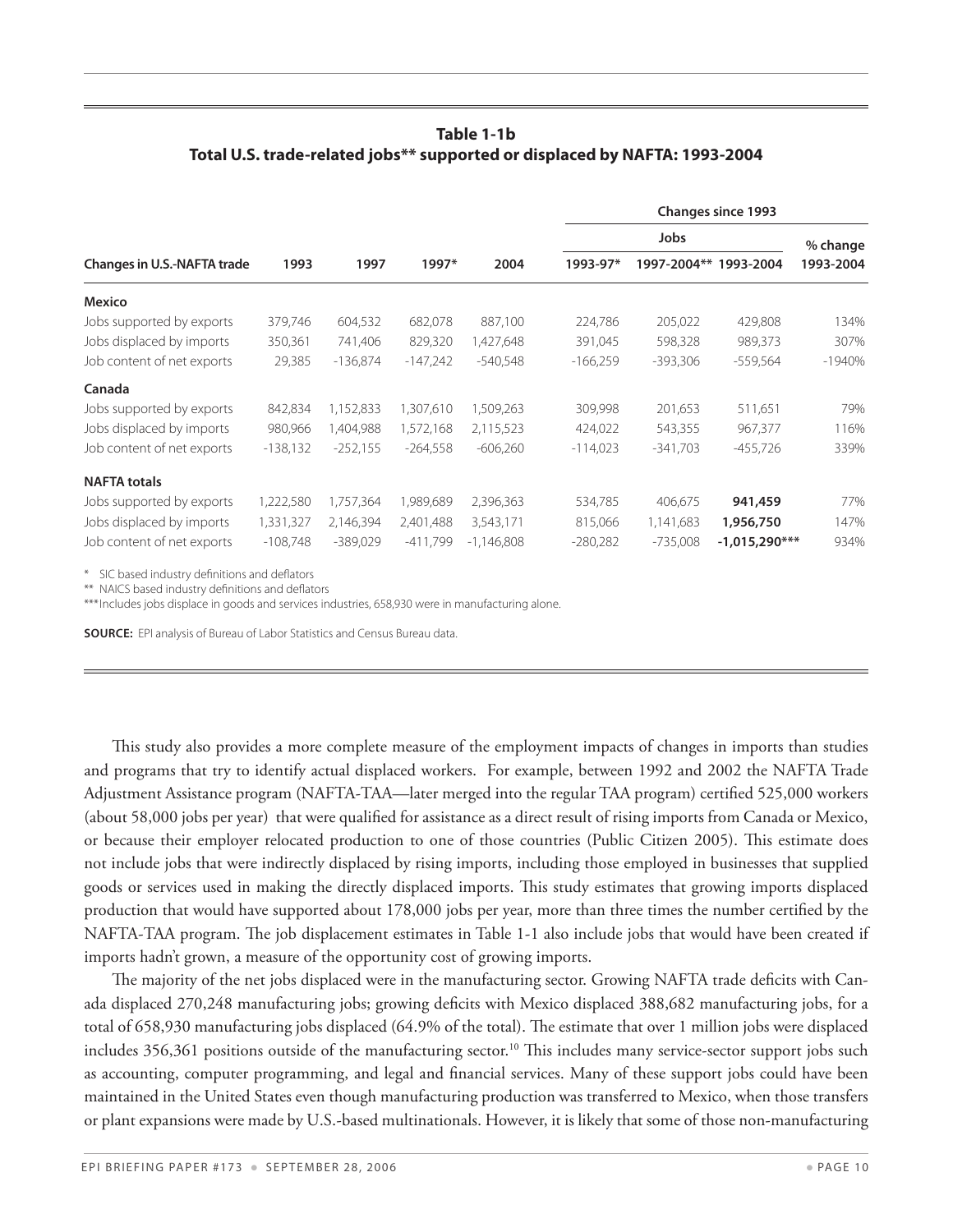#### **Table 1-1b Total U.S. trade-related jobs\*\* supported or displaced by NAFTA: 1993-2004**

|                                    |            |            |            |              | Jobs       |             |                 | % change  |
|------------------------------------|------------|------------|------------|--------------|------------|-------------|-----------------|-----------|
| <b>Changes in U.S.-NAFTA trade</b> | 1993       | 1997       | 1997*      | 2004         | 1993-97*   | 1997-2004** | 1993-2004       | 1993-2004 |
| <b>Mexico</b>                      |            |            |            |              |            |             |                 |           |
| Jobs supported by exports          | 379,746    | 604,532    | 682,078    | 887,100      | 224,786    | 205,022     | 429,808         | 134%      |
| Jobs displaced by imports          | 350,361    | 741,406    | 829,320    | 1,427,648    | 391,045    | 598,328     | 989,373         | 307%      |
| Job content of net exports         | 29,385     | $-136,874$ | $-147,242$ | $-540,548$   | $-166,259$ | $-393,306$  | $-559,564$      | $-1940%$  |
| Canada                             |            |            |            |              |            |             |                 |           |
| Jobs supported by exports          | 842,834    | 1,152,833  | 1,307,610  | 1,509,263    | 309,998    | 201,653     | 511,651         | 79%       |
| Jobs displaced by imports          | 980,966    | 1,404,988  | 1,572,168  | 2,115,523    | 424,022    | 543,355     | 967,377         | 116%      |
| Job content of net exports         | $-138,132$ | $-252,155$ | $-264,558$ | $-606,260$   | $-114,023$ | $-341,703$  | $-455,726$      | 339%      |
| <b>NAFTA totals</b>                |            |            |            |              |            |             |                 |           |
| Jobs supported by exports          | 1,222,580  | 1,757,364  | 1,989,689  | 2,396,363    | 534,785    | 406,675     | 941,459         | 77%       |
| Jobs displaced by imports          | 1,331,327  | 2,146,394  | 2,401,488  | 3,543,171    | 815,066    | 1,141,683   | 1,956,750       | 147%      |
| Job content of net exports         | $-108,748$ | $-389,029$ | $-411,799$ | $-1,146,808$ | $-280,282$ | $-735,008$  | $-1,015,290***$ | 934%      |

\* SIC based industry definitions and deflators 

\*\* NAICS based industry definitions and deflators

\*\*\* Includes jobs displace in goods and services industries, 658,930 were in manufacturing alone.

**Source:** EPI analysis of Bureau of Labor Statistics and Census Bureau data. 

This study also provides a more complete measure of the employment impacts of changes in imports than studies and programs that try to identify actual displaced workers. For example, between 1992 and 2002 the NAFTA Trade Adjustment Assistance program (NAFTA-TAA—later merged into the regular TAA program) certified 525,000 workers (about 58,000 jobs per year) that were qualified for assistance as a direct result of rising imports from Canada or Mexico, or because their employer relocated production to one of those countries (Public Citizen 2005). This estimate does not include jobs that were indirectly displaced by rising imports, including those employed in businesses that supplied goods or services used in making the directly displaced imports. This study estimates that growing imports displaced production that would have supported about 178,000 jobs per year, more than three times the number certified by the NAFTA-TAA program. The job displacement estimates in Table 1-1 also include jobs that would have been created if imports hadn't grown, a measure of the opportunity cost of growing imports.

The majority of the net jobs displaced were in the manufacturing sector. Growing NAFTA trade deficits with Canada displaced 270,248 manufacturing jobs; growing deficits with Mexico displaced 388,682 manufacturing jobs, for a total of 658,930 manufacturing jobs displaced (64.9% of the total). The estimate that over 1 million jobs were displaced includes 356,361 positions outside of the manufacturing sector.<sup>10</sup> This includes many service-sector support jobs such as accounting, computer programming, and legal and financial services. Many of these support jobs could have been maintained in the United States even though manufacturing production was transferred to Mexico, when those transfers or plant expansions were made by U.S.-based multinationals. However, it is likely that some of those non-manufacturing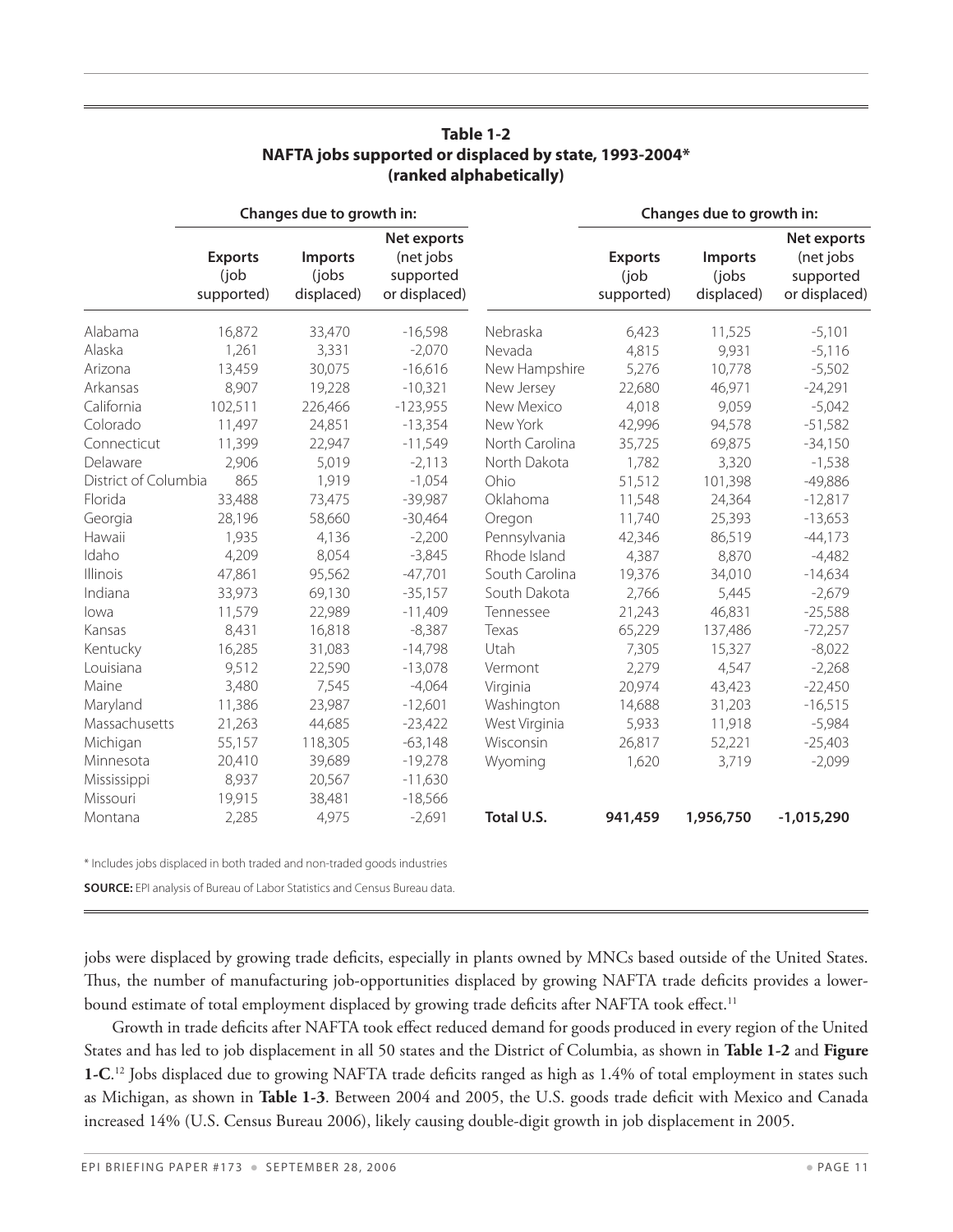|                      |                                      | Changes due to growth in:              |                                                        |                | Changes due to growth in:            |                                       |                                                        |  |
|----------------------|--------------------------------------|----------------------------------------|--------------------------------------------------------|----------------|--------------------------------------|---------------------------------------|--------------------------------------------------------|--|
|                      | <b>Exports</b><br>(job<br>supported) | <b>Imports</b><br>(jobs)<br>displaced) | Net exports<br>(net jobs<br>supported<br>or displaced) |                | <b>Exports</b><br>(job<br>supported) | <b>Imports</b><br>(jobs<br>displaced) | Net exports<br>(net jobs<br>supported<br>or displaced) |  |
| Alabama              | 16,872                               | 33,470                                 | $-16,598$                                              | Nebraska       | 6,423                                | 11,525                                | $-5,101$                                               |  |
| Alaska               | 1,261                                | 3,331                                  | $-2,070$                                               | Nevada         | 4,815                                | 9,931                                 | $-5,116$                                               |  |
| Arizona              | 13,459                               | 30,075                                 | $-16,616$                                              | New Hampshire  | 5,276                                | 10,778                                | $-5,502$                                               |  |
| Arkansas             | 8,907                                | 19,228                                 | $-10,321$                                              | New Jersey     | 22,680                               | 46,971                                | $-24,291$                                              |  |
| California           | 102,511                              | 226,466                                | $-123,955$                                             | New Mexico     | 4,018                                | 9,059                                 | $-5,042$                                               |  |
| Colorado             | 11,497                               | 24,851                                 | $-13,354$                                              | New York       | 42,996                               | 94,578                                | $-51,582$                                              |  |
| Connecticut          | 11,399                               | 22,947                                 | $-11,549$                                              | North Carolina | 35,725                               | 69,875                                | $-34,150$                                              |  |
| Delaware             | 2,906                                | 5,019                                  | $-2,113$                                               | North Dakota   | 1,782                                | 3,320                                 | $-1,538$                                               |  |
| District of Columbia | 865                                  | 1,919                                  | $-1,054$                                               | Ohio           | 51,512                               | 101,398                               | $-49,886$                                              |  |
| Florida              | 33,488                               | 73,475                                 | $-39,987$                                              | Oklahoma       | 11,548                               | 24,364                                | $-12,817$                                              |  |
| Georgia              | 28,196                               | 58,660                                 | $-30,464$                                              | Oregon         | 11,740                               | 25,393                                | $-13,653$                                              |  |
| Hawaii               | 1,935                                | 4,136                                  | $-2,200$                                               | Pennsylvania   | 42,346                               | 86,519                                | $-44,173$                                              |  |
| Idaho                | 4,209                                | 8,054                                  | $-3,845$                                               | Rhode Island   | 4,387                                | 8,870                                 | $-4,482$                                               |  |
| <b>Illinois</b>      | 47,861                               | 95,562                                 | $-47,701$                                              | South Carolina | 19,376                               | 34,010                                | $-14,634$                                              |  |
| Indiana              | 33,973                               | 69,130                                 | $-35,157$                                              | South Dakota   | 2,766                                | 5,445                                 | $-2,679$                                               |  |
| lowa                 | 11,579                               | 22,989                                 | $-11,409$                                              | Tennessee      | 21,243                               | 46,831                                | $-25,588$                                              |  |
| Kansas               | 8,431                                | 16,818                                 | $-8,387$                                               | Texas          | 65,229                               | 137,486                               | $-72,257$                                              |  |
| Kentucky             | 16,285                               | 31,083                                 | $-14,798$                                              | Utah           | 7,305                                | 15,327                                | $-8,022$                                               |  |
| Louisiana            | 9,512                                | 22,590                                 | $-13,078$                                              | Vermont        | 2,279                                | 4,547                                 | $-2,268$                                               |  |
| Maine                | 3,480                                | 7,545                                  | $-4,064$                                               | Virginia       | 20,974                               | 43,423                                | $-22,450$                                              |  |
| Maryland             | 11,386                               | 23,987                                 | $-12,601$                                              | Washington     | 14,688                               | 31,203                                | $-16,515$                                              |  |
| Massachusetts        | 21,263                               | 44,685                                 | $-23,422$                                              | West Virginia  | 5,933                                | 11,918                                | $-5,984$                                               |  |
| Michigan             | 55,157                               | 118,305                                | $-63,148$                                              | Wisconsin      | 26,817                               | 52,221                                | $-25,403$                                              |  |
| Minnesota            | 20,410                               | 39,689                                 | $-19,278$                                              | Wyoming        | 1,620                                | 3,719                                 | $-2,099$                                               |  |
| Mississippi          | 8,937                                | 20,567                                 | $-11,630$                                              |                |                                      |                                       |                                                        |  |
| Missouri             | 19,915                               | 38,481                                 | $-18,566$                                              |                |                                      |                                       |                                                        |  |
| Montana              | 2,285                                | 4,975                                  | $-2,691$                                               | Total U.S.     | 941,459                              | 1,956,750                             | $-1,015,290$                                           |  |

#### **Table 1-2 NAFTA jobs supported or displaced by state, 1993-2004\* (ranked alphabetically)**

\* Includes jobs displaced in both traded and non-traded goods industries 

**Source:** EPI analysis of Bureau of Labor Statistics and Census Bureau data.

jobs were displaced by growing trade deficits, especially in plants owned by MNCs based outside of the United States. Thus, the number of manufacturing job-opportunities displaced by growing NAFTA trade deficits provides a lowerbound estimate of total employment displaced by growing trade deficits after NAFTA took effect.<sup>11</sup>

Growth in trade deficits after NAFTA took effect reduced demand for goods produced in every region of the United States and has led to job displacement in all 50 states and the District of Columbia, as shown in **Table 1-2** and **Figure 1-C**. 12 Jobs displaced due to growing NAFTA trade deficits ranged as high as 1.4% of total employment in states such as Michigan, as shown in **Table 1-3**. Between 2004 and 2005, the U.S. goods trade deficit with Mexico and Canada increased 14% (U.S. Census Bureau 2006), likely causing double-digit growth in job displacement in 2005.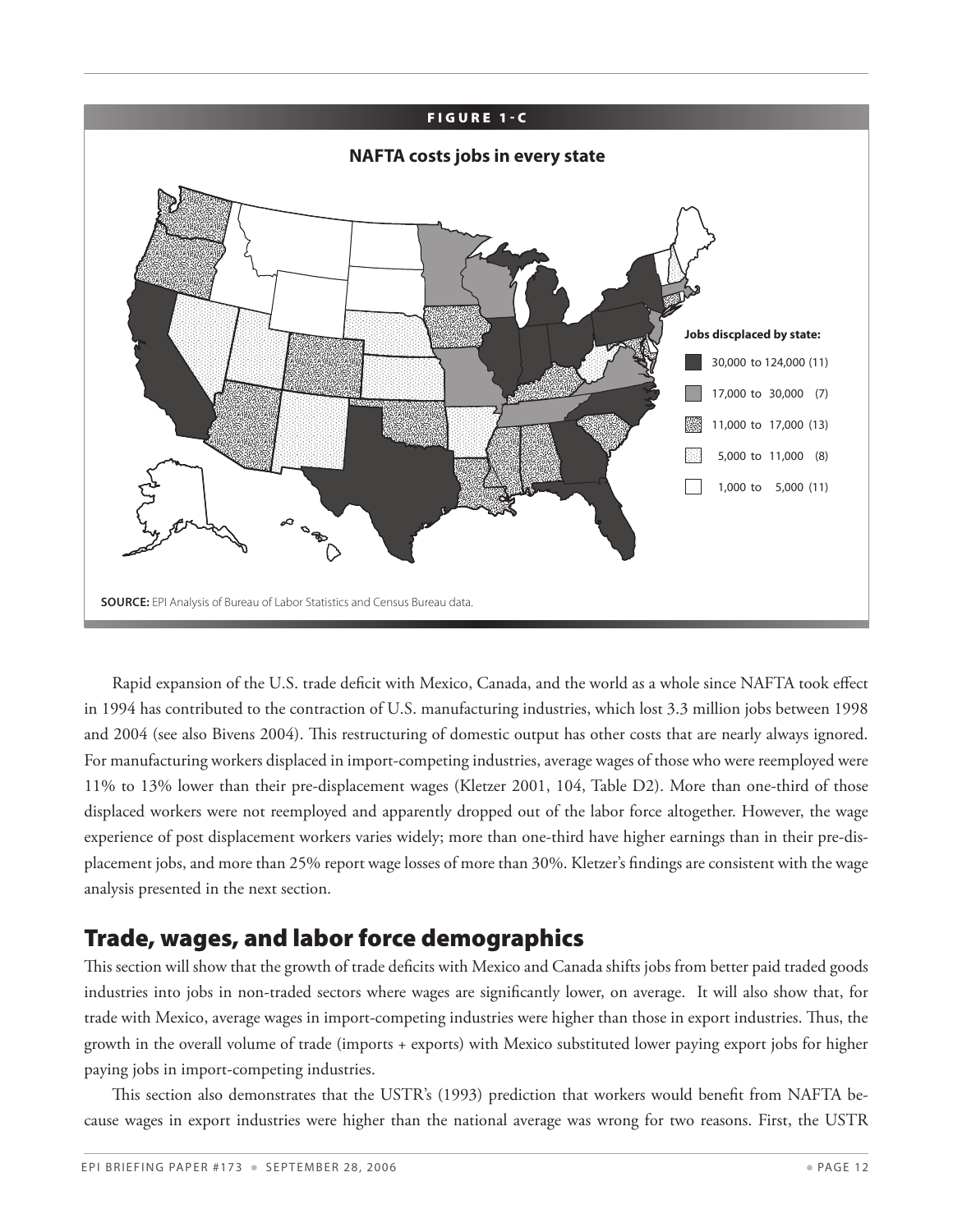

Rapid expansion of the U.S. trade deficit with Mexico, Canada, and the world as a whole since NAFTA took effect in 1994 has contributed to the contraction of U.S. manufacturing industries, which lost 3.3 million jobs between 1998 and 2004 (see also Bivens 2004). This restructuring of domestic output has other costs that are nearly always ignored. For manufacturing workers displaced in import-competing industries, average wages of those who were reemployed were 11% to 13% lower than their pre-displacement wages (Kletzer 2001, 104, Table D2). More than one-third of those displaced workers were not reemployed and apparently dropped out of the labor force altogether. However, the wage experience of post displacement workers varies widely; more than one-third have higher earnings than in their pre-displacement jobs, and more than 25% report wage losses of more than 30%. Kletzer's findings are consistent with the wage analysis presented in the next section.

## Trade, wages, and labor force demographics

This section will show that the growth of trade deficits with Mexico and Canada shifts jobs from better paid traded goods industries into jobs in non-traded sectors where wages are significantly lower, on average. It will also show that, for trade with Mexico, average wages in import-competing industries were higher than those in export industries. Thus, the growth in the overall volume of trade (imports + exports) with Mexico substituted lower paying export jobs for higher paying jobs in import-competing industries.

This section also demonstrates that the USTR's (1993) prediction that workers would benefit from NAFTA because wages in export industries were higher than the national average was wrong for two reasons. First, the USTR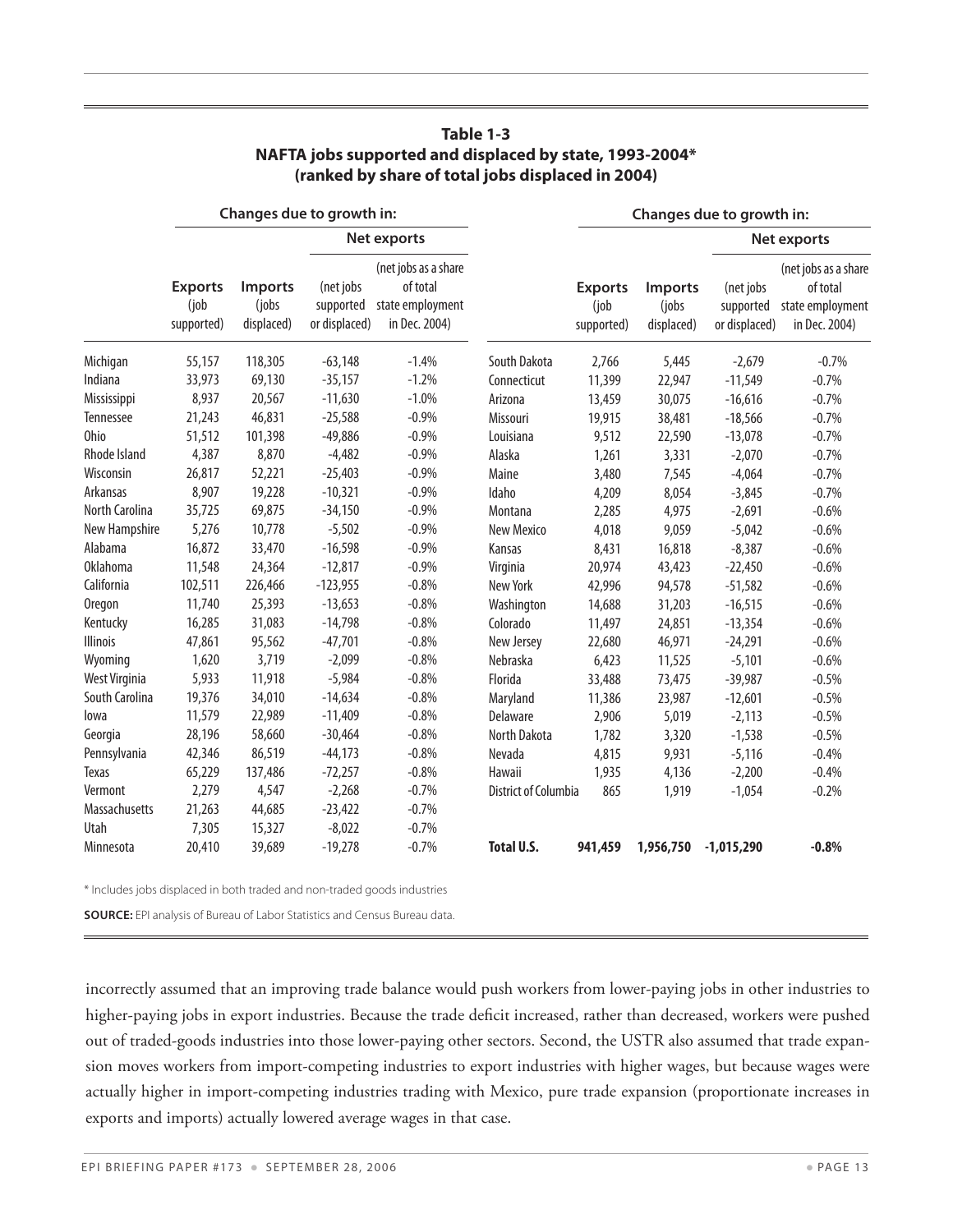|                 | Changes due to growth in:            |                                       |                                         |                                                                       | Changes due to growth in: |                                      |                                       |                                         |                                                                       |
|-----------------|--------------------------------------|---------------------------------------|-----------------------------------------|-----------------------------------------------------------------------|---------------------------|--------------------------------------|---------------------------------------|-----------------------------------------|-----------------------------------------------------------------------|
|                 |                                      |                                       |                                         | Net exports                                                           |                           |                                      |                                       |                                         | Net exports                                                           |
|                 | <b>Exports</b><br>(job<br>supported) | <b>Imports</b><br>(jobs<br>displaced) | (net jobs<br>supported<br>or displaced) | (net jobs as a share<br>of total<br>state employment<br>in Dec. 2004) |                           | <b>Exports</b><br>(job<br>supported) | <b>Imports</b><br>(jobs<br>displaced) | (net jobs<br>supported<br>or displaced) | (net jobs as a share<br>of total<br>state employment<br>in Dec. 2004) |
| Michigan        | 55,157                               | 118,305                               | $-63,148$                               | $-1.4%$                                                               | South Dakota              | 2,766                                | 5,445                                 | $-2,679$                                | $-0.7%$                                                               |
| Indiana         | 33,973                               | 69,130                                | $-35,157$                               | $-1.2%$                                                               | Connecticut               | 11,399                               | 22,947                                | $-11,549$                               | $-0.7%$                                                               |
| Mississippi     | 8,937                                | 20,567                                | $-11,630$                               | $-1.0%$                                                               | Arizona                   | 13,459                               | 30,075                                | $-16,616$                               | $-0.7%$                                                               |
| Tennessee       | 21,243                               | 46,831                                | $-25,588$                               | $-0.9%$                                                               | Missouri                  | 19,915                               | 38,481                                | $-18,566$                               | $-0.7%$                                                               |
| Ohio            | 51,512                               | 101,398                               | $-49,886$                               | $-0.9%$                                                               | Louisiana                 | 9,512                                | 22,590                                | $-13,078$                               | $-0.7%$                                                               |
| Rhode Island    | 4,387                                | 8,870                                 | $-4,482$                                | $-0.9%$                                                               | Alaska                    | 1,261                                | 3,331                                 | $-2,070$                                | $-0.7%$                                                               |
| Wisconsin       | 26,817                               | 52,221                                | $-25,403$                               | $-0.9%$                                                               | Maine                     | 3,480                                | 7,545                                 | $-4,064$                                | $-0.7%$                                                               |
| Arkansas        | 8,907                                | 19,228                                | $-10,321$                               | $-0.9%$                                                               | Idaho                     | 4,209                                | 8,054                                 | $-3,845$                                | $-0.7%$                                                               |
| North Carolina  | 35,725                               | 69,875                                | $-34,150$                               | $-0.9%$                                                               | Montana                   | 2,285                                | 4,975                                 | $-2,691$                                | $-0.6%$                                                               |
| New Hampshire   | 5,276                                | 10,778                                | $-5,502$                                | $-0.9%$                                                               | <b>New Mexico</b>         | 4,018                                | 9,059                                 | $-5,042$                                | $-0.6%$                                                               |
| Alabama         | 16,872                               | 33,470                                | $-16,598$                               | $-0.9%$                                                               | Kansas                    | 8,431                                | 16,818                                | $-8,387$                                | $-0.6%$                                                               |
| <b>Oklahoma</b> | 11,548                               | 24,364                                | $-12,817$                               | $-0.9%$                                                               | Virginia                  | 20,974                               | 43,423                                | $-22,450$                               | $-0.6%$                                                               |
| California      | 102,511                              | 226,466                               | $-123,955$                              | $-0.8%$                                                               | New York                  | 42,996                               | 94,578                                | $-51,582$                               | $-0.6%$                                                               |
| <b>Oregon</b>   | 11,740                               | 25,393                                | $-13,653$                               | $-0.8%$                                                               | Washington                | 14,688                               | 31,203                                | $-16,515$                               | $-0.6%$                                                               |
| Kentucky        | 16,285                               | 31,083                                | $-14,798$                               | $-0.8%$                                                               | Colorado                  | 11,497                               | 24,851                                | $-13,354$                               | $-0.6%$                                                               |
| <b>Illinois</b> | 47,861                               | 95,562                                | $-47,701$                               | $-0.8%$                                                               | New Jersey                | 22,680                               | 46,971                                | $-24,291$                               | $-0.6%$                                                               |
| Wyoming         | 1,620                                | 3,719                                 | $-2,099$                                | $-0.8%$                                                               | Nebraska                  | 6,423                                | 11,525                                | $-5,101$                                | $-0.6%$                                                               |
| West Virginia   | 5,933                                | 11,918                                | $-5,984$                                | $-0.8%$                                                               | Florida                   | 33,488                               | 73,475                                | $-39,987$                               | $-0.5%$                                                               |
| South Carolina  | 19,376                               | 34,010                                | $-14,634$                               | $-0.8%$                                                               | Maryland                  | 11,386                               | 23,987                                | $-12,601$                               | $-0.5%$                                                               |
| lowa            | 11,579                               | 22,989                                | $-11,409$                               | $-0.8%$                                                               | Delaware                  | 2,906                                | 5,019                                 | $-2,113$                                | $-0.5%$                                                               |
| Georgia         | 28,196                               | 58,660                                | $-30,464$                               | $-0.8%$                                                               | North Dakota              | 1,782                                | 3,320                                 | $-1,538$                                | $-0.5%$                                                               |
| Pennsylvania    | 42,346                               | 86,519                                | $-44,173$                               | $-0.8%$                                                               | Nevada                    | 4,815                                | 9,931                                 | $-5,116$                                | $-0.4%$                                                               |
| Texas           | 65,229                               | 137,486                               | $-72,257$                               | $-0.8%$                                                               | Hawaii                    | 1,935                                | 4,136                                 | $-2,200$                                | $-0.4%$                                                               |
| Vermont         | 2,279                                | 4,547                                 | $-2,268$                                | $-0.7%$                                                               | District of Columbia      | 865                                  | 1,919                                 | $-1,054$                                | $-0.2%$                                                               |
| Massachusetts   | 21,263                               | 44,685                                | $-23,422$                               | $-0.7%$                                                               |                           |                                      |                                       |                                         |                                                                       |
| Utah            | 7,305                                | 15,327                                | $-8,022$                                | $-0.7%$                                                               |                           |                                      |                                       |                                         |                                                                       |
| Minnesota       | 20,410                               | 39,689                                | $-19,278$                               | $-0.7%$                                                               | <b>Total U.S.</b>         | 941,459                              | 1,956,750                             | $-1,015,290$                            | $-0.8%$                                                               |

#### **Table 1-3 NAFTA jobs supported and displaced by state, 1993-2004\* (ranked by share of total jobs displaced in 2004)**

\* Includes jobs displaced in both traded and non-traded goods industries 

**Source:** EPI analysis of Bureau of Labor Statistics and Census Bureau data.

incorrectly assumed that an improving trade balance would push workers from lower-paying jobs in other industries to higher-paying jobs in export industries. Because the trade deficit increased, rather than decreased, workers were pushed out of traded-goods industries into those lower-paying other sectors. Second, the USTR also assumed that trade expansion moves workers from import-competing industries to export industries with higher wages, but because wages were actually higher in import-competing industries trading with Mexico, pure trade expansion (proportionate increases in exports and imports) actually lowered average wages in that case.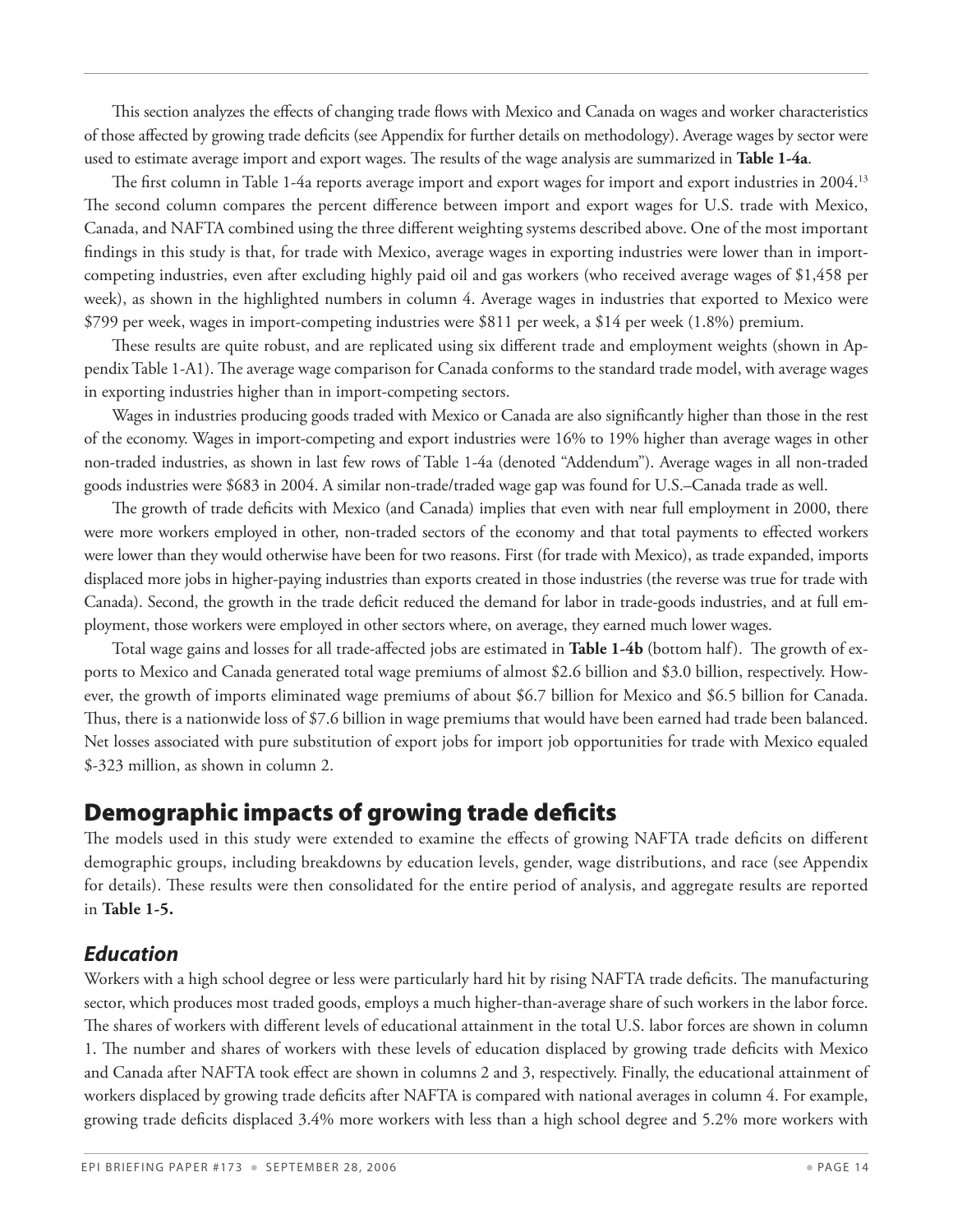This section analyzes the effects of changing trade flows with Mexico and Canada on wages and worker characteristics of those affected by growing trade deficits (see Appendix for further details on methodology). Average wages by sector were used to estimate average import and export wages. The results of the wage analysis are summarized in **Table 1-4a**.

The first column in Table 1-4a reports average import and export wages for import and export industries in 2004.13 The second column compares the percent difference between import and export wages for U.S. trade with Mexico, Canada, and NAFTA combined using the three different weighting systems described above. One of the most important findings in this study is that, for trade with Mexico, average wages in exporting industries were lower than in importcompeting industries, even after excluding highly paid oil and gas workers (who received average wages of \$1,458 per week), as shown in the highlighted numbers in column 4. Average wages in industries that exported to Mexico were \$799 per week, wages in import-competing industries were \$811 per week, a \$14 per week (1.8%) premium.

These results are quite robust, and are replicated using six different trade and employment weights (shown in Appendix Table 1-A1). The average wage comparison for Canada conforms to the standard trade model, with average wages in exporting industries higher than in import-competing sectors.

Wages in industries producing goods traded with Mexico or Canada are also significantly higher than those in the rest of the economy. Wages in import-competing and export industries were 16% to 19% higher than average wages in other non-traded industries, as shown in last few rows of Table 1-4a (denoted "Addendum"). Average wages in all non-traded goods industries were \$683 in 2004. A similar non-trade/traded wage gap was found for U.S.–Canada trade as well.

The growth of trade deficits with Mexico (and Canada) implies that even with near full employment in 2000, there were more workers employed in other, non-traded sectors of the economy and that total payments to effected workers were lower than they would otherwise have been for two reasons. First (for trade with Mexico), as trade expanded, imports displaced more jobs in higher-paying industries than exports created in those industries (the reverse was true for trade with Canada). Second, the growth in the trade deficit reduced the demand for labor in trade-goods industries, and at full employment, those workers were employed in other sectors where, on average, they earned much lower wages.

Total wage gains and losses for all trade-affected jobs are estimated in **Table 1-4b** (bottom half). The growth of exports to Mexico and Canada generated total wage premiums of almost \$2.6 billion and \$3.0 billion, respectively. However, the growth of imports eliminated wage premiums of about \$6.7 billion for Mexico and \$6.5 billion for Canada. Thus, there is a nationwide loss of \$7.6 billion in wage premiums that would have been earned had trade been balanced. Net losses associated with pure substitution of export jobs for import job opportunities for trade with Mexico equaled \$-323 million, as shown in column 2.

## Demographic impacts of growing trade deficits

The models used in this study were extended to examine the effects of growing NAFTA trade deficits on different demographic groups, including breakdowns by education levels, gender, wage distributions, and race (see Appendix for details). These results were then consolidated for the entire period of analysis, and aggregate results are reported in **Table 1-5.**

#### *Education*

Workers with a high school degree or less were particularly hard hit by rising NAFTA trade deficits. The manufacturing sector, which produces most traded goods, employs a much higher-than-average share of such workers in the labor force. The shares of workers with different levels of educational attainment in the total U.S. labor forces are shown in column 1. The number and shares of workers with these levels of education displaced by growing trade deficits with Mexico and Canada after NAFTA took effect are shown in columns 2 and 3, respectively. Finally, the educational attainment of workers displaced by growing trade deficits after NAFTA is compared with national averages in column 4. For example, growing trade deficits displaced 3.4% more workers with less than a high school degree and 5.2% more workers with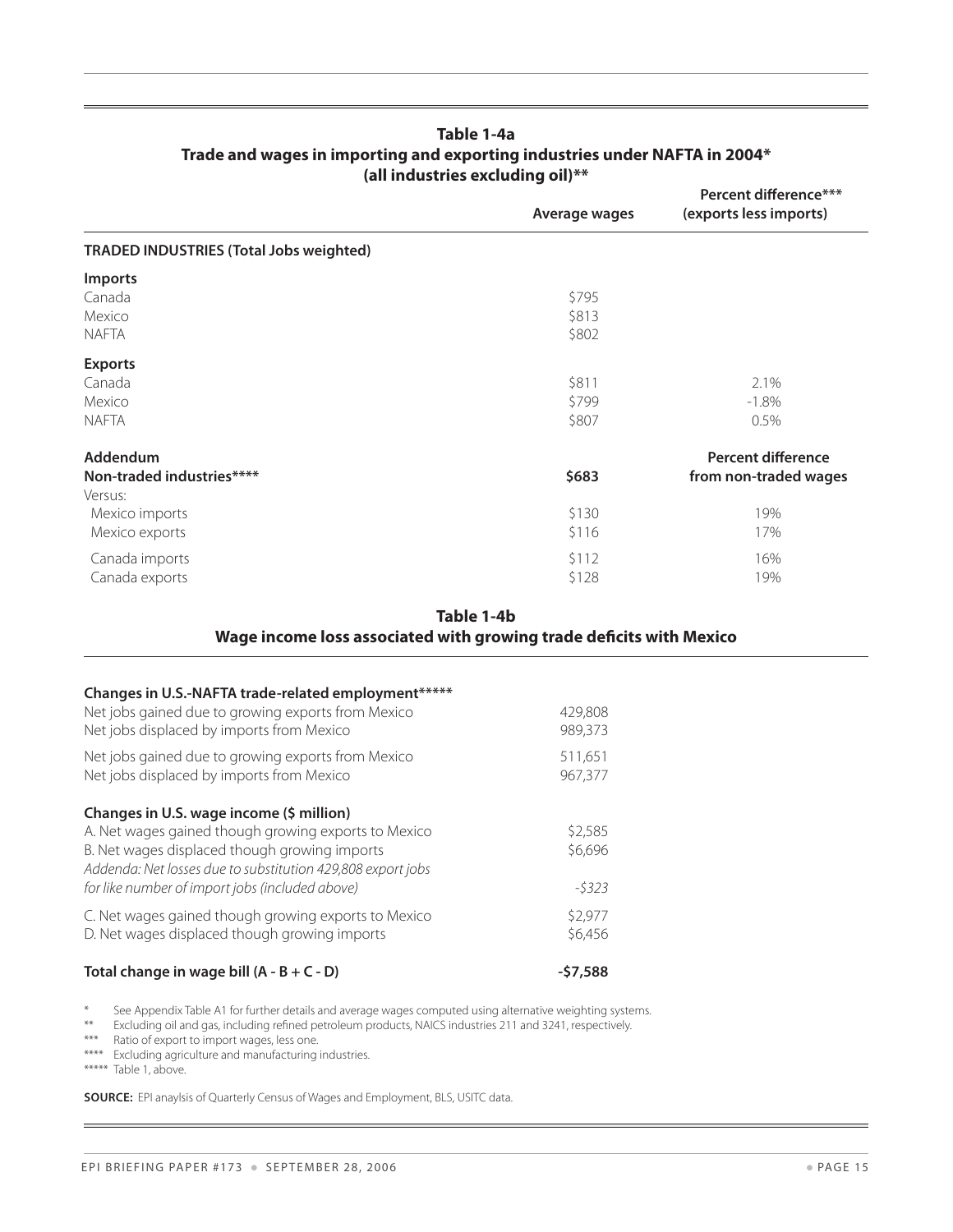#### **Table 1-4a Trade and wages in importing and exporting industries under NAFTA in 2004\* (all industries excluding oil)\*\***

|                                                | Average wages | Percent difference***<br>(exports less imports) |
|------------------------------------------------|---------------|-------------------------------------------------|
| <b>TRADED INDUSTRIES (Total Jobs weighted)</b> |               |                                                 |
| <b>Imports</b>                                 |               |                                                 |
| Canada                                         | \$795         |                                                 |
| Mexico                                         | \$813         |                                                 |
| <b>NAFTA</b>                                   | \$802         |                                                 |
| <b>Exports</b>                                 |               |                                                 |
| Canada                                         | \$811         | 2.1%                                            |
| Mexico                                         | \$799         | $-1.8%$                                         |
| <b>NAFTA</b>                                   | \$807         | 0.5%                                            |
| Addendum                                       |               | <b>Percent difference</b>                       |
| Non-traded industries****                      | \$683         | from non-traded wages                           |
| Versus:                                        |               |                                                 |
| Mexico imports                                 | \$130         | 19%                                             |
| Mexico exports                                 | \$116         | 17%                                             |
| Canada imports                                 | \$112         | 16%                                             |
| Canada exports                                 | \$128         | 19%                                             |
|                                                |               |                                                 |

#### **Table 1-4b Wage income loss associated with growing trade deficits with Mexico**

#### **Changes in U.S.-NAFTA trade-related employment\*\*\*\*\***

| Net jobs gained due to growing exports from Mexico<br>Net jobs displaced by imports from Mexico              | 429,808<br>989,373 |
|--------------------------------------------------------------------------------------------------------------|--------------------|
| Net jobs gained due to growing exports from Mexico<br>Net jobs displaced by imports from Mexico              | 511,651<br>967,377 |
| Changes in U.S. wage income (\$ million)                                                                     |                    |
| A. Net wages gained though growing exports to Mexico                                                         | \$2,585            |
| B. Net wages displaced though growing imports<br>Addenda: Net losses due to substitution 429,808 export jobs | \$6,696            |
| for like number of import jobs (included above)                                                              | $-5323$            |
| C. Net wages gained though growing exports to Mexico<br>D. Net wages displaced though growing imports        | \$2,977<br>\$6,456 |

#### **Total change in wage bill (A - B + C - D) -\$7,588**

\* See Appendix Table A1 for further details and average wages computed using alternative weighting systems.

Excluding oil and gas, including refined petroleum products, NAICS industries 211 and 3241, respectively.

\*\*\* Ratio of export to import wages, less one.

\*\*\*\* Excluding agriculture and manufacturing industries.

\*\*\*\*\* Table 1, above.

 $\overline{\phantom{a}}$ 

**Source:** EPI anaylsis of Quarterly Census of Wages and Employment, BLS, USITC data.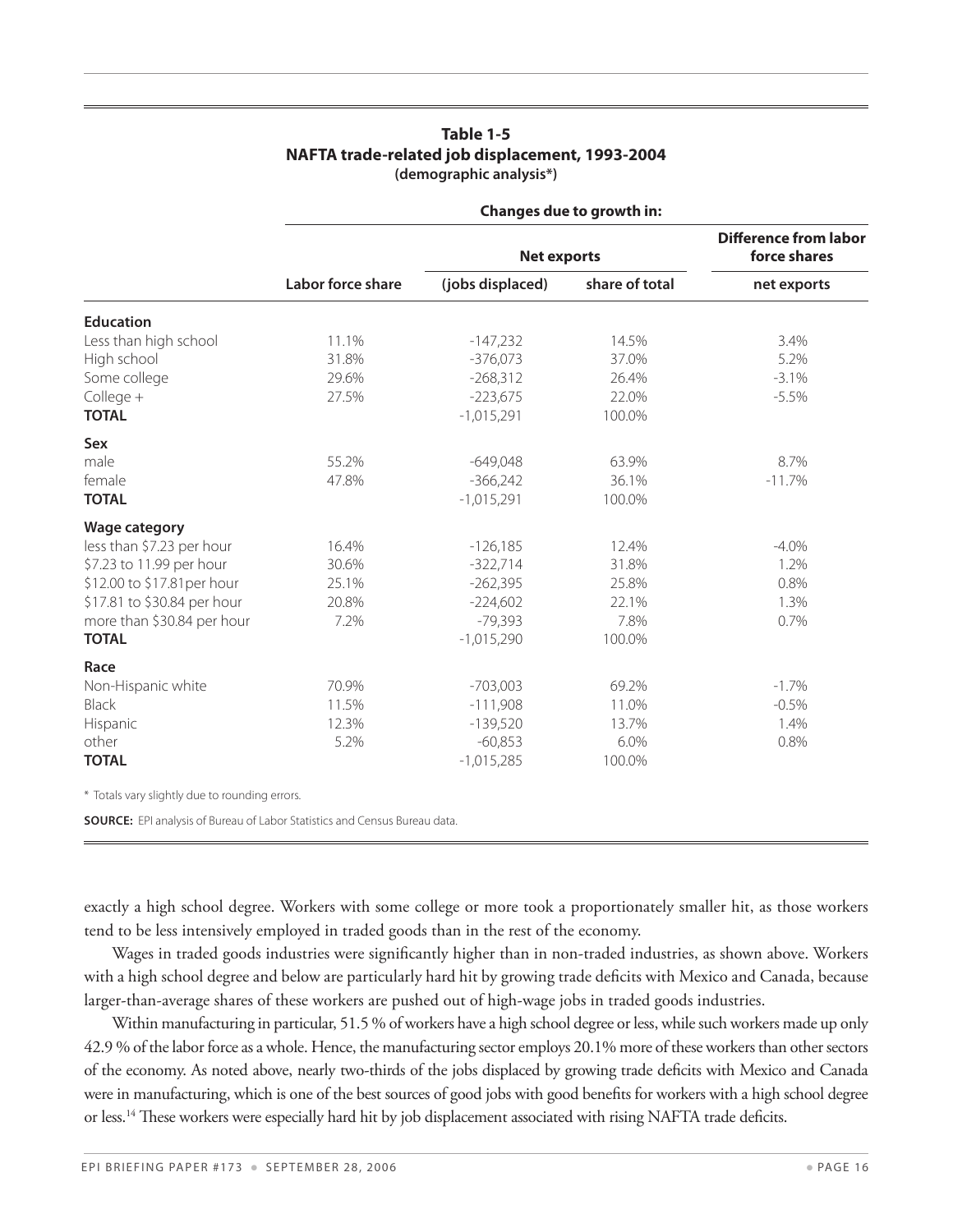#### **Table 1-5 NAFTA trade-related job displacement, 1993-2004 (demographic analysis\*)**

|                             | Changes due to growth in: |                    |                                              |             |  |  |
|-----------------------------|---------------------------|--------------------|----------------------------------------------|-------------|--|--|
|                             |                           | <b>Net exports</b> | <b>Difference from labor</b><br>force shares |             |  |  |
|                             | Labor force share         | (jobs displaced)   | share of total                               | net exports |  |  |
| <b>Education</b>            |                           |                    |                                              |             |  |  |
| Less than high school       | 11.1%                     | $-147,232$         | 14.5%                                        | 3.4%        |  |  |
| High school                 | 31.8%                     | $-376,073$         | 37.0%                                        | 5.2%        |  |  |
| Some college                | 29.6%                     | $-268,312$         | 26.4%                                        | $-3.1%$     |  |  |
| College +                   | 27.5%                     | $-223,675$         | 22.0%                                        | $-5.5%$     |  |  |
| <b>TOTAL</b>                |                           | $-1,015,291$       | 100.0%                                       |             |  |  |
| <b>Sex</b>                  |                           |                    |                                              |             |  |  |
| male                        | 55.2%                     | $-649,048$         | 63.9%                                        | 8.7%        |  |  |
| female                      | 47.8%                     | $-366,242$         | 36.1%                                        | $-11.7%$    |  |  |
| <b>TOTAL</b>                |                           | $-1,015,291$       | 100.0%                                       |             |  |  |
| <b>Wage category</b>        |                           |                    |                                              |             |  |  |
| less than \$7.23 per hour   | 16.4%                     | $-126,185$         | 12.4%                                        | $-4.0\%$    |  |  |
| \$7.23 to 11.99 per hour    | 30.6%                     | $-322,714$         | 31.8%                                        | 1.2%        |  |  |
| \$12.00 to \$17.81 per hour | 25.1%                     | $-262,395$         | 25.8%                                        | 0.8%        |  |  |
| \$17.81 to \$30.84 per hour | 20.8%                     | $-224,602$         | 22.1%                                        | 1.3%        |  |  |
| more than \$30.84 per hour  | 7.2%                      | $-79,393$          | 7.8%                                         | 0.7%        |  |  |
| <b>TOTAL</b>                |                           | $-1,015,290$       | 100.0%                                       |             |  |  |
| Race                        |                           |                    |                                              |             |  |  |
| Non-Hispanic white          | 70.9%                     | $-703,003$         | 69.2%                                        | $-1.7\%$    |  |  |
| <b>Black</b>                | 11.5%                     | $-111,908$         | 11.0%                                        | $-0.5%$     |  |  |
| Hispanic                    | 12.3%                     | $-139,520$         | 13.7%                                        | 1.4%        |  |  |
| other                       | 5.2%                      | $-60,853$          | 6.0%                                         | 0.8%        |  |  |
| <b>TOTAL</b>                |                           | $-1,015,285$       | 100.0%                                       |             |  |  |

\* Totals vary slightly due to rounding errors. 

**Source:** EPI analysis of Bureau of Labor Statistics and Census Bureau data. 

exactly a high school degree. Workers with some college or more took a proportionately smaller hit, as those workers tend to be less intensively employed in traded goods than in the rest of the economy.

Wages in traded goods industries were significantly higher than in non-traded industries, as shown above. Workers with a high school degree and below are particularly hard hit by growing trade deficits with Mexico and Canada, because larger-than-average shares of these workers are pushed out of high-wage jobs in traded goods industries.

Within manufacturing in particular, 51.5 % of workers have a high school degree or less, while such workers made up only 42.9 % of the labor force as a whole. Hence, the manufacturing sector employs 20.1% more of these workers than other sectors of the economy. As noted above, nearly two-thirds of the jobs displaced by growing trade deficits with Mexico and Canada were in manufacturing, which is one of the best sources of good jobs with good benefits for workers with a high school degree or less.<sup>14</sup> These workers were especially hard hit by job displacement associated with rising NAFTA trade deficits.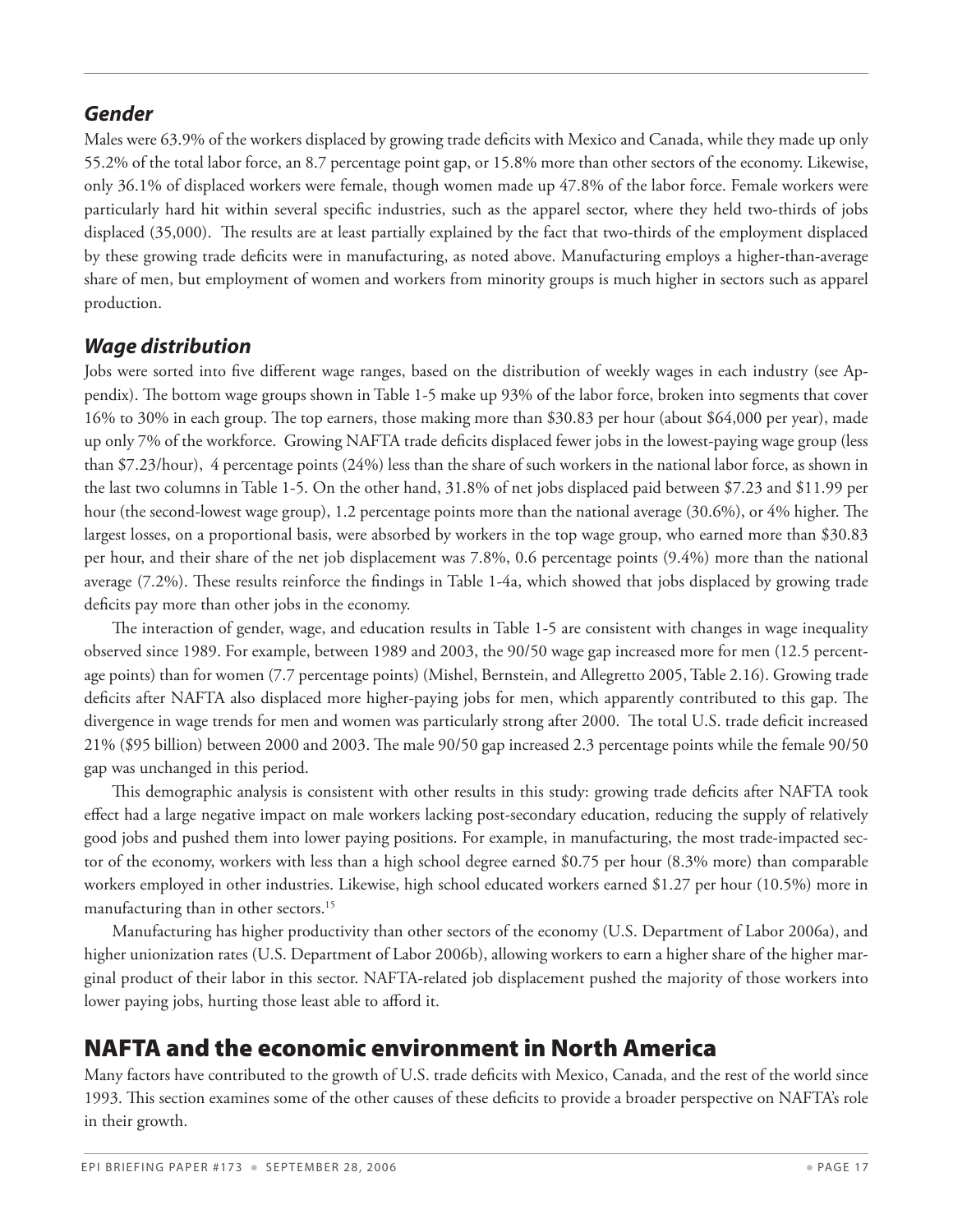#### *Gender*

Males were 63.9% of the workers displaced by growing trade deficits with Mexico and Canada, while they made up only 55.2% of the total labor force, an 8.7 percentage point gap, or 15.8% more than other sectors of the economy. Likewise, only 36.1% of displaced workers were female, though women made up 47.8% of the labor force. Female workers were particularly hard hit within several specific industries, such as the apparel sector, where they held two-thirds of jobs displaced (35,000). The results are at least partially explained by the fact that two-thirds of the employment displaced by these growing trade deficits were in manufacturing, as noted above. Manufacturing employs a higher-than-average share of men, but employment of women and workers from minority groups is much higher in sectors such as apparel production.

#### *Wage distribution*

Jobs were sorted into five different wage ranges, based on the distribution of weekly wages in each industry (see Appendix). The bottom wage groups shown in Table 1-5 make up 93% of the labor force, broken into segments that cover 16% to 30% in each group. The top earners, those making more than \$30.83 per hour (about \$64,000 per year), made up only 7% of the workforce. Growing NAFTA trade deficits displaced fewer jobs in the lowest-paying wage group (less than \$7.23/hour), 4 percentage points (24%) less than the share of such workers in the national labor force, as shown in the last two columns in Table 1-5. On the other hand, 31.8% of net jobs displaced paid between \$7.23 and \$11.99 per hour (the second-lowest wage group), 1.2 percentage points more than the national average (30.6%), or 4% higher. The largest losses, on a proportional basis, were absorbed by workers in the top wage group, who earned more than \$30.83 per hour, and their share of the net job displacement was 7.8%, 0.6 percentage points (9.4%) more than the national average (7.2%). These results reinforce the findings in Table 1-4a, which showed that jobs displaced by growing trade deficits pay more than other jobs in the economy.

The interaction of gender, wage, and education results in Table 1-5 are consistent with changes in wage inequality observed since 1989. For example, between 1989 and 2003, the 90/50 wage gap increased more for men (12.5 percentage points) than for women (7.7 percentage points) (Mishel, Bernstein, and Allegretto 2005, Table 2.16). Growing trade deficits after NAFTA also displaced more higher-paying jobs for men, which apparently contributed to this gap. The divergence in wage trends for men and women was particularly strong after 2000. The total U.S. trade deficit increased 21% (\$95 billion) between 2000 and 2003. The male 90/50 gap increased 2.3 percentage points while the female 90/50 gap was unchanged in this period.

This demographic analysis is consistent with other results in this study: growing trade deficits after NAFTA took effect had a large negative impact on male workers lacking post-secondary education, reducing the supply of relatively good jobs and pushed them into lower paying positions. For example, in manufacturing, the most trade-impacted sector of the economy, workers with less than a high school degree earned \$0.75 per hour (8.3% more) than comparable workers employed in other industries. Likewise, high school educated workers earned \$1.27 per hour (10.5%) more in manufacturing than in other sectors.<sup>15</sup>

Manufacturing has higher productivity than other sectors of the economy (U.S. Department of Labor 2006a), and higher unionization rates (U.S. Department of Labor 2006b), allowing workers to earn a higher share of the higher marginal product of their labor in this sector. NAFTA-related job displacement pushed the majority of those workers into lower paying jobs, hurting those least able to afford it.

## NAFTA and the economic environment in North America

Many factors have contributed to the growth of U.S. trade deficits with Mexico, Canada, and the rest of the world since 1993. This section examines some of the other causes of these deficits to provide a broader perspective on NAFTA's role in their growth.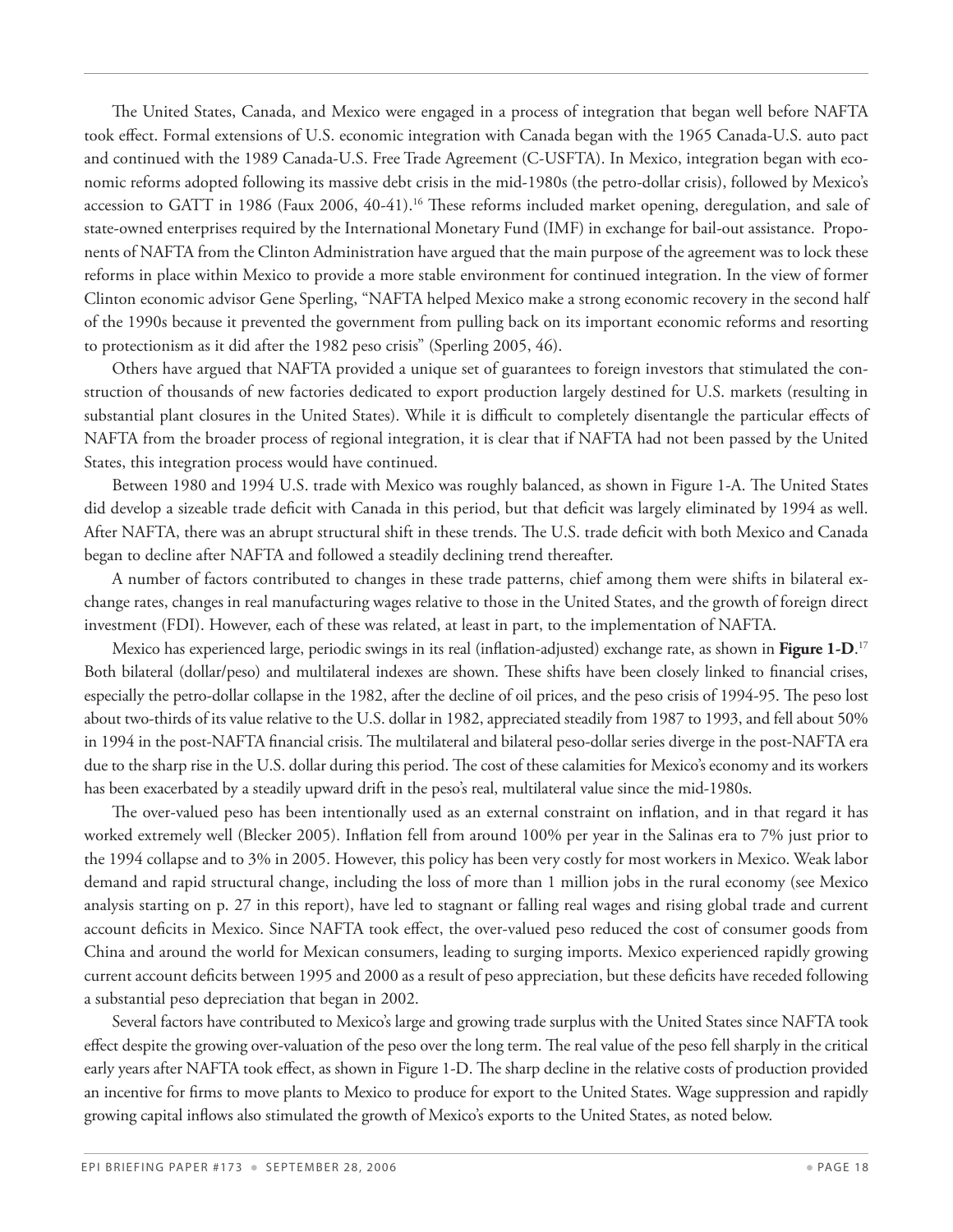The United States, Canada, and Mexico were engaged in a process of integration that began well before NAFTA took effect. Formal extensions of U.S. economic integration with Canada began with the 1965 Canada-U.S. auto pact and continued with the 1989 Canada-U.S. Free Trade Agreement (C-USFTA). In Mexico, integration began with economic reforms adopted following its massive debt crisis in the mid-1980s (the petro-dollar crisis), followed by Mexico's accession to GATT in 1986 (Faux 2006, 40-41).<sup>16</sup> These reforms included market opening, deregulation, and sale of state-owned enterprises required by the International Monetary Fund (IMF) in exchange for bail-out assistance. Proponents of NAFTA from the Clinton Administration have argued that the main purpose of the agreement was to lock these reforms in place within Mexico to provide a more stable environment for continued integration. In the view of former Clinton economic advisor Gene Sperling, "NAFTA helped Mexico make a strong economic recovery in the second half of the 1990s because it prevented the government from pulling back on its important economic reforms and resorting to protectionism as it did after the 1982 peso crisis" (Sperling 2005, 46).

Others have argued that NAFTA provided a unique set of guarantees to foreign investors that stimulated the construction of thousands of new factories dedicated to export production largely destined for U.S. markets (resulting in substantial plant closures in the United States). While it is difficult to completely disentangle the particular effects of NAFTA from the broader process of regional integration, it is clear that if NAFTA had not been passed by the United States, this integration process would have continued.

Between 1980 and 1994 U.S. trade with Mexico was roughly balanced, as shown in Figure 1-A. The United States did develop a sizeable trade deficit with Canada in this period, but that deficit was largely eliminated by 1994 as well. After NAFTA, there was an abrupt structural shift in these trends. The U.S. trade deficit with both Mexico and Canada began to decline after NAFTA and followed a steadily declining trend thereafter.

A number of factors contributed to changes in these trade patterns, chief among them were shifts in bilateral exchange rates, changes in real manufacturing wages relative to those in the United States, and the growth of foreign direct investment (FDI). However, each of these was related, at least in part, to the implementation of NAFTA.

Mexico has experienced large, periodic swings in its real (inflation-adjusted) exchange rate, as shown in **Figure 1-D**. 17 Both bilateral (dollar/peso) and multilateral indexes are shown. These shifts have been closely linked to financial crises, especially the petro-dollar collapse in the 1982, after the decline of oil prices, and the peso crisis of 1994-95. The peso lost about two-thirds of its value relative to the U.S. dollar in 1982, appreciated steadily from 1987 to 1993, and fell about 50% in 1994 in the post-NAFTA financial crisis. The multilateral and bilateral peso-dollar series diverge in the post-NAFTA era due to the sharp rise in the U.S. dollar during this period. The cost of these calamities for Mexico's economy and its workers has been exacerbated by a steadily upward drift in the peso's real, multilateral value since the mid-1980s.

The over-valued peso has been intentionally used as an external constraint on inflation, and in that regard it has worked extremely well (Blecker 2005). Inflation fell from around 100% per year in the Salinas era to 7% just prior to the 1994 collapse and to 3% in 2005. However, this policy has been very costly for most workers in Mexico. Weak labor demand and rapid structural change, including the loss of more than 1 million jobs in the rural economy (see Mexico analysis starting on p. 27 in this report), have led to stagnant or falling real wages and rising global trade and current account deficits in Mexico. Since NAFTA took effect, the over-valued peso reduced the cost of consumer goods from China and around the world for Mexican consumers, leading to surging imports. Mexico experienced rapidly growing current account deficits between 1995 and 2000 as a result of peso appreciation, but these deficits have receded following a substantial peso depreciation that began in 2002.

Several factors have contributed to Mexico's large and growing trade surplus with the United States since NAFTA took effect despite the growing over-valuation of the peso over the long term. The real value of the peso fell sharply in the critical early years after NAFTA took effect, as shown in Figure 1-D. The sharp decline in the relative costs of production provided an incentive for firms to move plants to Mexico to produce for export to the United States. Wage suppression and rapidly growing capital inflows also stimulated the growth of Mexico's exports to the United States, as noted below.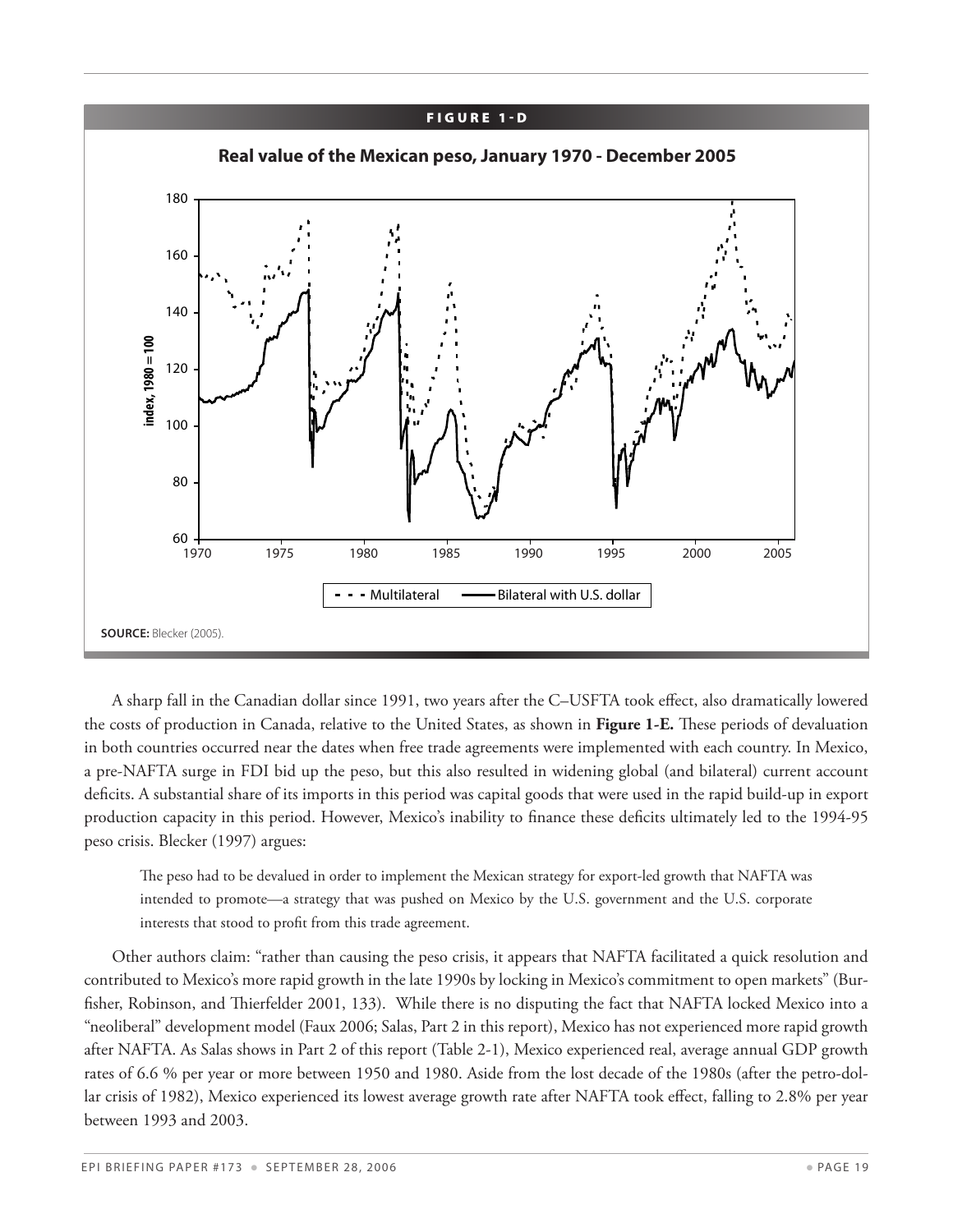

A sharp fall in the Canadian dollar since 1991, two years after the C–USFTA took effect, also dramatically lowered the costs of production in Canada, relative to the United States, as shown in **Figure 1-E.** These periods of devaluation in both countries occurred near the dates when free trade agreements were implemented with each country. In Mexico, a pre-NAFTA surge in FDI bid up the peso, but this also resulted in widening global (and bilateral) current account deficits. A substantial share of its imports in this period was capital goods that were used in the rapid build-up in export production capacity in this period. However, Mexico's inability to finance these deficits ultimately led to the 1994-95 peso crisis. Blecker (1997) argues:

The peso had to be devalued in order to implement the Mexican strategy for export-led growth that NAFTA was intended to promote—a strategy that was pushed on Mexico by the U.S. government and the U.S. corporate interests that stood to profit from this trade agreement.

Other authors claim: "rather than causing the peso crisis, it appears that NAFTA facilitated a quick resolution and contributed to Mexico's more rapid growth in the late 1990s by locking in Mexico's commitment to open markets" (Burfisher, Robinson, and Thierfelder 2001, 133). While there is no disputing the fact that NAFTA locked Mexico into a "neoliberal" development model (Faux 2006; Salas, Part 2 in this report), Mexico has not experienced more rapid growth after NAFTA. As Salas shows in Part 2 of this report (Table 2-1), Mexico experienced real, average annual GDP growth rates of 6.6 % per year or more between 1950 and 1980. Aside from the lost decade of the 1980s (after the petro-dollar crisis of 1982), Mexico experienced its lowest average growth rate after NAFTA took effect, falling to 2.8% per year between 1993 and 2003.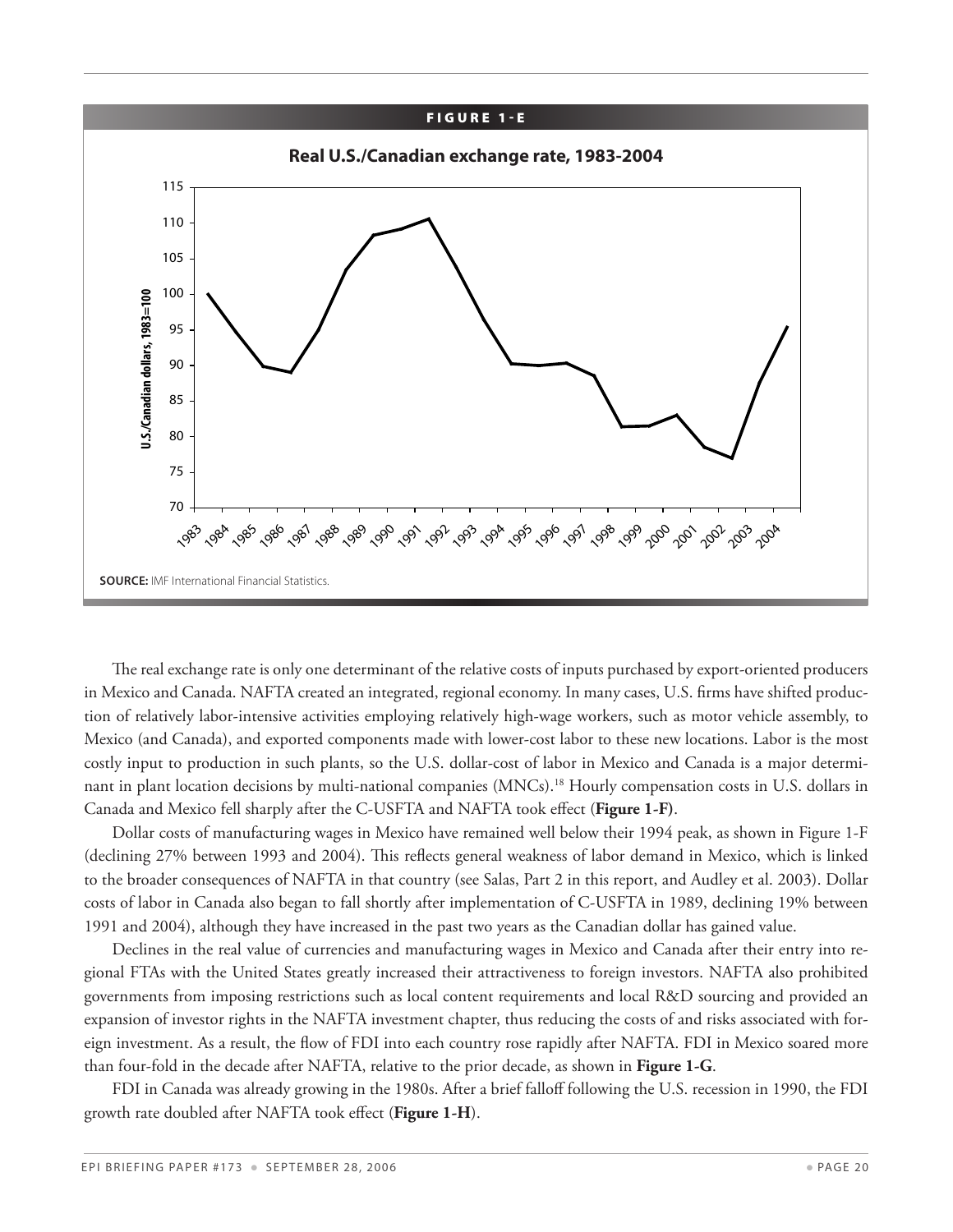

The real exchange rate is only one determinant of the relative costs of inputs purchased by export-oriented producers in Mexico and Canada. NAFTA created an integrated, regional economy. In many cases, U.S. firms have shifted production of relatively labor-intensive activities employing relatively high-wage workers, such as motor vehicle assembly, to Mexico (and Canada), and exported components made with lower-cost labor to these new locations. Labor is the most costly input to production in such plants, so the U.S. dollar-cost of labor in Mexico and Canada is a major determinant in plant location decisions by multi-national companies (MNCs).<sup>18</sup> Hourly compensation costs in U.S. dollars in Canada and Mexico fell sharply after the C-USFTA and NAFTA took effect (**Figure 1-F)**.

Dollar costs of manufacturing wages in Mexico have remained well below their 1994 peak, as shown in Figure 1-F (declining 27% between 1993 and 2004). This reflects general weakness of labor demand in Mexico, which is linked to the broader consequences of NAFTA in that country (see Salas, Part 2 in this report, and Audley et al. 2003). Dollar costs of labor in Canada also began to fall shortly after implementation of C-USFTA in 1989, declining 19% between 1991 and 2004), although they have increased in the past two years as the Canadian dollar has gained value.

Declines in the real value of currencies and manufacturing wages in Mexico and Canada after their entry into regional FTAs with the United States greatly increased their attractiveness to foreign investors. NAFTA also prohibited governments from imposing restrictions such as local content requirements and local R&D sourcing and provided an expansion of investor rights in the NAFTA investment chapter, thus reducing the costs of and risks associated with foreign investment. As a result, the flow of FDI into each country rose rapidly after NAFTA. FDI in Mexico soared more than four-fold in the decade after NAFTA, relative to the prior decade, as shown in **Figure 1-G**.

FDI in Canada was already growing in the 1980s. After a brief falloff following the U.S. recession in 1990, the FDI growth rate doubled after NAFTA took effect (**Figure 1-H**).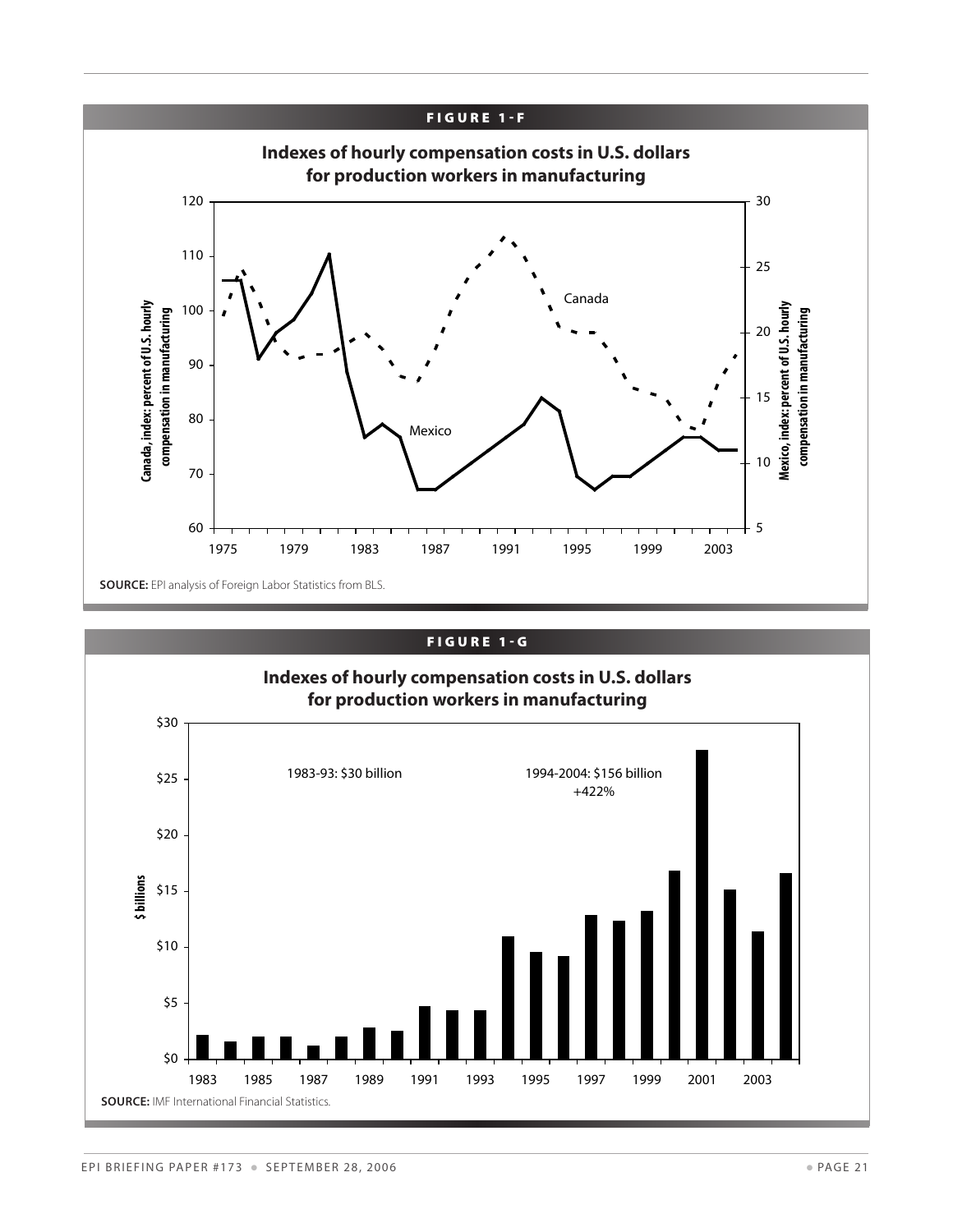

#### FIGURE 1-G

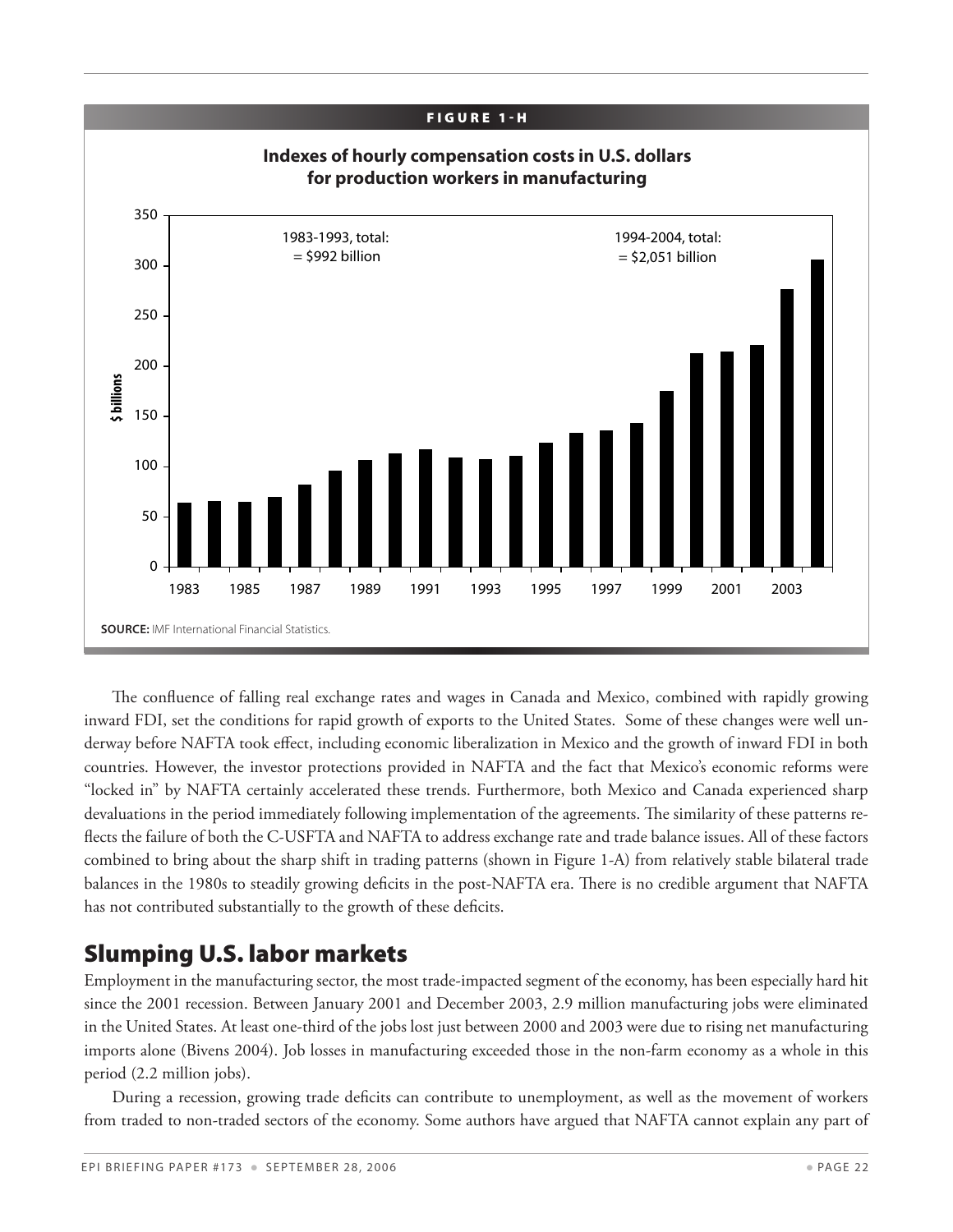![](_page_21_Figure_0.jpeg)

The confluence of falling real exchange rates and wages in Canada and Mexico, combined with rapidly growing inward FDI, set the conditions for rapid growth of exports to the United States. Some of these changes were well underway before NAFTA took effect, including economic liberalization in Mexico and the growth of inward FDI in both countries. However, the investor protections provided in NAFTA and the fact that Mexico's economic reforms were "locked in" by NAFTA certainly accelerated these trends. Furthermore, both Mexico and Canada experienced sharp devaluations in the period immediately following implementation of the agreements. The similarity of these patterns reflects the failure of both the C-USFTA and NAFTA to address exchange rate and trade balance issues. All of these factors combined to bring about the sharp shift in trading patterns (shown in Figure 1-A) from relatively stable bilateral trade balances in the 1980s to steadily growing deficits in the post-NAFTA era. There is no credible argument that NAFTA has not contributed substantially to the growth of these deficits.

## Slumping U.S. labor markets

Employment in the manufacturing sector, the most trade-impacted segment of the economy, has been especially hard hit since the 2001 recession. Between January 2001 and December 2003, 2.9 million manufacturing jobs were eliminated in the United States. At least one-third of the jobs lost just between 2000 and 2003 were due to rising net manufacturing imports alone (Bivens 2004). Job losses in manufacturing exceeded those in the non-farm economy as a whole in this period (2.2 million jobs).

During a recession, growing trade deficits can contribute to unemployment, as well as the movement of workers from traded to non-traded sectors of the economy. Some authors have argued that NAFTA cannot explain any part of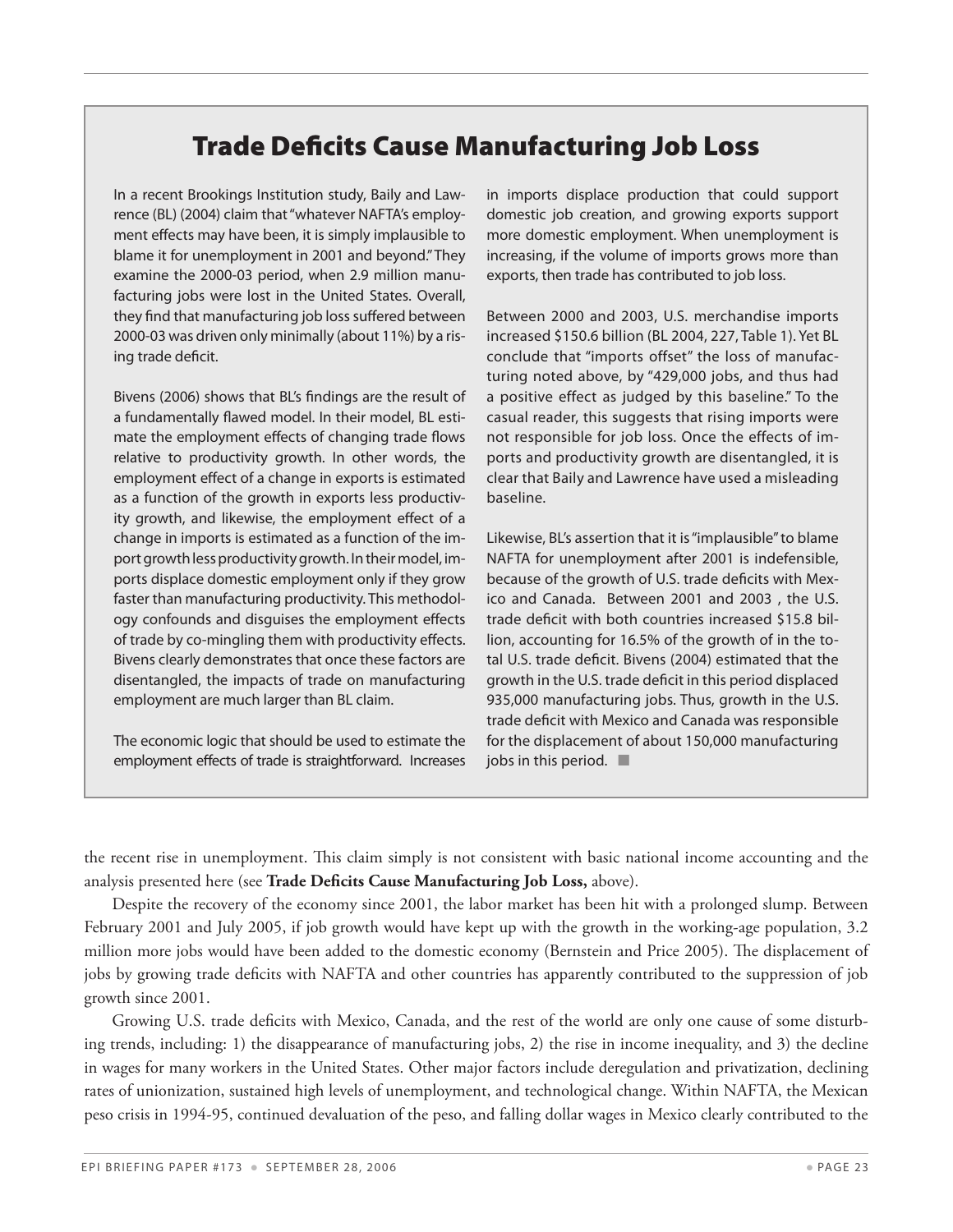## Trade Deficits Cause Manufacturing Job Loss

In a recent Brookings Institution study, Baily and Lawrence (BL) (2004) claim that "whatever NAFTA's employment effects may have been, it is simply implausible to blame it for unemployment in 2001 and beyond." They examine the 2000-03 period, when 2.9 million manufacturing jobs were lost in the United States. Overall, they find that manufacturing job loss suffered between 2000-03 was driven only minimally (about 11%) by a rising trade deficit.

Bivens (2006) shows that BL's findings are the result of a fundamentally flawed model. In their model, BL estimate the employment effects of changing trade flows relative to productivity growth. In other words, the employment effect of a change in exports is estimated as a function of the growth in exports less productivity growth, and likewise, the employment effect of a change in imports is estimated as a function of the import growth less productivity growth. In their model, imports displace domestic employment only if they grow faster than manufacturing productivity. This methodology confounds and disguises the employment effects of trade by co-mingling them with productivity effects. Bivens clearly demonstrates that once these factors are disentangled, the impacts of trade on manufacturing employment are much larger than BL claim.

The economic logic that should be used to estimate the employment effects of trade is straightforward. Increases in imports displace production that could support domestic job creation, and growing exports support more domestic employment. When unemployment is increasing, if the volume of imports grows more than exports, then trade has contributed to job loss.

Between 2000 and 2003, U.S. merchandise imports increased \$150.6 billion (BL 2004, 227, Table 1). Yet BL conclude that "imports offset" the loss of manufacturing noted above, by "429,000 jobs, and thus had a positive effect as judged by this baseline." To the casual reader, this suggests that rising imports were not responsible for job loss. Once the effects of imports and productivity growth are disentangled, it is clear that Baily and Lawrence have used a misleading baseline.

Likewise, BL's assertion that it is "implausible" to blame NAFTA for unemployment after 2001 is indefensible, because of the growth of U.S. trade deficits with Mexico and Canada. Between 2001 and 2003 , the U.S. trade deficit with both countries increased \$15.8 billion, accounting for 16.5% of the growth of in the total U.S. trade deficit. Bivens (2004) estimated that the growth in the U.S. trade deficit in this period displaced 935,000 manufacturing jobs. Thus, growth in the U.S. trade deficit with Mexico and Canada was responsible for the displacement of about 150,000 manufacturing jobs in this period.  $\blacksquare$ 

the recent rise in unemployment. This claim simply is not consistent with basic national income accounting and the analysis presented here (see **Trade Deficits Cause Manufacturing Job Loss,** above).

Despite the recovery of the economy since 2001, the labor market has been hit with a prolonged slump. Between February 2001 and July 2005, if job growth would have kept up with the growth in the working-age population, 3.2 million more jobs would have been added to the domestic economy (Bernstein and Price 2005). The displacement of jobs by growing trade deficits with NAFTA and other countries has apparently contributed to the suppression of job growth since 2001.

Growing U.S. trade deficits with Mexico, Canada, and the rest of the world are only one cause of some disturbing trends, including: 1) the disappearance of manufacturing jobs, 2) the rise in income inequality, and 3) the decline in wages for many workers in the United States. Other major factors include deregulation and privatization, declining rates of unionization, sustained high levels of unemployment, and technological change. Within NAFTA, the Mexican peso crisis in 1994-95, continued devaluation of the peso, and falling dollar wages in Mexico clearly contributed to the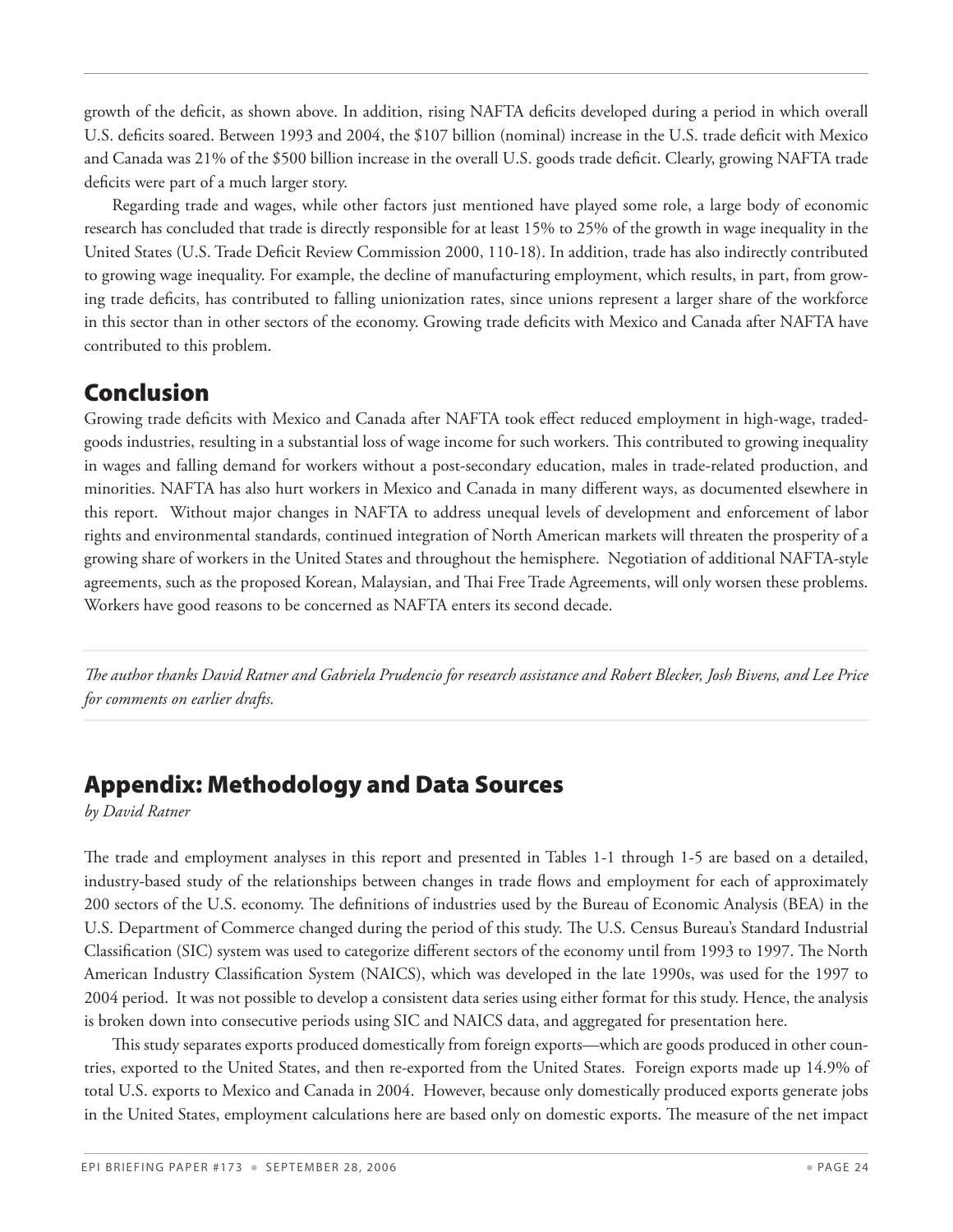growth of the deficit, as shown above. In addition, rising NAFTA deficits developed during a period in which overall U.S. deficits soared. Between 1993 and 2004, the \$107 billion (nominal) increase in the U.S. trade deficit with Mexico and Canada was 21% of the \$500 billion increase in the overall U.S. goods trade deficit. Clearly, growing NAFTA trade deficits were part of a much larger story.

Regarding trade and wages, while other factors just mentioned have played some role, a large body of economic research has concluded that trade is directly responsible for at least 15% to 25% of the growth in wage inequality in the United States (U.S. Trade Deficit Review Commission 2000, 110-18). In addition, trade has also indirectly contributed to growing wage inequality. For example, the decline of manufacturing employment, which results, in part, from growing trade deficits, has contributed to falling unionization rates, since unions represent a larger share of the workforce in this sector than in other sectors of the economy. Growing trade deficits with Mexico and Canada after NAFTA have contributed to this problem.

## Conclusion

Growing trade deficits with Mexico and Canada after NAFTA took effect reduced employment in high-wage, tradedgoods industries, resulting in a substantial loss of wage income for such workers. This contributed to growing inequality in wages and falling demand for workers without a post-secondary education, males in trade-related production, and minorities. NAFTA has also hurt workers in Mexico and Canada in many different ways, as documented elsewhere in this report. Without major changes in NAFTA to address unequal levels of development and enforcement of labor rights and environmental standards, continued integration of North American markets will threaten the prosperity of a growing share of workers in the United States and throughout the hemisphere. Negotiation of additional NAFTA-style agreements, such as the proposed Korean, Malaysian, and Thai Free Trade Agreements, will only worsen these problems. Workers have good reasons to be concerned as NAFTA enters its second decade.

*The author thanks David Ratner and Gabriela Prudencio for research assistance and Robert Blecker, Josh Bivens, and Lee Price for comments on earlier drafts.*

## Appendix: Methodology and Data Sources

*by David Ratner*

The trade and employment analyses in this report and presented in Tables 1-1 through 1-5 are based on a detailed, industry-based study of the relationships between changes in trade flows and employment for each of approximately 200 sectors of the U.S. economy. The definitions of industries used by the Bureau of Economic Analysis (BEA) in the U.S. Department of Commerce changed during the period of this study. The U.S. Census Bureau's Standard Industrial Classification (SIC) system was used to categorize different sectors of the economy until from 1993 to 1997. The North American Industry Classification System (NAICS), which was developed in the late 1990s, was used for the 1997 to 2004 period. It was not possible to develop a consistent data series using either format for this study. Hence, the analysis is broken down into consecutive periods using SIC and NAICS data, and aggregated for presentation here.

This study separates exports produced domestically from foreign exports—which are goods produced in other countries, exported to the United States, and then re-exported from the United States. Foreign exports made up 14.9% of total U.S. exports to Mexico and Canada in 2004. However, because only domestically produced exports generate jobs in the United States, employment calculations here are based only on domestic exports. The measure of the net impact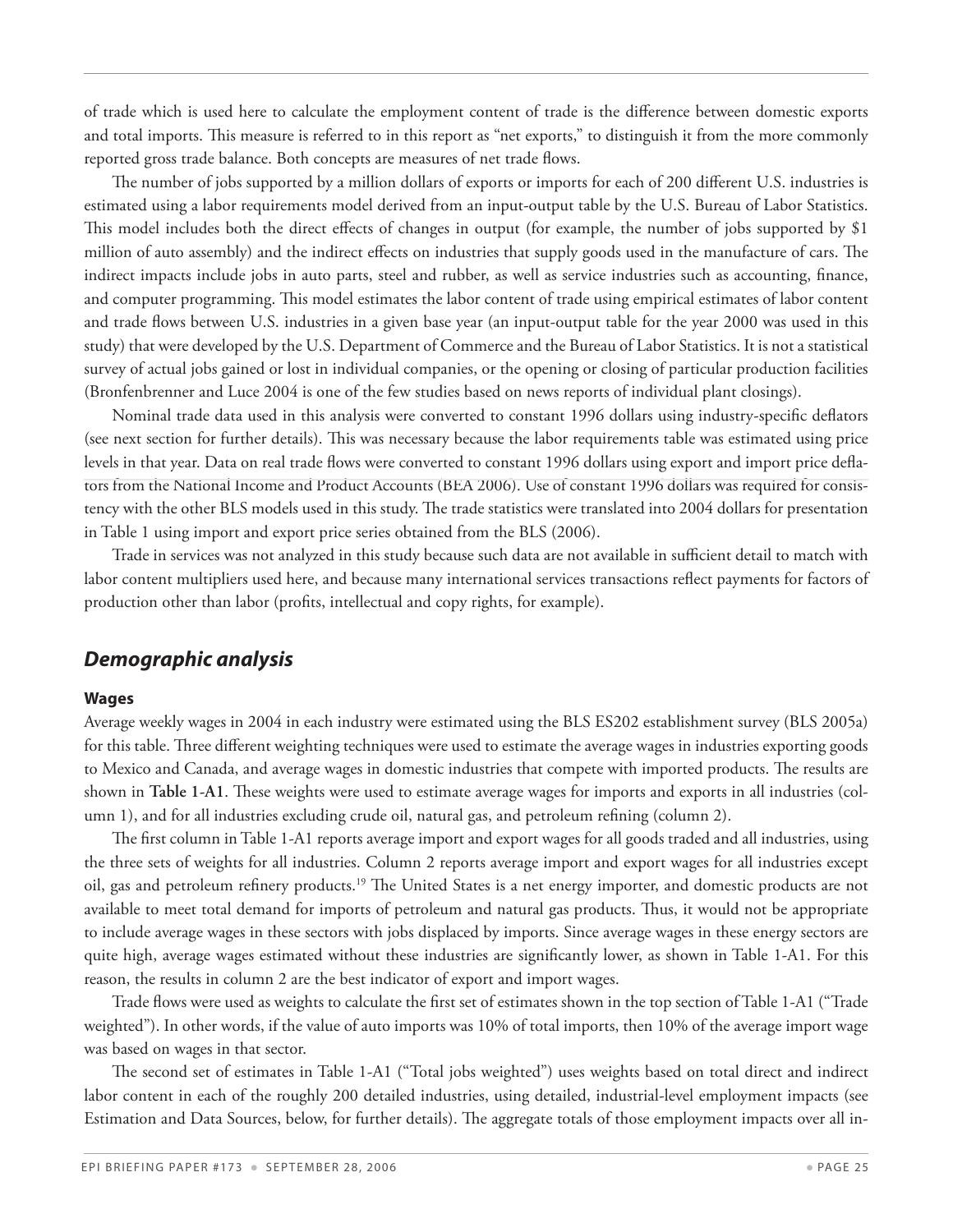of trade which is used here to calculate the employment content of trade is the difference between domestic exports and total imports. This measure is referred to in this report as "net exports," to distinguish it from the more commonly reported gross trade balance. Both concepts are measures of net trade flows.

The number of jobs supported by a million dollars of exports or imports for each of 200 different U.S. industries is estimated using a labor requirements model derived from an input-output table by the U.S. Bureau of Labor Statistics. This model includes both the direct effects of changes in output (for example, the number of jobs supported by \$1 million of auto assembly) and the indirect effects on industries that supply goods used in the manufacture of cars. The indirect impacts include jobs in auto parts, steel and rubber, as well as service industries such as accounting, finance, and computer programming. This model estimates the labor content of trade using empirical estimates of labor content and trade flows between U.S. industries in a given base year (an input-output table for the year 2000 was used in this study) that were developed by the U.S. Department of Commerce and the Bureau of Labor Statistics. It is not a statistical survey of actual jobs gained or lost in individual companies, or the opening or closing of particular production facilities (Bronfenbrenner and Luce 2004 is one of the few studies based on news reports of individual plant closings).

Nominal trade data used in this analysis were converted to constant 1996 dollars using industry-specific deflators (see next section for further details). This was necessary because the labor requirements table was estimated using price levels in that year. Data on real trade flows were converted to constant 1996 dollars using export and import price deflators from the National Income and Product Accounts (BEA 2006). Use of constant 1996 dollars was required for consistency with the other BLS models used in this study. The trade statistics were translated into 2004 dollars for presentation in Table 1 using import and export price series obtained from the BLS (2006).

Trade in services was not analyzed in this study because such data are not available in sufficient detail to match with labor content multipliers used here, and because many international services transactions reflect payments for factors of production other than labor (profits, intellectual and copy rights, for example).

#### *Demographic analysis*

#### **Wages**

Average weekly wages in 2004 in each industry were estimated using the BLS ES202 establishment survey (BLS 2005a) for this table. Three different weighting techniques were used to estimate the average wages in industries exporting goods to Mexico and Canada, and average wages in domestic industries that compete with imported products. The results are shown in **Table 1-A1**. These weights were used to estimate average wages for imports and exports in all industries (column 1), and for all industries excluding crude oil, natural gas, and petroleum refining (column 2).

The first column in Table 1-A1 reports average import and export wages for all goods traded and all industries, using the three sets of weights for all industries. Column 2 reports average import and export wages for all industries except oil, gas and petroleum refinery products.19 The United States is a net energy importer, and domestic products are not available to meet total demand for imports of petroleum and natural gas products. Thus, it would not be appropriate to include average wages in these sectors with jobs displaced by imports. Since average wages in these energy sectors are quite high, average wages estimated without these industries are significantly lower, as shown in Table 1-A1. For this reason, the results in column 2 are the best indicator of export and import wages.

Trade flows were used as weights to calculate the first set of estimates shown in the top section of Table 1-A1 ("Trade weighted"). In other words, if the value of auto imports was 10% of total imports, then 10% of the average import wage was based on wages in that sector.

The second set of estimates in Table 1-A1 ("Total jobs weighted") uses weights based on total direct and indirect labor content in each of the roughly 200 detailed industries, using detailed, industrial-level employment impacts (see Estimation and Data Sources, below, for further details). The aggregate totals of those employment impacts over all in-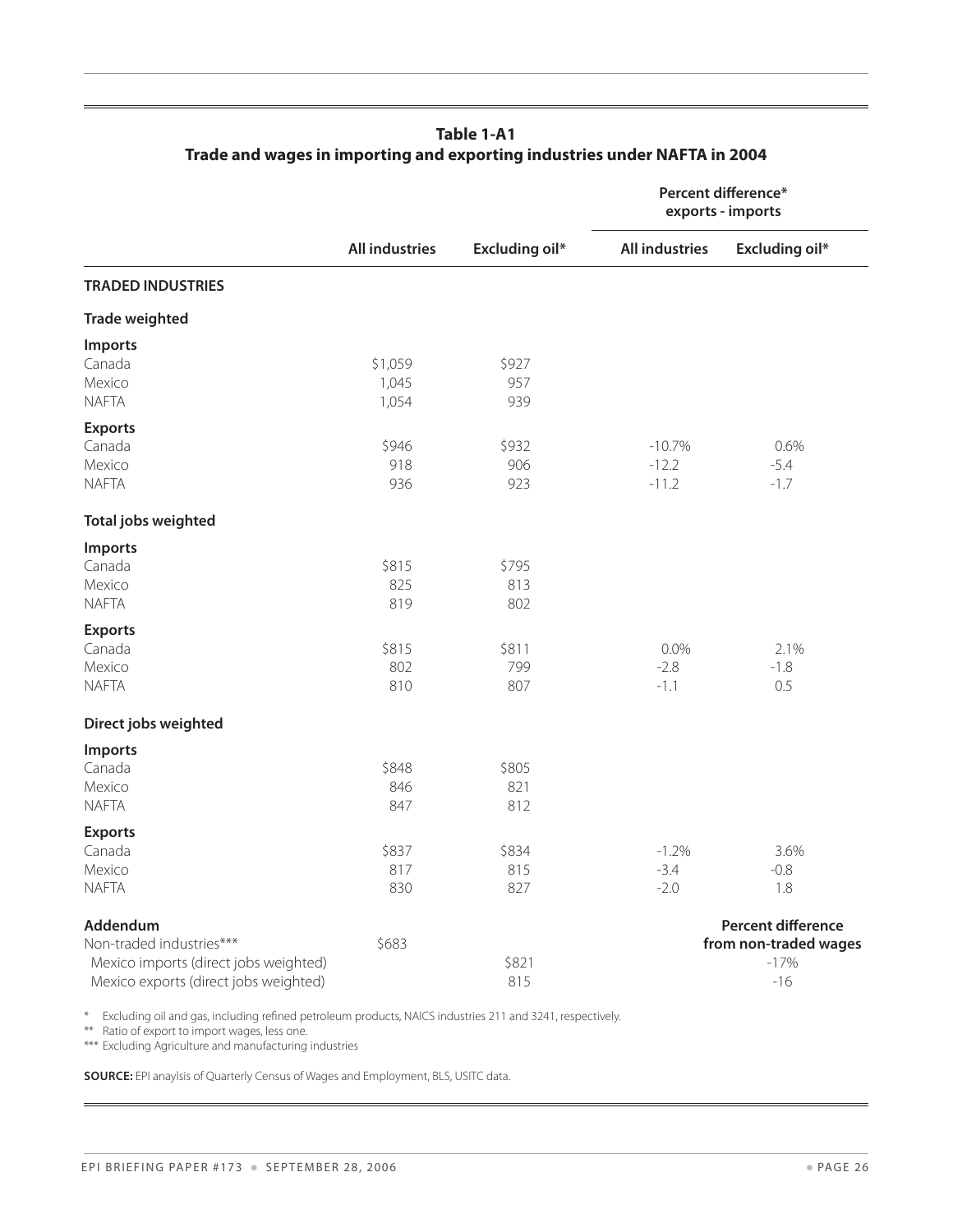|                                       |                       |                       |                       | Percent difference*<br>exports - imports |
|---------------------------------------|-----------------------|-----------------------|-----------------------|------------------------------------------|
|                                       | <b>All industries</b> | <b>Excluding oil*</b> | <b>All industries</b> | <b>Excluding oil*</b>                    |
| <b>TRADED INDUSTRIES</b>              |                       |                       |                       |                                          |
| <b>Trade weighted</b>                 |                       |                       |                       |                                          |
| Imports                               |                       |                       |                       |                                          |
| Canada                                | \$1,059               | \$927                 |                       |                                          |
| Mexico                                | 1,045                 | 957                   |                       |                                          |
| <b>NAFTA</b>                          | 1,054                 | 939                   |                       |                                          |
| <b>Exports</b>                        |                       |                       |                       |                                          |
| Canada                                | \$946                 | \$932                 | $-10.7%$              | 0.6%                                     |
| Mexico                                | 918                   | 906                   | $-12.2$               | $-5.4$                                   |
| <b>NAFTA</b>                          | 936                   | 923                   | $-11.2$               | $-1.7$                                   |
| Total jobs weighted                   |                       |                       |                       |                                          |
| Imports                               |                       |                       |                       |                                          |
| Canada                                | \$815                 | \$795                 |                       |                                          |
| Mexico                                | 825                   | 813                   |                       |                                          |
| <b>NAFTA</b>                          | 819                   | 802                   |                       |                                          |
| <b>Exports</b>                        |                       |                       |                       |                                          |
| Canada                                | \$815                 | \$811                 | 0.0%                  | 2.1%                                     |
| Mexico                                | 802                   | 799                   | $-2.8$                | $-1.8$                                   |
| <b>NAFTA</b>                          | 810                   | 807                   | $-1.1$                | 0.5                                      |
| Direct jobs weighted                  |                       |                       |                       |                                          |
| <b>Imports</b>                        |                       |                       |                       |                                          |
| Canada                                | \$848                 | \$805                 |                       |                                          |
| Mexico                                | 846                   | 821                   |                       |                                          |
| <b>NAFTA</b>                          | 847                   | 812                   |                       |                                          |
| <b>Exports</b>                        |                       |                       |                       |                                          |
| Canada                                | \$837                 | \$834                 | $-1.2%$               | 3.6%                                     |
| Mexico                                | 817                   | 815                   | $-3.4$                | $-0.8$                                   |
| <b>NAFTA</b>                          | 830                   | 827                   | $-2.0$                | 1.8                                      |
| Addendum                              |                       |                       |                       | <b>Percent difference</b>                |
| Non-traded industries***              | \$683                 |                       |                       | from non-traded wages                    |
| Mexico imports (direct jobs weighted) |                       | \$821                 |                       | $-17%$                                   |
| Mexico exports (direct jobs weighted) |                       | 815                   |                       | $-16$                                    |

#### **Table 1-A1 Trade and wages in importing and exporting industries under NAFTA in 2004**

\* Excluding oil and gas, including refined petroleum products, NAICS industries 211 and 3241, respectively.

\*\* Ratio of export to import wages, less one.

\*\*\* Excluding Agriculture and manufacturing industries

**Source:** EPI anaylsis of Quarterly Census of Wages and Employment, BLS, USITC data.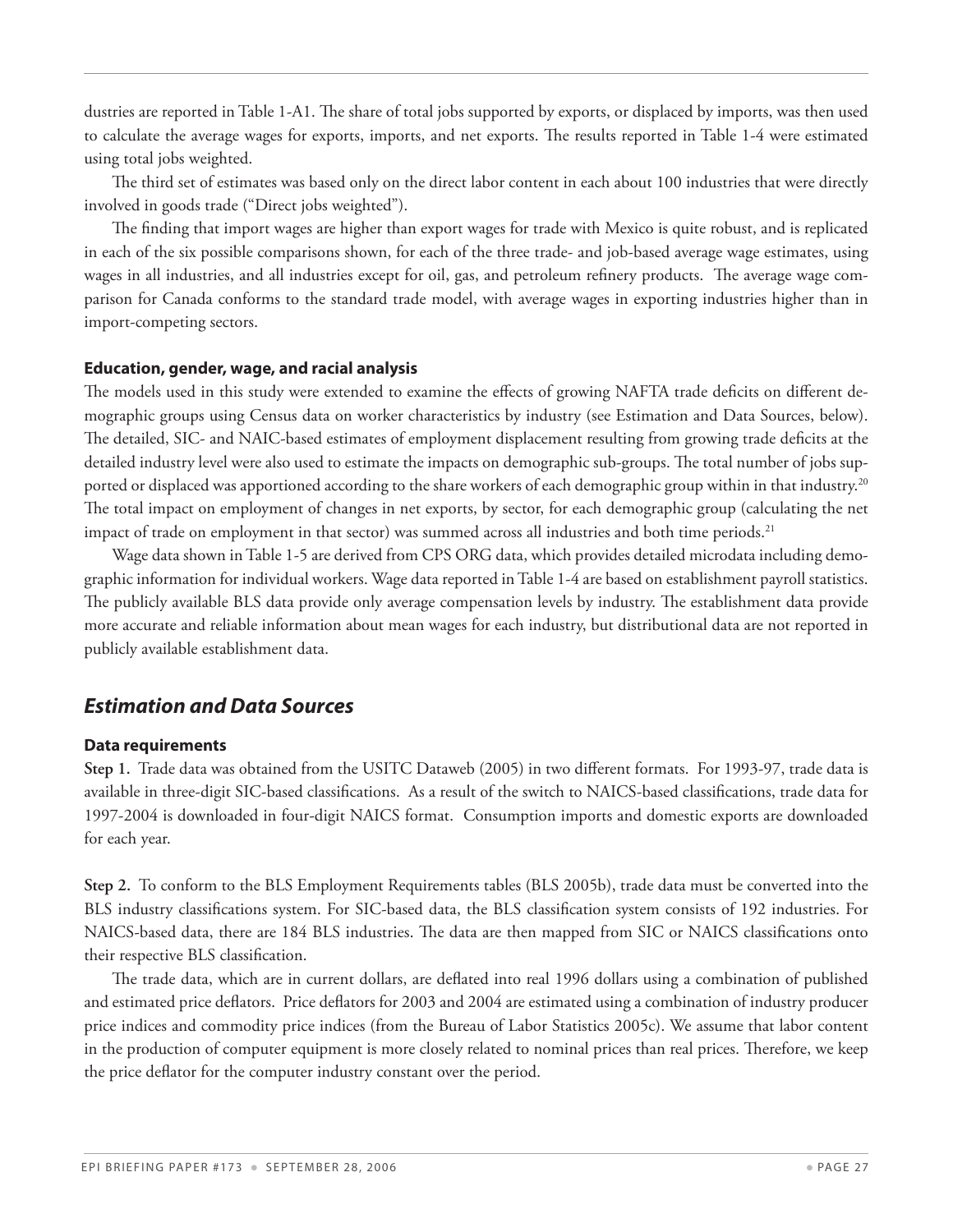dustries are reported in Table 1-A1. The share of total jobs supported by exports, or displaced by imports, was then used to calculate the average wages for exports, imports, and net exports. The results reported in Table 1-4 were estimated using total jobs weighted.

The third set of estimates was based only on the direct labor content in each about 100 industries that were directly involved in goods trade ("Direct jobs weighted").

The finding that import wages are higher than export wages for trade with Mexico is quite robust, and is replicated in each of the six possible comparisons shown, for each of the three trade- and job-based average wage estimates, using wages in all industries, and all industries except for oil, gas, and petroleum refinery products. The average wage comparison for Canada conforms to the standard trade model, with average wages in exporting industries higher than in import-competing sectors.

#### **Education, gender, wage, and racial analysis**

The models used in this study were extended to examine the effects of growing NAFTA trade deficits on different demographic groups using Census data on worker characteristics by industry (see Estimation and Data Sources, below). The detailed, SIC- and NAIC-based estimates of employment displacement resulting from growing trade deficits at the detailed industry level were also used to estimate the impacts on demographic sub-groups. The total number of jobs supported or displaced was apportioned according to the share workers of each demographic group within in that industry.<sup>20</sup> The total impact on employment of changes in net exports, by sector, for each demographic group (calculating the net impact of trade on employment in that sector) was summed across all industries and both time periods.<sup>21</sup>

Wage data shown in Table 1-5 are derived from CPS ORG data, which provides detailed microdata including demographic information for individual workers. Wage data reported in Table 1-4 are based on establishment payroll statistics. The publicly available BLS data provide only average compensation levels by industry. The establishment data provide more accurate and reliable information about mean wages for each industry, but distributional data are not reported in publicly available establishment data.

#### *Estimation and Data Sources*

#### **Data requirements**

**Step 1.** Trade data was obtained from the USITC Dataweb (2005) in two different formats. For 1993-97, trade data is available in three-digit SIC-based classifications. As a result of the switch to NAICS-based classifications, trade data for 1997-2004 is downloaded in four-digit NAICS format. Consumption imports and domestic exports are downloaded for each year.

**Step 2.** To conform to the BLS Employment Requirements tables (BLS 2005b), trade data must be converted into the BLS industry classifications system. For SIC-based data, the BLS classification system consists of 192 industries. For NAICS-based data, there are 184 BLS industries. The data are then mapped from SIC or NAICS classifications onto their respective BLS classification.

The trade data, which are in current dollars, are deflated into real 1996 dollars using a combination of published and estimated price deflators. Price deflators for 2003 and 2004 are estimated using a combination of industry producer price indices and commodity price indices (from the Bureau of Labor Statistics 2005c). We assume that labor content in the production of computer equipment is more closely related to nominal prices than real prices. Therefore, we keep the price deflator for the computer industry constant over the period.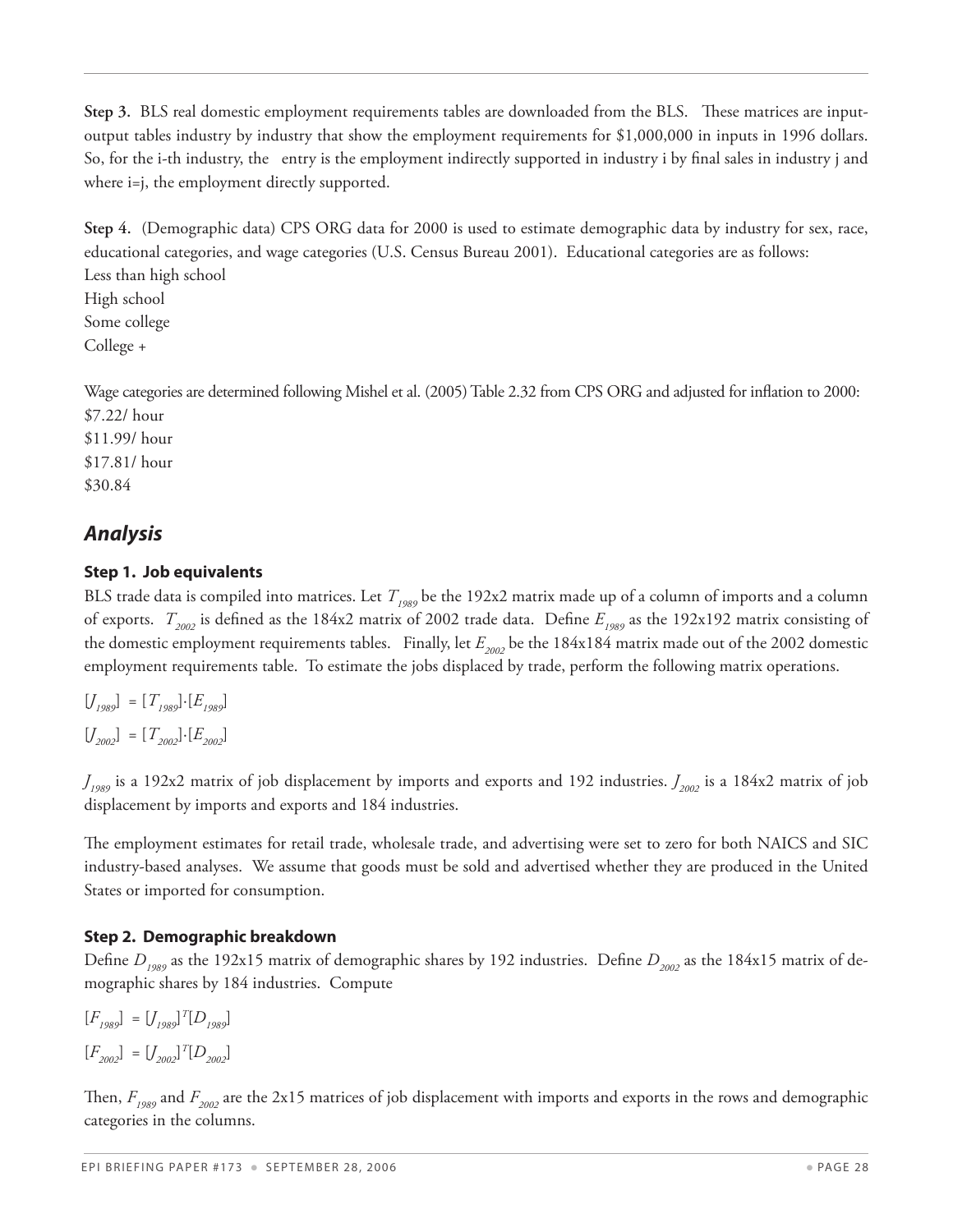**Step 3.** BLS real domestic employment requirements tables are downloaded from the BLS. These matrices are inputoutput tables industry by industry that show the employment requirements for \$1,000,000 in inputs in 1996 dollars. So, for the i-th industry, the entry is the employment indirectly supported in industry i by final sales in industry j and where i=j, the employment directly supported.

**Step 4.** (Demographic data) CPS ORG data for 2000 is used to estimate demographic data by industry for sex, race, educational categories, and wage categories (U.S. Census Bureau 2001). Educational categories are as follows: Less than high school High school Some college College +

Wage categories are determined following Mishel et al. (2005) Table 2.32 from CPS ORG and adjusted for inflation to 2000: \$7.22/ hour

\$11.99/ hour \$17.81/ hour \$30.84

#### *Analysis*

#### **Step 1. Job equivalents**

BLS trade data is compiled into matrices. Let  $T_{1989}$  be the 192x2 matrix made up of a column of imports and a column of exports.  $T_{2002}$  is defined as the 184x2 matrix of 2002 trade data. Define  $E_{1989}$  as the 192x192 matrix consisting of the domestic employment requirements tables. Finally, let  $E_{2002}$  be the 184x184 matrix made out of the 2002 domestic employment requirements table. To estimate the jobs displaced by trade, perform the following matrix operations.

 $[J_{1989}] = [T_{1989}] \cdot [E_{1989}]$  $[J_{2002}] = [T_{2002}] \cdot [E_{2002}]$ 

*J1989* is a 192x2 matrix of job displacement by imports and exports and 192 industries. *J2002* is a 184x2 matrix of job displacement by imports and exports and 184 industries.

The employment estimates for retail trade, wholesale trade, and advertising were set to zero for both NAICS and SIC industry-based analyses. We assume that goods must be sold and advertised whether they are produced in the United States or imported for consumption.

#### **Step 2. Demographic breakdown**

Define  $D_{1989}$  as the 192x15 matrix of demographic shares by 192 industries. Define  $D_{2002}$  as the 184x15 matrix of demographic shares by 184 industries. Compute

$$
[F_{1989}] = [J_{1989}]^T [D_{1989}]
$$
  

$$
[F_{2002}] = [J_{2002}]^T [D_{2002}]
$$

Then,  $F_{1989}$  and  $F_{2002}$  are the 2x15 matrices of job displacement with imports and exports in the rows and demographic categories in the columns.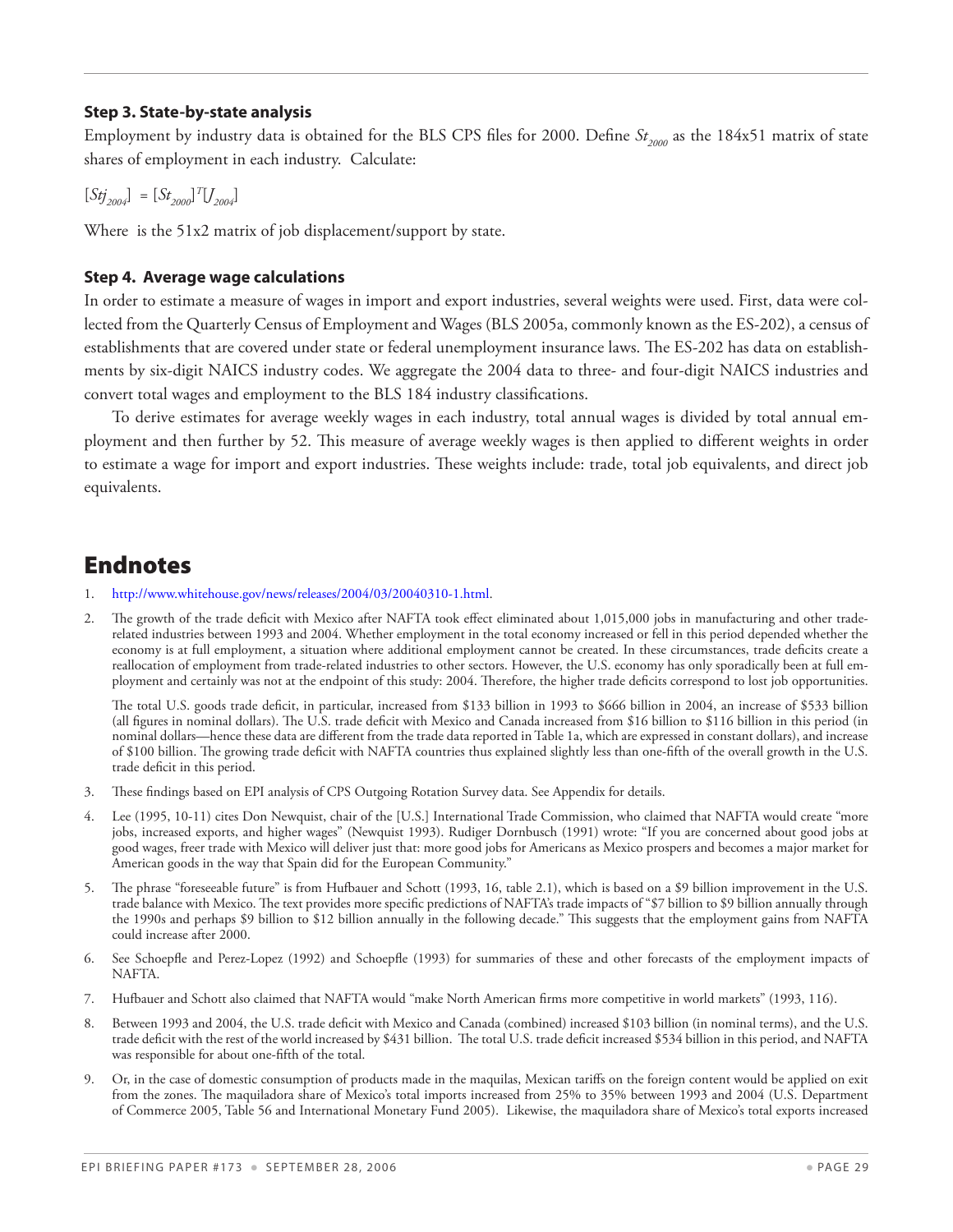#### **Step 3. State-by-state analysis**

Employment by industry data is obtained for the BLS CPS files for 2000. Define *St<sub>2000</sub>* as the 184x51 matrix of state shares of employment in each industry. Calculate:

 $[Stj_{2004}] = [St_{2000}]^{T}[J_{2004}]$ 

Where is the 51x2 matrix of job displacement/support by state.

#### **Step 4. Average wage calculations**

In order to estimate a measure of wages in import and export industries, several weights were used. First, data were collected from the Quarterly Census of Employment and Wages (BLS 2005a, commonly known as the ES-202), a census of establishments that are covered under state or federal unemployment insurance laws. The ES-202 has data on establishments by six-digit NAICS industry codes. We aggregate the 2004 data to three- and four-digit NAICS industries and convert total wages and employment to the BLS 184 industry classifications.

To derive estimates for average weekly wages in each industry, total annual wages is divided by total annual employment and then further by 52. This measure of average weekly wages is then applied to different weights in order to estimate a wage for import and export industries. These weights include: trade, total job equivalents, and direct job equivalents.

## Endnotes

- 1. http://www.whitehouse.gov/news/releases/2004/03/20040310-1.html.
- 2. The growth of the trade deficit with Mexico after NAFTA took effect eliminated about 1,015,000 jobs in manufacturing and other traderelated industries between 1993 and 2004. Whether employment in the total economy increased or fell in this period depended whether the economy is at full employment, a situation where additional employment cannot be created. In these circumstances, trade deficits create a reallocation of employment from trade-related industries to other sectors. However, the U.S. economy has only sporadically been at full employment and certainly was not at the endpoint of this study: 2004. Therefore, the higher trade deficits correspond to lost job opportunities.

The total U.S. goods trade deficit, in particular, increased from \$133 billion in 1993 to \$666 billion in 2004, an increase of \$533 billion (all figures in nominal dollars). The U.S. trade deficit with Mexico and Canada increased from \$16 billion to \$116 billion in this period (in nominal dollars—hence these data are different from the trade data reported in Table 1a, which are expressed in constant dollars), and increase of \$100 billion. The growing trade deficit with NAFTA countries thus explained slightly less than one-fifth of the overall growth in the U.S. trade deficit in this period.

- 3. These findings based on EPI analysis of CPS Outgoing Rotation Survey data. See Appendix for details.
- 4. Lee (1995, 10-11) cites Don Newquist, chair of the [U.S.] International Trade Commission, who claimed that NAFTA would create "more jobs, increased exports, and higher wages" (Newquist 1993). Rudiger Dornbusch (1991) wrote: "If you are concerned about good jobs at good wages, freer trade with Mexico will deliver just that: more good jobs for Americans as Mexico prospers and becomes a major market for American goods in the way that Spain did for the European Community."
- 5. The phrase "foreseeable future" is from Hufbauer and Schott (1993, 16, table 2.1), which is based on a \$9 billion improvement in the U.S. trade balance with Mexico. The text provides more specific predictions of NAFTA's trade impacts of "\$7 billion to \$9 billion annually through the 1990s and perhaps \$9 billion to \$12 billion annually in the following decade." This suggests that the employment gains from NAFTA could increase after 2000.
- 6. See Schoepfle and Perez-Lopez (1992) and Schoepfle (1993) for summaries of these and other forecasts of the employment impacts of NAFTA.
- 7. Hufbauer and Schott also claimed that NAFTA would "make North American firms more competitive in world markets" (1993, 116).
- 8. Between 1993 and 2004, the U.S. trade deficit with Mexico and Canada (combined) increased \$103 billion (in nominal terms), and the U.S. trade deficit with the rest of the world increased by \$431 billion. The total U.S. trade deficit increased \$534 billion in this period, and NAFTA was responsible for about one-fifth of the total.
- 9. Or, in the case of domestic consumption of products made in the maquilas, Mexican tariffs on the foreign content would be applied on exit from the zones. The maquiladora share of Mexico's total imports increased from 25% to 35% between 1993 and 2004 (U.S. Department of Commerce 2005, Table 56 and International Monetary Fund 2005). Likewise, the maquiladora share of Mexico's total exports increased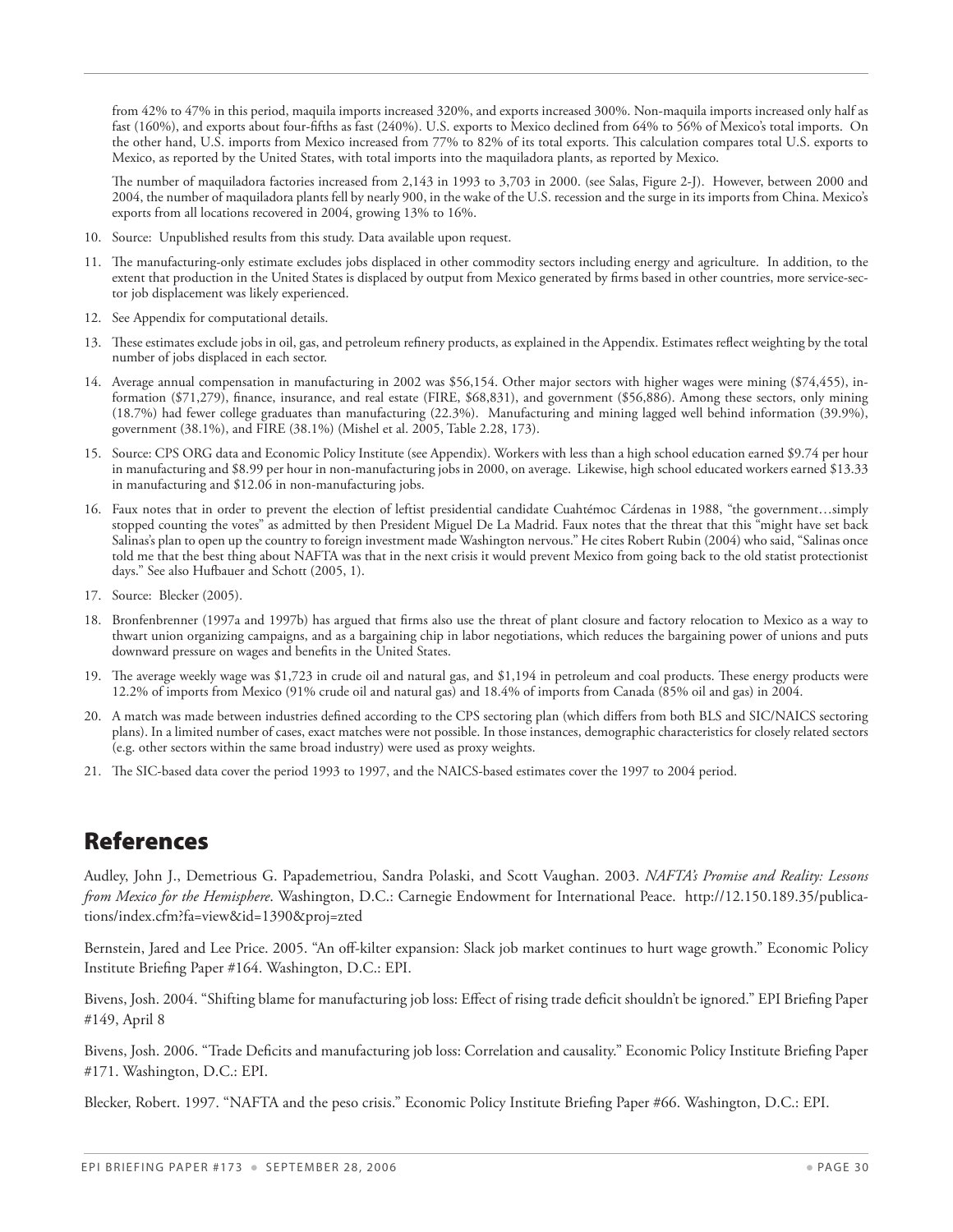from 42% to 47% in this period, maquila imports increased 320%, and exports increased 300%. Non-maquila imports increased only half as fast (160%), and exports about four-fifths as fast (240%). U.S. exports to Mexico declined from 64% to 56% of Mexico's total imports. On the other hand, U.S. imports from Mexico increased from 77% to 82% of its total exports. This calculation compares total U.S. exports to Mexico, as reported by the United States, with total imports into the maquiladora plants, as reported by Mexico.

The number of maquiladora factories increased from 2,143 in 1993 to 3,703 in 2000. (see Salas, Figure 2-J). However, between 2000 and 2004, the number of maquiladora plants fell by nearly 900, in the wake of the U.S. recession and the surge in its imports from China. Mexico's exports from all locations recovered in 2004, growing 13% to 16%.

- 10. Source: Unpublished results from this study. Data available upon request.
- 11. The manufacturing-only estimate excludes jobs displaced in other commodity sectors including energy and agriculture. In addition, to the extent that production in the United States is displaced by output from Mexico generated by firms based in other countries, more service-sector job displacement was likely experienced.
- 12. See Appendix for computational details.
- 13. These estimates exclude jobs in oil, gas, and petroleum refinery products, as explained in the Appendix. Estimates reflect weighting by the total number of jobs displaced in each sector.
- 14. Average annual compensation in manufacturing in 2002 was \$56,154. Other major sectors with higher wages were mining (\$74,455), information (\$71,279), finance, insurance, and real estate (FIRE, \$68,831), and government (\$56,886). Among these sectors, only mining (18.7%) had fewer college graduates than manufacturing (22.3%). Manufacturing and mining lagged well behind information (39.9%), government (38.1%), and FIRE (38.1%) (Mishel et al. 2005, Table 2.28, 173).
- 15. Source: CPS ORG data and Economic Policy Institute (see Appendix). Workers with less than a high school education earned \$9.74 per hour in manufacturing and \$8.99 per hour in non-manufacturing jobs in 2000, on average. Likewise, high school educated workers earned \$13.33 in manufacturing and \$12.06 in non-manufacturing jobs.
- 16. Faux notes that in order to prevent the election of leftist presidential candidate Cuahtémoc Cárdenas in 1988, "the government…simply stopped counting the votes" as admitted by then President Miguel De La Madrid. Faux notes that the threat that this "might have set back Salinas's plan to open up the country to foreign investment made Washington nervous." He cites Robert Rubin (2004) who said, "Salinas once told me that the best thing about NAFTA was that in the next crisis it would prevent Mexico from going back to the old statist protectionist days." See also Hufbauer and Schott (2005, 1).
- 17. Source: Blecker (2005).
- 18. Bronfenbrenner (1997a and 1997b) has argued that firms also use the threat of plant closure and factory relocation to Mexico as a way to thwart union organizing campaigns, and as a bargaining chip in labor negotiations, which reduces the bargaining power of unions and puts downward pressure on wages and benefits in the United States.
- 19. The average weekly wage was \$1,723 in crude oil and natural gas, and \$1,194 in petroleum and coal products. These energy products were 12.2% of imports from Mexico (91% crude oil and natural gas) and 18.4% of imports from Canada (85% oil and gas) in 2004.
- 20. A match was made between industries defined according to the CPS sectoring plan (which differs from both BLS and SIC/NAICS sectoring plans). In a limited number of cases, exact matches were not possible. In those instances, demographic characteristics for closely related sectors (e.g. other sectors within the same broad industry) were used as proxy weights.
- 21. The SIC-based data cover the period 1993 to 1997, and the NAICS-based estimates cover the 1997 to 2004 period.

## References

Audley, John J., Demetrious G. Papademetriou, Sandra Polaski, and Scott Vaughan. 2003. *NAFTA's Promise and Reality: Lessons from Mexico for the Hemisphere*. Washington, D.C.: Carnegie Endowment for International Peace. http://12.150.189.35/publications/index.cfm?fa=view&id=1390&proj=zted

Bernstein, Jared and Lee Price. 2005. "An off-kilter expansion: Slack job market continues to hurt wage growth." Economic Policy Institute Briefing Paper #164. Washington, D.C.: EPI.

Bivens, Josh. 2004. "Shifting blame for manufacturing job loss: Effect of rising trade deficit shouldn't be ignored." EPI Briefing Paper #149, April 8

Bivens, Josh. 2006. "Trade Deficits and manufacturing job loss: Correlation and causality." Economic Policy Institute Briefing Paper #171. Washington, D.C.: EPI.

Blecker, Robert. 1997. "NAFTA and the peso crisis." Economic Policy Institute Briefing Paper #66. Washington, D.C.: EPI.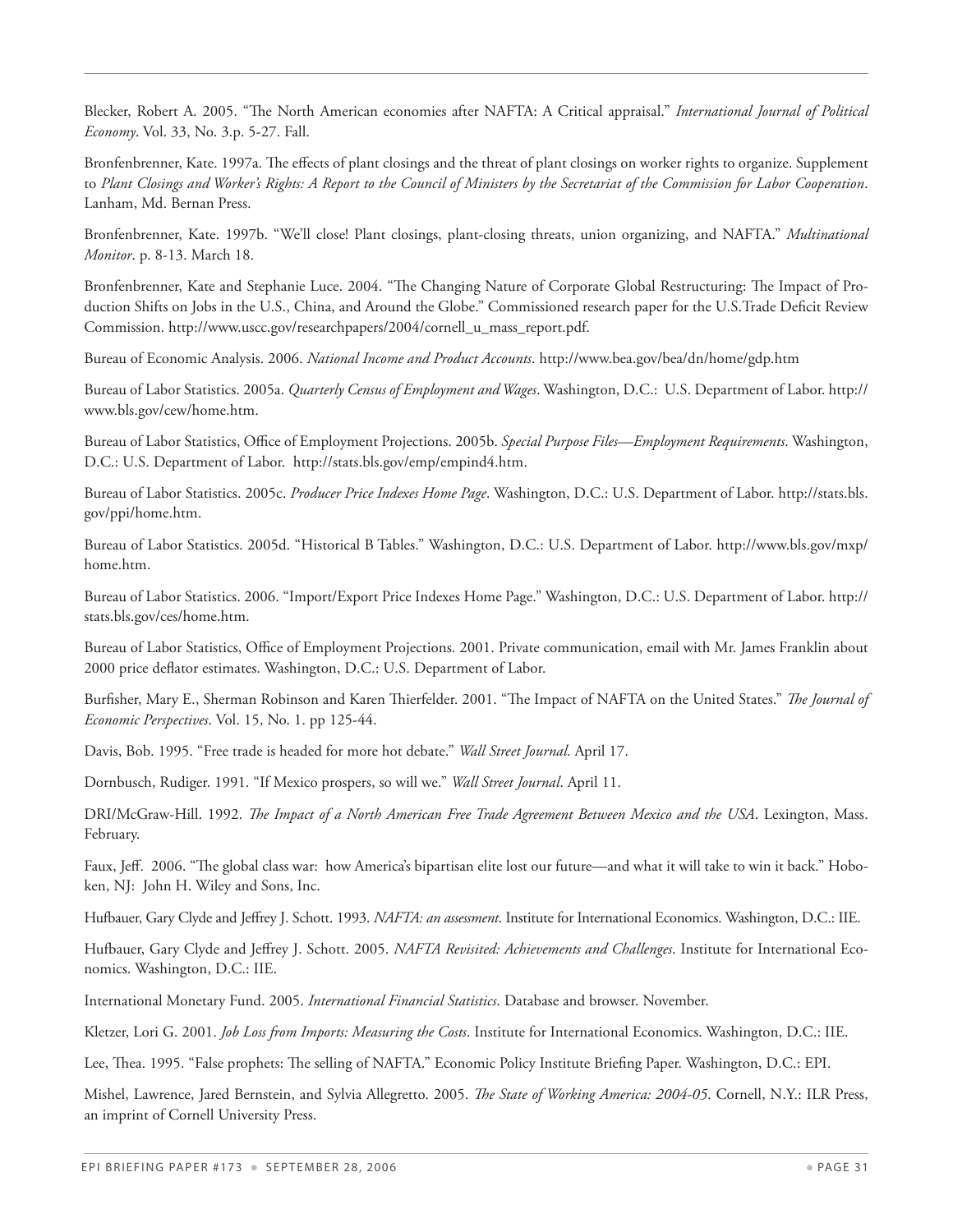Blecker, Robert A. 2005. "The North American economies after NAFTA: A Critical appraisal." *International Journal of Political Economy*. Vol. 33, No. 3.p. 5-27. Fall.

Bronfenbrenner, Kate. 1997a. The effects of plant closings and the threat of plant closings on worker rights to organize. Supplement to *Plant Closings and Worker's Rights: A Report to the Council of Ministers by the Secretariat of the Commission for Labor Cooperation*. Lanham, Md. Bernan Press.

Bronfenbrenner, Kate. 1997b. "We'll close! Plant closings, plant-closing threats, union organizing, and NAFTA." *Multinational Monitor*. p. 8-13. March 18.

Bronfenbrenner, Kate and Stephanie Luce. 2004. "The Changing Nature of Corporate Global Restructuring: The Impact of Production Shifts on Jobs in the U.S., China, and Around the Globe." Commissioned research paper for the U.S.Trade Deficit Review Commission. http://www.uscc.gov/researchpapers/2004/cornell\_u\_mass\_report.pdf.

Bureau of Economic Analysis. 2006. *National Income and Product Accounts*. http://www.bea.gov/bea/dn/home/gdp.htm

Bureau of Labor Statistics. 2005a. *Quarterly Census of Employment and Wages*. Washington, D.C.: U.S. Department of Labor. http:// www.bls.gov/cew/home.htm.

Bureau of Labor Statistics, Office of Employment Projections. 2005b. *Special Purpose Files—Employment Requirements*. Washington, D.C.: U.S. Department of Labor. http://stats.bls.gov/emp/empind4.htm.

Bureau of Labor Statistics. 2005c. *Producer Price Indexes Home Page*. Washington, D.C.: U.S. Department of Labor. http://stats.bls. gov/ppi/home.htm.

Bureau of Labor Statistics. 2005d. "Historical B Tables." Washington, D.C.: U.S. Department of Labor. http://www.bls.gov/mxp/ home.htm.

Bureau of Labor Statistics. 2006. "Import/Export Price Indexes Home Page." Washington, D.C.: U.S. Department of Labor. http:// stats.bls.gov/ces/home.htm.

Bureau of Labor Statistics, Office of Employment Projections. 2001. Private communication, email with Mr. James Franklin about 2000 price deflator estimates. Washington, D.C.: U.S. Department of Labor.

Burfisher, Mary E., Sherman Robinson and Karen Thierfelder. 2001. "The Impact of NAFTA on the United States." *The Journal of Economic Perspectives*. Vol. 15, No. 1. pp 125-44.

Davis, Bob. 1995. "Free trade is headed for more hot debate." *Wall Street Journal*. April 17.

Dornbusch, Rudiger. 1991. "If Mexico prospers, so will we." *Wall Street Journal*. April 11.

DRI/McGraw-Hill. 1992. *The Impact of a North American Free Trade Agreement Between Mexico and the USA*. Lexington, Mass. February.

Faux, Jeff. 2006. "The global class war: how America's bipartisan elite lost our future—and what it will take to win it back." Hoboken, NJ: John H. Wiley and Sons, Inc.

Hufbauer, Gary Clyde and Jeffrey J. Schott. 1993. *NAFTA: an assessment*. Institute for International Economics. Washington, D.C.: IIE.

Hufbauer, Gary Clyde and Jeffrey J. Schott. 2005. *NAFTA Revisited: Achievements and Challenges*. Institute for International Economics. Washington, D.C.: IIE.

International Monetary Fund. 2005. *International Financial Statistics*. Database and browser. November.

Kletzer, Lori G. 2001. *Job Loss from Imports: Measuring the Costs*. Institute for International Economics. Washington, D.C.: IIE.

Lee, Thea. 1995. "False prophets: The selling of NAFTA." Economic Policy Institute Briefing Paper. Washington, D.C.: EPI.

Mishel, Lawrence, Jared Bernstein, and Sylvia Allegretto. 2005. *The State of Working America: 2004-05*. Cornell, N.Y.: ILR Press, an imprint of Cornell University Press.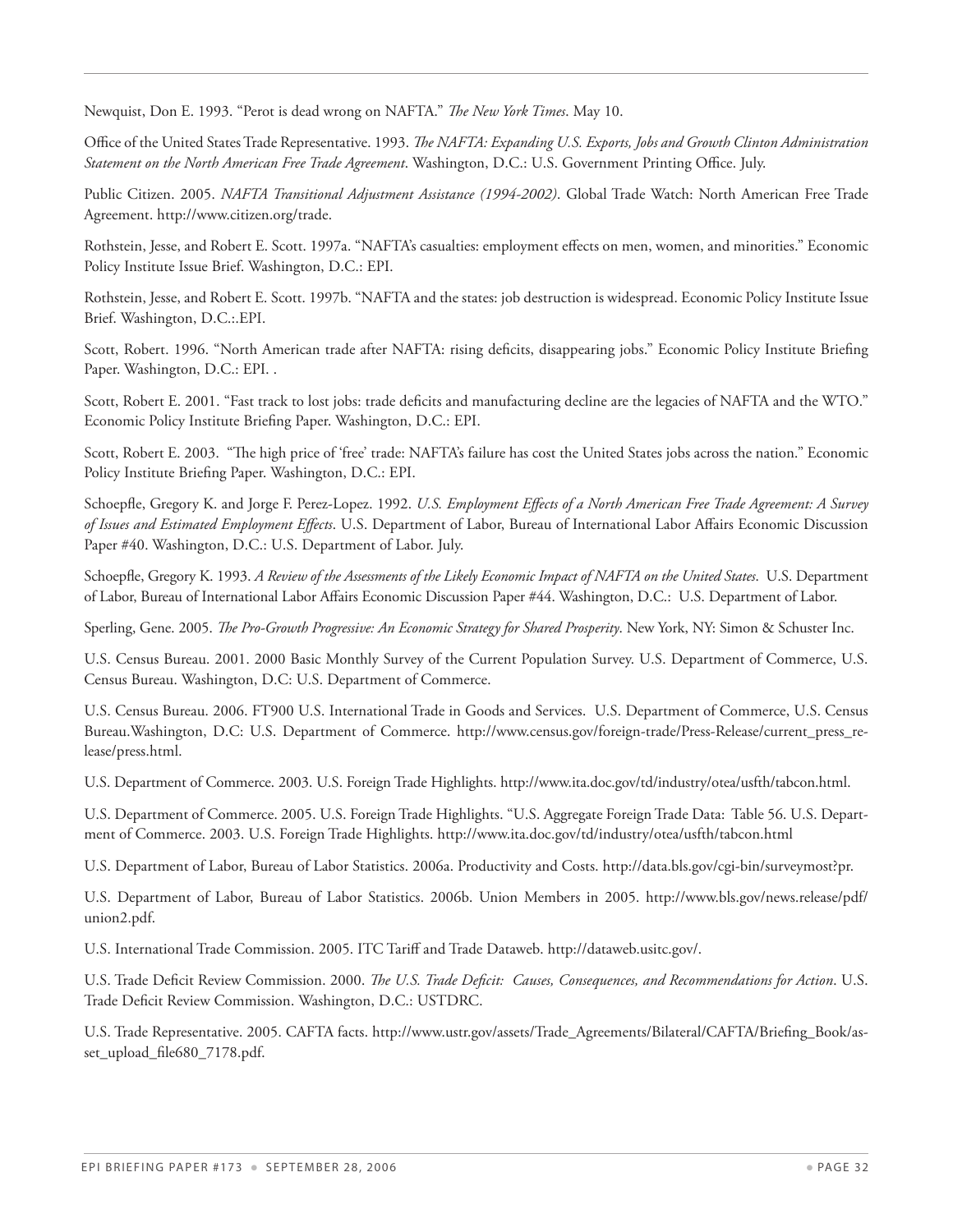Newquist, Don E. 1993. "Perot is dead wrong on NAFTA." *The New York Times*. May 10.

Office of the United States Trade Representative. 1993. *The NAFTA: Expanding U.S. Exports, Jobs and Growth Clinton Administration Statement on the North American Free Trade Agreement*. Washington, D.C.: U.S. Government Printing Office. July.

Public Citizen. 2005. *NAFTA Transitional Adjustment Assistance (1994-2002)*. Global Trade Watch: North American Free Trade Agreement. http://www.citizen.org/trade.

Rothstein, Jesse, and Robert E. Scott. 1997a. "NAFTA's casualties: employment effects on men, women, and minorities." Economic Policy Institute Issue Brief. Washington, D.C.: EPI.

Rothstein, Jesse, and Robert E. Scott. 1997b. "NAFTA and the states: job destruction is widespread. Economic Policy Institute Issue Brief. Washington, D.C.:.EPI.

Scott, Robert. 1996. "North American trade after NAFTA: rising deficits, disappearing jobs." Economic Policy Institute Briefing Paper. Washington, D.C.: EPI. .

Scott, Robert E. 2001. "Fast track to lost jobs: trade deficits and manufacturing decline are the legacies of NAFTA and the WTO." Economic Policy Institute Briefing Paper. Washington, D.C.: EPI.

Scott, Robert E. 2003. "The high price of 'free' trade: NAFTA's failure has cost the United States jobs across the nation." Economic Policy Institute Briefing Paper. Washington, D.C.: EPI.

Schoepfle, Gregory K. and Jorge F. Perez-Lopez. 1992. *U.S. Employment Effects of a North American Free Trade Agreement: A Survey of Issues and Estimated Employment Effects*. U.S. Department of Labor, Bureau of International Labor Affairs Economic Discussion Paper #40. Washington, D.C.: U.S. Department of Labor. July.

Schoepfle, Gregory K. 1993. *A Review of the Assessments of the Likely Economic Impact of NAFTA on the United States*. U.S. Department of Labor, Bureau of International Labor Affairs Economic Discussion Paper #44. Washington, D.C.: U.S. Department of Labor.

Sperling, Gene. 2005. *The Pro-Growth Progressive: An Economic Strategy for Shared Prosperity*. New York, NY: Simon & Schuster Inc.

U.S. Census Bureau. 2001. 2000 Basic Monthly Survey of the Current Population Survey. U.S. Department of Commerce, U.S. Census Bureau. Washington, D.C: U.S. Department of Commerce.

U.S. Census Bureau. 2006. FT900 U.S. International Trade in Goods and Services. U.S. Department of Commerce, U.S. Census Bureau.Washington, D.C: U.S. Department of Commerce. http://www.census.gov/foreign-trade/Press-Release/current\_press\_release/press.html.

U.S. Department of Commerce. 2003. U.S. Foreign Trade Highlights. http://www.ita.doc.gov/td/industry/otea/usfth/tabcon.html.

U.S. Department of Commerce. 2005. U.S. Foreign Trade Highlights. "U.S. Aggregate Foreign Trade Data: Table 56. U.S. Department of Commerce. 2003. U.S. Foreign Trade Highlights. http://www.ita.doc.gov/td/industry/otea/usfth/tabcon.html

U.S. Department of Labor, Bureau of Labor Statistics. 2006a. Productivity and Costs. http://data.bls.gov/cgi-bin/surveymost?pr.

U.S. Department of Labor, Bureau of Labor Statistics. 2006b. Union Members in 2005. http://www.bls.gov/news.release/pdf/ union2.pdf.

U.S. International Trade Commission. 2005. ITC Tariff and Trade Dataweb. http://dataweb.usitc.gov/.

U.S. Trade Deficit Review Commission. 2000. *The U.S. Trade Deficit: Causes, Consequences, and Recommendations for Action*. U.S. Trade Deficit Review Commission. Washington, D.C.: USTDRC.

U.S. Trade Representative. 2005. CAFTA facts. http://www.ustr.gov/assets/Trade\_Agreements/Bilateral/CAFTA/Briefing\_Book/asset\_upload\_file680\_7178.pdf.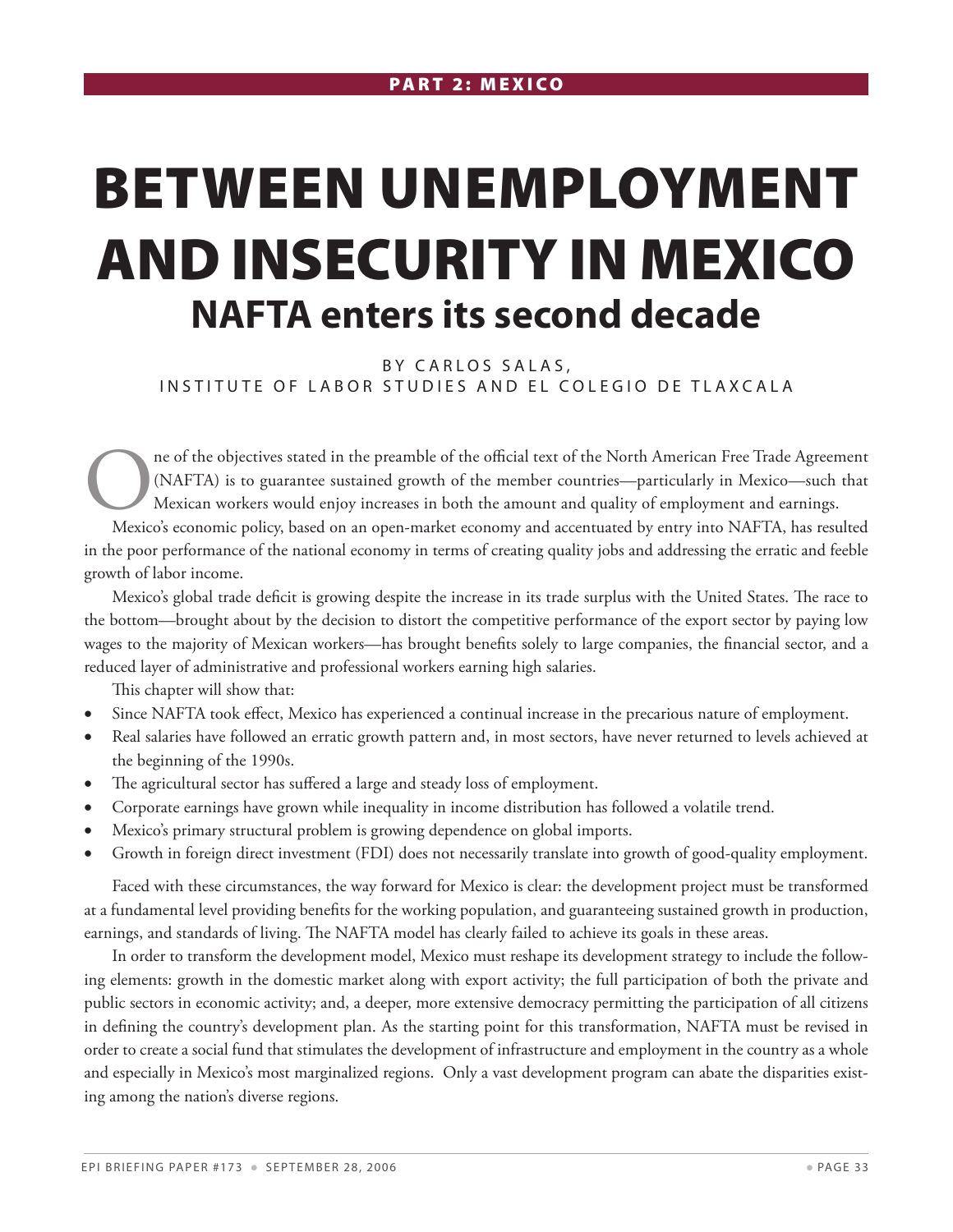# Between Unemployment and Insecurity in Mexico **NAFTA enters its second decade**

BY CARLOS SALAS, IN STITUTE OF LABOR STUDIES AND EL COLEGIO DE TLAXCALA

One of the objectives stated in the preamble of the official text of the North American Free Trade Agreement (NAFTA) is to guarantee sustained growth of the member countries—particularly in Mexico—such that Mexican workers (NAFTA) is to guarantee sustained growth of the member countries—particularly in Mexico—such that Mexican workers would enjoy increases in both the amount and quality of employment and earnings.

Mexico's economic policy, based on an open-market economy and accentuated by entry into NAFTA, has resulted in the poor performance of the national economy in terms of creating quality jobs and addressing the erratic and feeble growth of labor income.

Mexico's global trade deficit is growing despite the increase in its trade surplus with the United States. The race to the bottom—brought about by the decision to distort the competitive performance of the export sector by paying low wages to the majority of Mexican workers—has brought benefits solely to large companies, the financial sector, and a reduced layer of administrative and professional workers earning high salaries.

This chapter will show that:

- Since NAFTA took effect, Mexico has experienced a continual increase in the precarious nature of employment.
- • Real salaries have followed an erratic growth pattern and, in most sectors, have never returned to levels achieved at the beginning of the 1990s.
- The agricultural sector has suffered a large and steady loss of employment.
- Corporate earnings have grown while inequality in income distribution has followed a volatile trend.
- Mexico's primary structural problem is growing dependence on global imports.
- Growth in foreign direct investment (FDI) does not necessarily translate into growth of good-quality employment.

Faced with these circumstances, the way forward for Mexico is clear: the development project must be transformed at a fundamental level providing benefits for the working population, and guaranteeing sustained growth in production, earnings, and standards of living. The NAFTA model has clearly failed to achieve its goals in these areas.

In order to transform the development model, Mexico must reshape its development strategy to include the following elements: growth in the domestic market along with export activity; the full participation of both the private and public sectors in economic activity; and, a deeper, more extensive democracy permitting the participation of all citizens in defining the country's development plan. As the starting point for this transformation, NAFTA must be revised in order to create a social fund that stimulates the development of infrastructure and employment in the country as a whole and especially in Mexico's most marginalized regions. Only a vast development program can abate the disparities existing among the nation's diverse regions.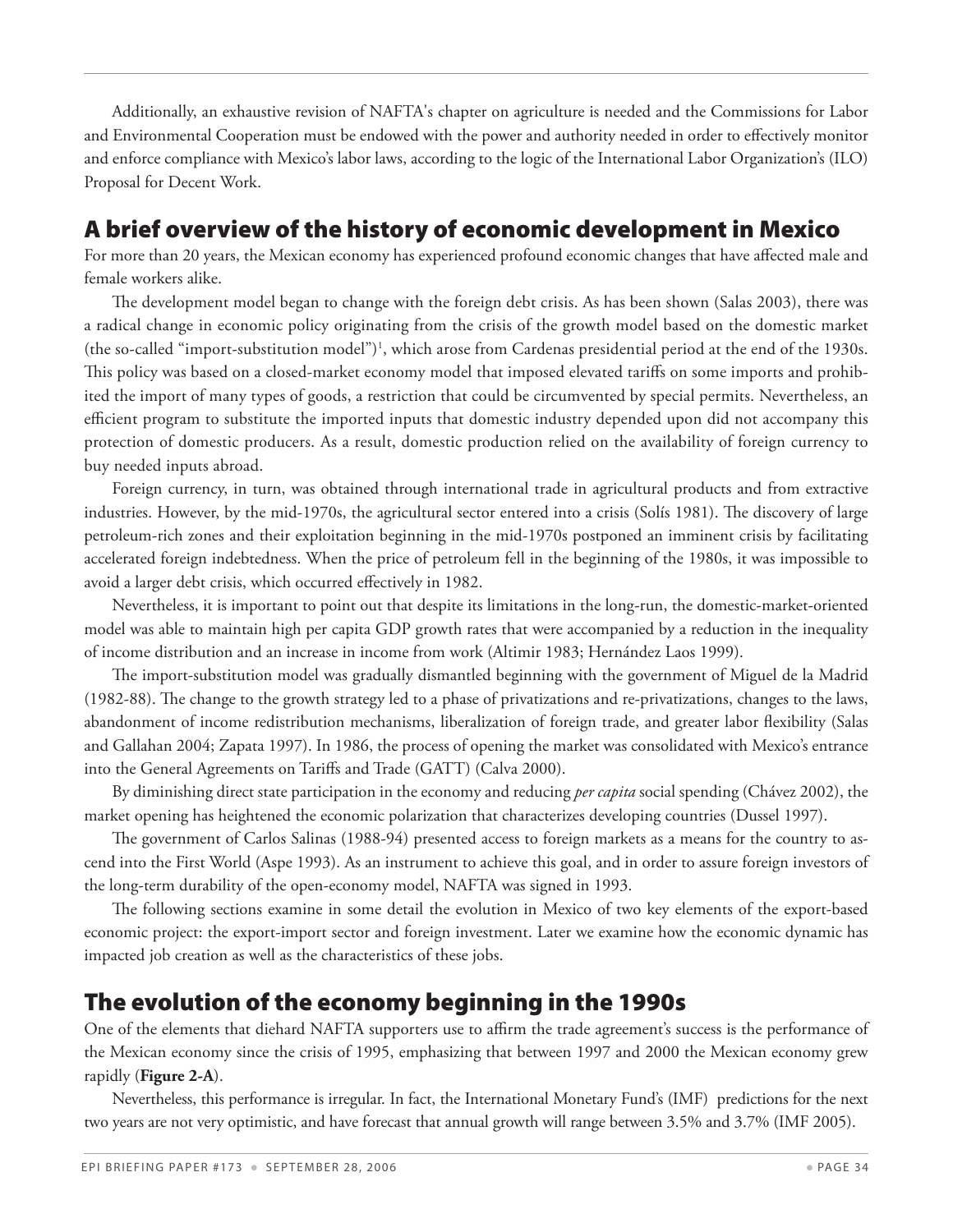Additionally, an exhaustive revision of NAFTA's chapter on agriculture is needed and the Commissions for Labor and Environmental Cooperation must be endowed with the power and authority needed in order to effectively monitor and enforce compliance with Mexico's labor laws, according to the logic of the International Labor Organization's (ILO) Proposal for Decent Work.

## A brief overview of the history of economic development in Mexico

For more than 20 years, the Mexican economy has experienced profound economic changes that have affected male and female workers alike.

The development model began to change with the foreign debt crisis. As has been shown (Salas 2003), there was a radical change in economic policy originating from the crisis of the growth model based on the domestic market (the so-called "import-substitution model")<sup>1</sup>, which arose from Cardenas presidential period at the end of the 1930s. This policy was based on a closed-market economy model that imposed elevated tariffs on some imports and prohibited the import of many types of goods, a restriction that could be circumvented by special permits. Nevertheless, an efficient program to substitute the imported inputs that domestic industry depended upon did not accompany this protection of domestic producers. As a result, domestic production relied on the availability of foreign currency to buy needed inputs abroad.

Foreign currency, in turn, was obtained through international trade in agricultural products and from extractive industries. However, by the mid-1970s, the agricultural sector entered into a crisis (Solís 1981). The discovery of large petroleum-rich zones and their exploitation beginning in the mid-1970s postponed an imminent crisis by facilitating accelerated foreign indebtedness. When the price of petroleum fell in the beginning of the 1980s, it was impossible to avoid a larger debt crisis, which occurred effectively in 1982.

Nevertheless, it is important to point out that despite its limitations in the long-run, the domestic-market-oriented model was able to maintain high per capita GDP growth rates that were accompanied by a reduction in the inequality of income distribution and an increase in income from work (Altimir 1983; Hernández Laos 1999).

The import-substitution model was gradually dismantled beginning with the government of Miguel de la Madrid (1982-88). The change to the growth strategy led to a phase of privatizations and re-privatizations, changes to the laws, abandonment of income redistribution mechanisms, liberalization of foreign trade, and greater labor flexibility (Salas and Gallahan 2004; Zapata 1997). In 1986, the process of opening the market was consolidated with Mexico's entrance into the General Agreements on Tariffs and Trade (GATT) (Calva 2000).

By diminishing direct state participation in the economy and reducing *per capita* social spending (Chávez 2002), the market opening has heightened the economic polarization that characterizes developing countries (Dussel 1997).

The government of Carlos Salinas (1988-94) presented access to foreign markets as a means for the country to ascend into the First World (Aspe 1993). As an instrument to achieve this goal, and in order to assure foreign investors of the long-term durability of the open-economy model, NAFTA was signed in 1993.

The following sections examine in some detail the evolution in Mexico of two key elements of the export-based economic project: the export-import sector and foreign investment. Later we examine how the economic dynamic has impacted job creation as well as the characteristics of these jobs.

## The evolution of the economy beginning in the 1990s

One of the elements that diehard NAFTA supporters use to affirm the trade agreement's success is the performance of the Mexican economy since the crisis of 1995, emphasizing that between 1997 and 2000 the Mexican economy grew rapidly (**Figure 2-A**).

Nevertheless, this performance is irregular. In fact, the International Monetary Fund's (IMF) predictions for the next two years are not very optimistic, and have forecast that annual growth will range between 3.5% and 3.7% (IMF 2005).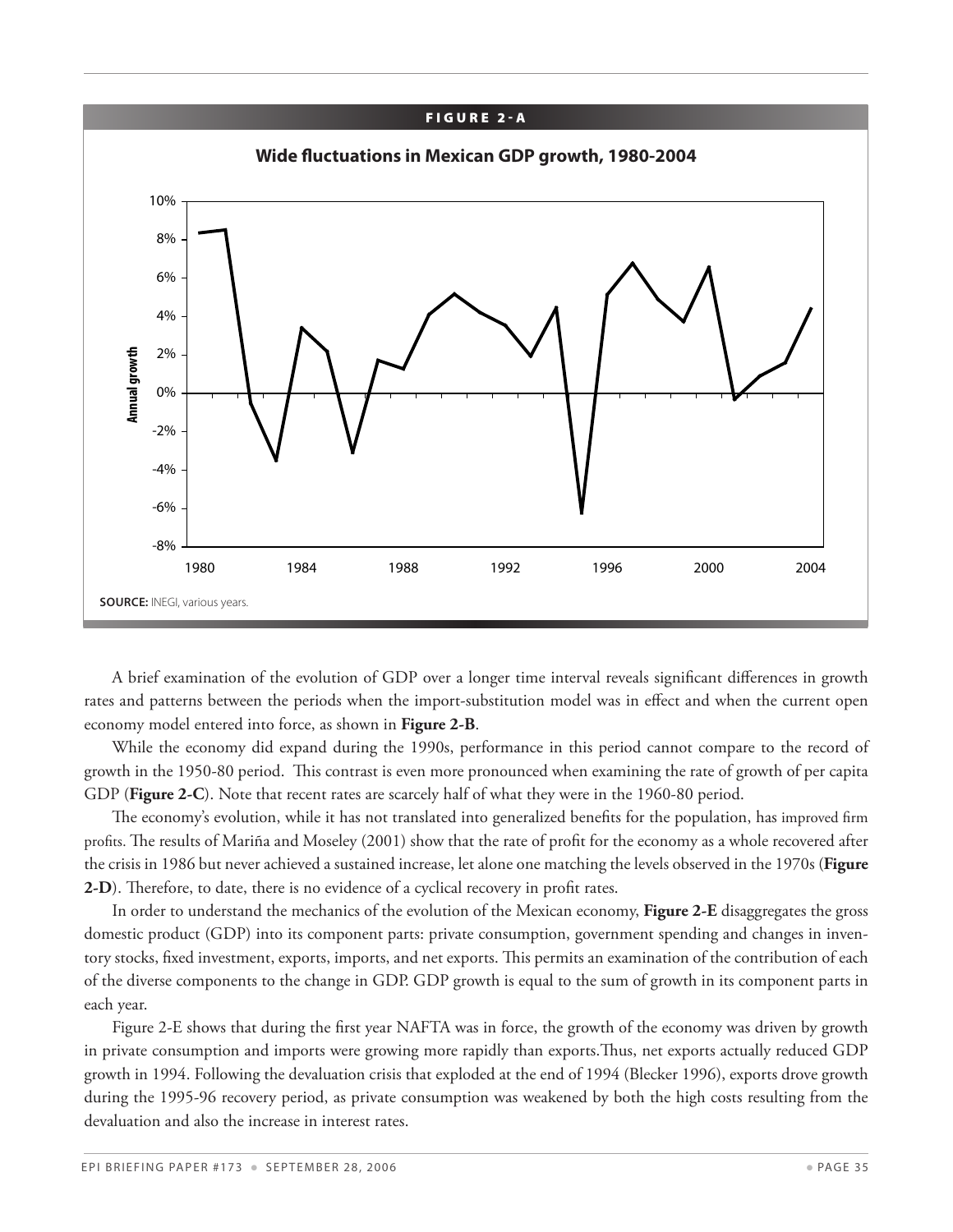![](_page_34_Figure_0.jpeg)

A brief examination of the evolution of GDP over a longer time interval reveals significant differences in growth rates and patterns between the periods when the import-substitution model was in effect and when the current open economy model entered into force, as shown in **Figure 2-B**.

While the economy did expand during the 1990s, performance in this period cannot compare to the record of growth in the 1950-80 period. This contrast is even more pronounced when examining the rate of growth of per capita GDP (**Figure 2-C**). Note that recent rates are scarcely half of what they were in the 1960-80 period.

The economy's evolution, while it has not translated into generalized benefits for the population, has improved firm profits. The results of Mariña and Moseley (2001) show that the rate of profit for the economy as a whole recovered after the crisis in 1986 but never achieved a sustained increase, let alone one matching the levels observed in the 1970s (**Figure 2-D**). Therefore, to date, there is no evidence of a cyclical recovery in profit rates.

In order to understand the mechanics of the evolution of the Mexican economy, **Figure 2-E** disaggregates the gross domestic product (GDP) into its component parts: private consumption, government spending and changes in inventory stocks, fixed investment, exports, imports, and net exports. This permits an examination of the contribution of each of the diverse components to the change in GDP. GDP growth is equal to the sum of growth in its component parts in each year.

Figure 2-E shows that during the first year NAFTA was in force, the growth of the economy was driven by growth in private consumption and imports were growing more rapidly than exports.Thus, net exports actually reduced GDP growth in 1994. Following the devaluation crisis that exploded at the end of 1994 (Blecker 1996), exports drove growth during the 1995-96 recovery period, as private consumption was weakened by both the high costs resulting from the devaluation and also the increase in interest rates.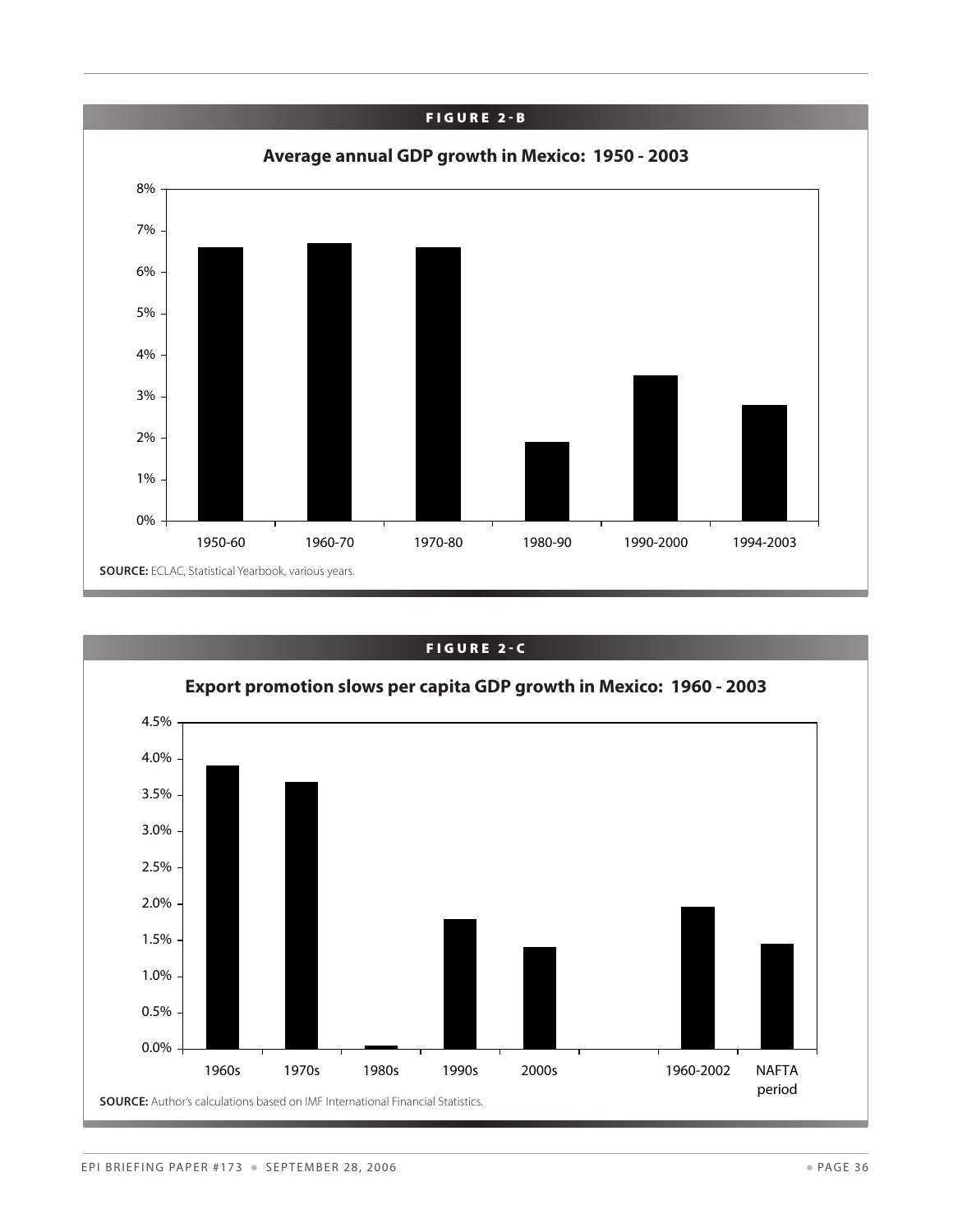![](_page_35_Figure_0.jpeg)

![](_page_35_Figure_1.jpeg)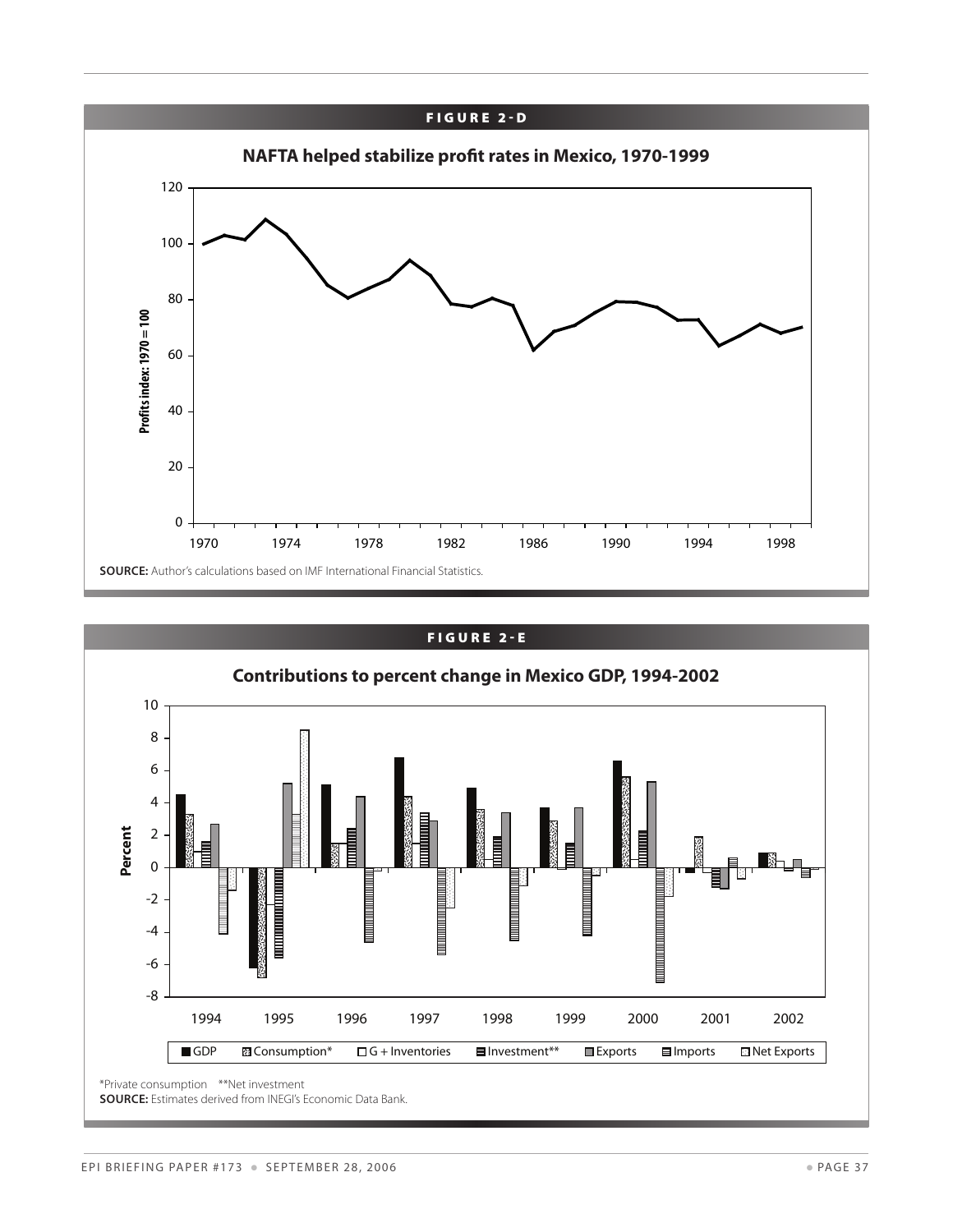![](_page_36_Figure_0.jpeg)

![](_page_36_Figure_1.jpeg)

SOURCE: Estimates derived from INEGI's Economic Data Bank.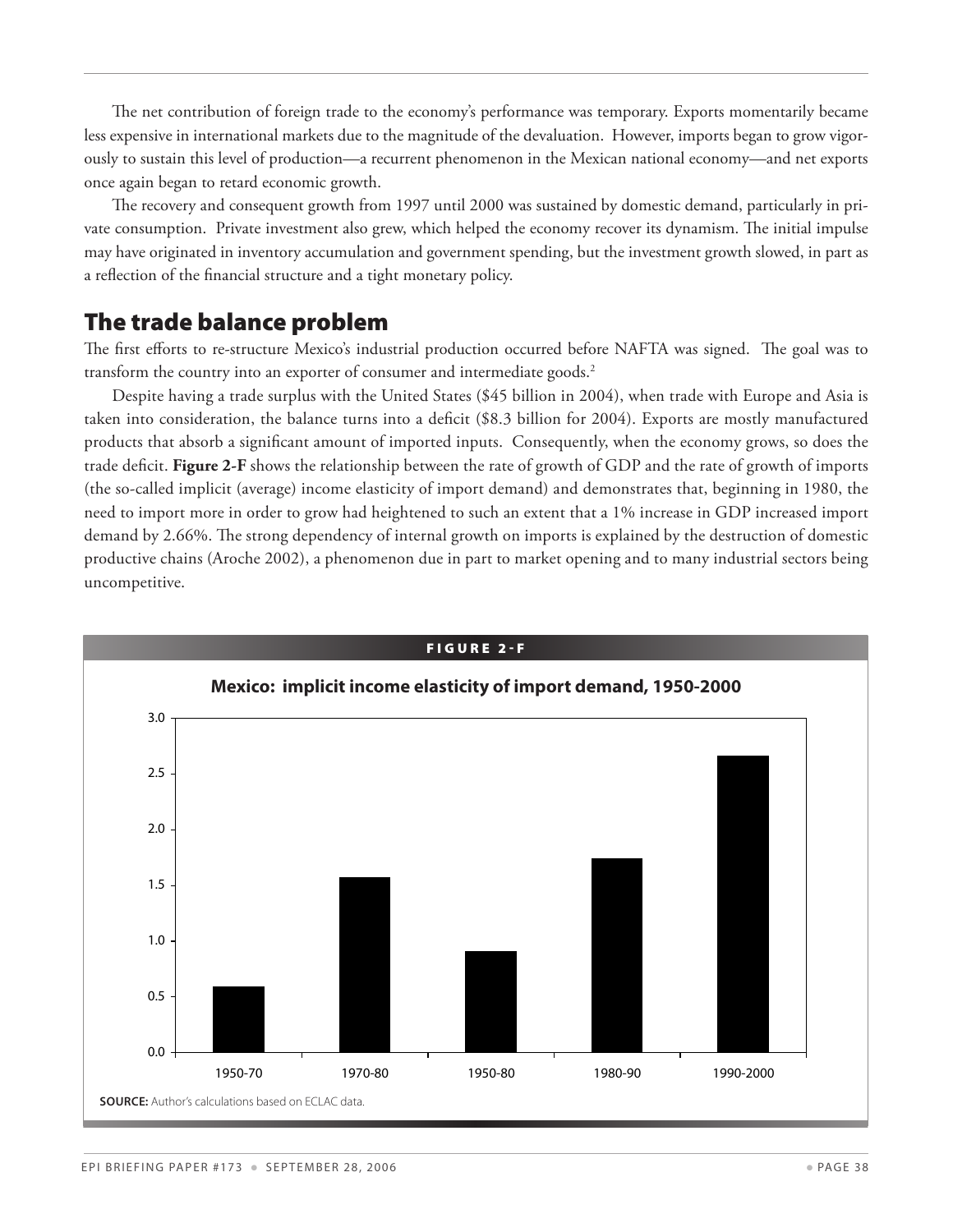The net contribution of foreign trade to the economy's performance was temporary. Exports momentarily became less expensive in international markets due to the magnitude of the devaluation. However, imports began to grow vigorously to sustain this level of production—a recurrent phenomenon in the Mexican national economy—and net exports once again began to retard economic growth.

The recovery and consequent growth from 1997 until 2000 was sustained by domestic demand, particularly in private consumption. Private investment also grew, which helped the economy recover its dynamism. The initial impulse may have originated in inventory accumulation and government spending, but the investment growth slowed, in part as a reflection of the financial structure and a tight monetary policy.

#### The trade balance problem

The first efforts to re-structure Mexico's industrial production occurred before NAFTA was signed. The goal was to transform the country into an exporter of consumer and intermediate goods.<sup>2</sup>

Despite having a trade surplus with the United States (\$45 billion in 2004), when trade with Europe and Asia is taken into consideration, the balance turns into a deficit (\$8.3 billion for 2004). Exports are mostly manufactured products that absorb a significant amount of imported inputs. Consequently, when the economy grows, so does the trade deficit. **Figure 2-F** shows the relationship between the rate of growth of GDP and the rate of growth of imports (the so-called implicit (average) income elasticity of import demand) and demonstrates that, beginning in 1980, the need to import more in order to grow had heightened to such an extent that a 1% increase in GDP increased import demand by 2.66%. The strong dependency of internal growth on imports is explained by the destruction of domestic productive chains (Aroche 2002), a phenomenon due in part to market opening and to many industrial sectors being uncompetitive.

![](_page_37_Figure_5.jpeg)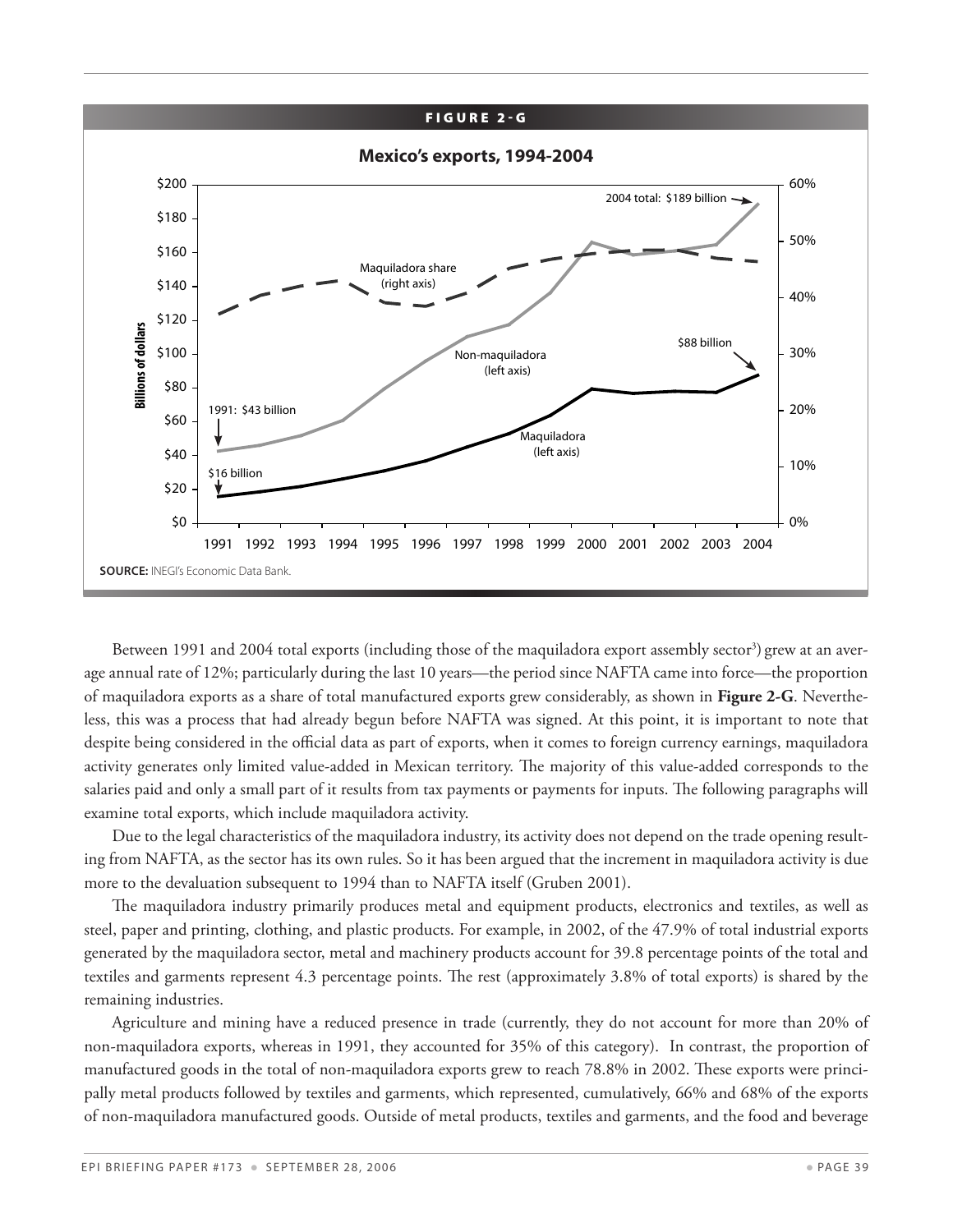#### FIGURE 2-G

![](_page_38_Figure_1.jpeg)

Between 1991 and 2004 total exports (including those of the maquiladora export assembly sector<sup>3</sup>) grew at an average annual rate of 12%; particularly during the last 10 years—the period since NAFTA came into force—the proportion of maquiladora exports as a share of total manufactured exports grew considerably, as shown in **Figure 2-G**. Nevertheless, this was a process that had already begun before NAFTA was signed. At this point, it is important to note that despite being considered in the official data as part of exports, when it comes to foreign currency earnings, maquiladora activity generates only limited value-added in Mexican territory. The majority of this value-added corresponds to the salaries paid and only a small part of it results from tax payments or payments for inputs. The following paragraphs will examine total exports, which include maquiladora activity.

Due to the legal characteristics of the maquiladora industry, its activity does not depend on the trade opening resulting from NAFTA, as the sector has its own rules. So it has been argued that the increment in maquiladora activity is due more to the devaluation subsequent to 1994 than to NAFTA itself (Gruben 2001).

The maquiladora industry primarily produces metal and equipment products, electronics and textiles, as well as steel, paper and printing, clothing, and plastic products. For example, in 2002, of the 47.9% of total industrial exports generated by the maquiladora sector, metal and machinery products account for 39.8 percentage points of the total and textiles and garments represent 4.3 percentage points. The rest (approximately 3.8% of total exports) is shared by the remaining industries.

Agriculture and mining have a reduced presence in trade (currently, they do not account for more than 20% of non-maquiladora exports, whereas in 1991, they accounted for 35% of this category). In contrast, the proportion of manufactured goods in the total of non-maquiladora exports grew to reach 78.8% in 2002. These exports were principally metal products followed by textiles and garments, which represented, cumulatively, 66% and 68% of the exports of non-maquiladora manufactured goods. Outside of metal products, textiles and garments, and the food and beverage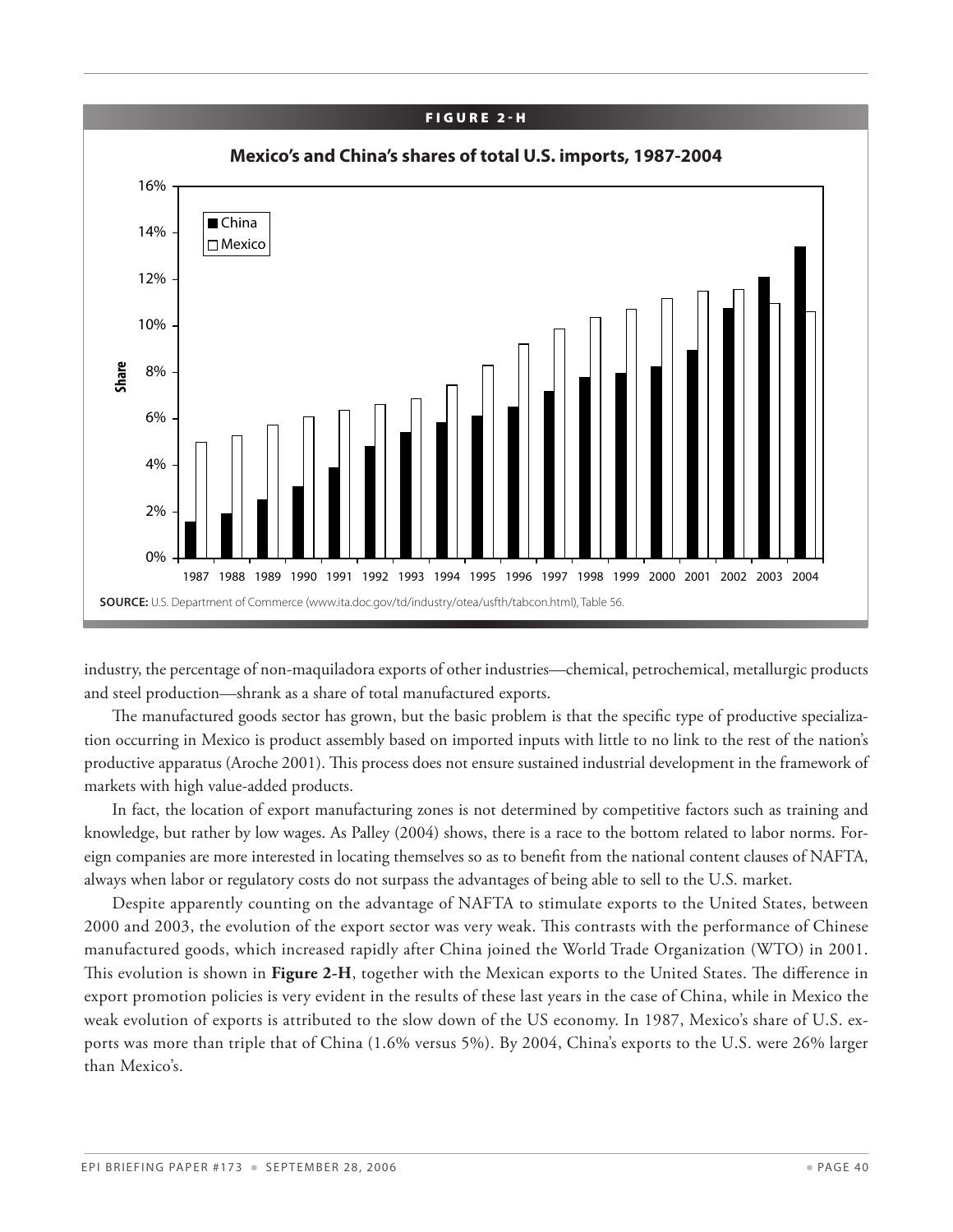#### FIGURE 2-H

![](_page_39_Figure_1.jpeg)

industry, the percentage of non-maquiladora exports of other industries—chemical, petrochemical, metallurgic products and steel production—shrank as a share of total manufactured exports.

The manufactured goods sector has grown, but the basic problem is that the specific type of productive specialization occurring in Mexico is product assembly based on imported inputs with little to no link to the rest of the nation's productive apparatus (Aroche 2001). This process does not ensure sustained industrial development in the framework of markets with high value-added products.

In fact, the location of export manufacturing zones is not determined by competitive factors such as training and knowledge, but rather by low wages. As Palley (2004) shows, there is a race to the bottom related to labor norms. Foreign companies are more interested in locating themselves so as to benefit from the national content clauses of NAFTA, always when labor or regulatory costs do not surpass the advantages of being able to sell to the U.S. market.

Despite apparently counting on the advantage of NAFTA to stimulate exports to the United States, between 2000 and 2003, the evolution of the export sector was very weak. This contrasts with the performance of Chinese manufactured goods, which increased rapidly after China joined the World Trade Organization (WTO) in 2001. This evolution is shown in **Figure 2-H**, together with the Mexican exports to the United States. The difference in export promotion policies is very evident in the results of these last years in the case of China, while in Mexico the weak evolution of exports is attributed to the slow down of the US economy. In 1987, Mexico's share of U.S. exports was more than triple that of China (1.6% versus 5%). By 2004, China's exports to the U.S. were 26% larger than Mexico's.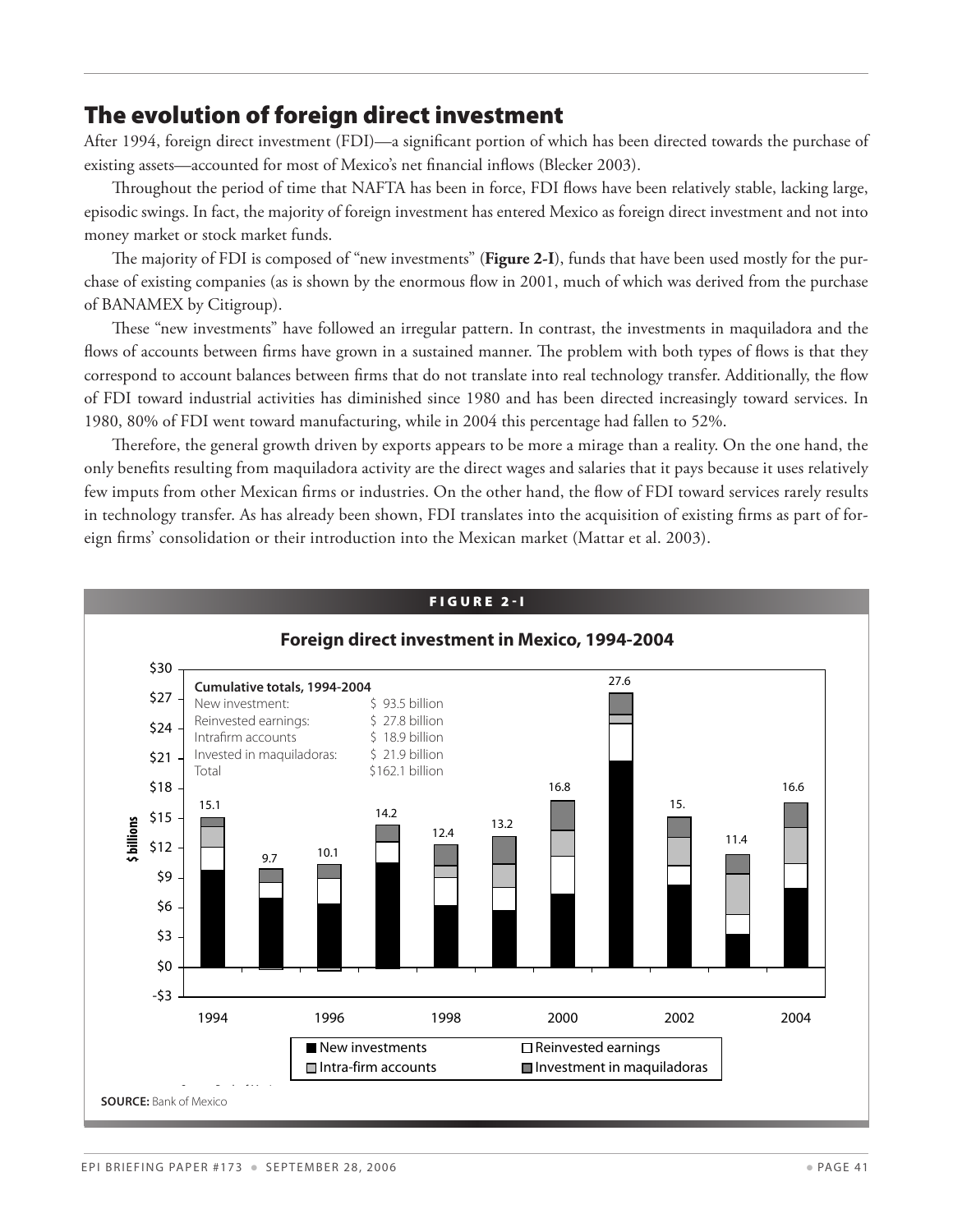#### The evolution of foreign direct investment

After 1994, foreign direct investment (FDI)—a significant portion of which has been directed towards the purchase of existing assets—accounted for most of Mexico's net financial inflows (Blecker 2003).

Throughout the period of time that NAFTA has been in force, FDI flows have been relatively stable, lacking large, episodic swings. In fact, the majority of foreign investment has entered Mexico as foreign direct investment and not into money market or stock market funds.

The majority of FDI is composed of "new investments" (**Figure 2-I**), funds that have been used mostly for the purchase of existing companies (as is shown by the enormous flow in 2001, much of which was derived from the purchase of BANAMEX by Citigroup).

These "new investments" have followed an irregular pattern. In contrast, the investments in maquiladora and the flows of accounts between firms have grown in a sustained manner. The problem with both types of flows is that they correspond to account balances between firms that do not translate into real technology transfer. Additionally, the flow of FDI toward industrial activities has diminished since 1980 and has been directed increasingly toward services. In 1980, 80% of FDI went toward manufacturing, while in 2004 this percentage had fallen to 52%.

Therefore, the general growth driven by exports appears to be more a mirage than a reality. On the one hand, the only benefits resulting from maquiladora activity are the direct wages and salaries that it pays because it uses relatively few imputs from other Mexican firms or industries. On the other hand, the flow of FDI toward services rarely results in technology transfer. As has already been shown, FDI translates into the acquisition of existing firms as part of foreign firms' consolidation or their introduction into the Mexican market (Mattar et al. 2003).

![](_page_40_Figure_6.jpeg)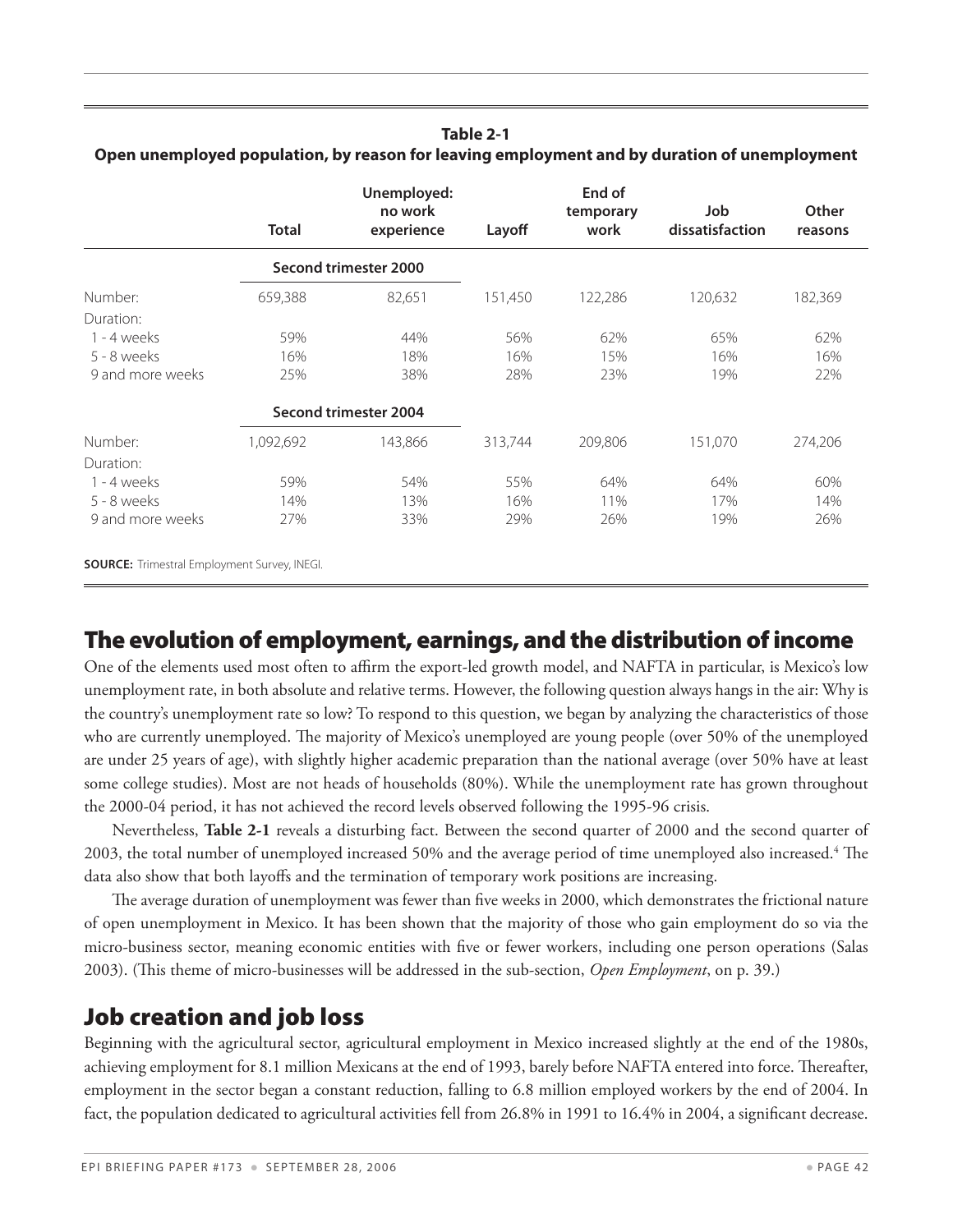## **Table 2-1**

|                  | <b>Total</b> | Unemployed:<br>no work<br>experience | Layoff  | End of<br>temporary<br>work | Job<br>dissatisfaction | Other<br>reasons |
|------------------|--------------|--------------------------------------|---------|-----------------------------|------------------------|------------------|
|                  |              | Second trimester 2000                |         |                             |                        |                  |
| Number:          | 659,388      | 82,651                               | 151,450 | 122,286                     | 120,632                | 182,369          |
| Duration:        |              |                                      |         |                             |                        |                  |
| $1 - 4$ weeks    | 59%          | 44%                                  | 56%     | 62%                         | 65%                    | 62%              |
| $5 - 8$ weeks    | 16%          | 18%                                  | 16%     | 15%                         | 16%                    | 16%              |
| 9 and more weeks | 25%          | 38%                                  | 28%     | 23%                         | 19%                    | 22%              |
|                  |              | Second trimester 2004                |         |                             |                        |                  |
| Number:          | 1,092,692    | 143,866                              | 313,744 | 209,806                     | 151,070                | 274,206          |
| Duration:        |              |                                      |         |                             |                        |                  |
| $1 - 4$ weeks    | 59%          | 54%                                  | 55%     | 64%                         | 64%                    | 60%              |
| $5 - 8$ weeks    | 14%          | 13%                                  | 16%     | 11%                         | 17%                    | 14%              |
| 9 and more weeks | 27%          | 33%                                  | 29%     | 26%                         | 19%                    | 26%              |

**Open unemployed population, by reason for leaving employment and by duration of unemployment**

**Source:** Trimestral Employment Survey, INEGI. 

## The evolution of employment, earnings, and the distribution of income

One of the elements used most often to affirm the export-led growth model, and NAFTA in particular, is Mexico's low unemployment rate, in both absolute and relative terms. However, the following question always hangs in the air: Why is the country's unemployment rate so low? To respond to this question, we began by analyzing the characteristics of those who are currently unemployed. The majority of Mexico's unemployed are young people (over 50% of the unemployed are under 25 years of age), with slightly higher academic preparation than the national average (over 50% have at least some college studies). Most are not heads of households (80%). While the unemployment rate has grown throughout the 2000-04 period, it has not achieved the record levels observed following the 1995-96 crisis.

Nevertheless, **Table 2-1** reveals a disturbing fact. Between the second quarter of 2000 and the second quarter of 2003, the total number of unemployed increased 50% and the average period of time unemployed also increased.<sup>4</sup> The data also show that both layoffs and the termination of temporary work positions are increasing.

The average duration of unemployment was fewer than five weeks in 2000, which demonstrates the frictional nature of open unemployment in Mexico. It has been shown that the majority of those who gain employment do so via the micro-business sector, meaning economic entities with five or fewer workers, including one person operations (Salas 2003). (This theme of micro-businesses will be addressed in the sub-section, *Open Employment*, on p. 39.)

## Job creation and job loss

Beginning with the agricultural sector, agricultural employment in Mexico increased slightly at the end of the 1980s, achieving employment for 8.1 million Mexicans at the end of 1993, barely before NAFTA entered into force. Thereafter, employment in the sector began a constant reduction, falling to 6.8 million employed workers by the end of 2004. In fact, the population dedicated to agricultural activities fell from 26.8% in 1991 to 16.4% in 2004, a significant decrease.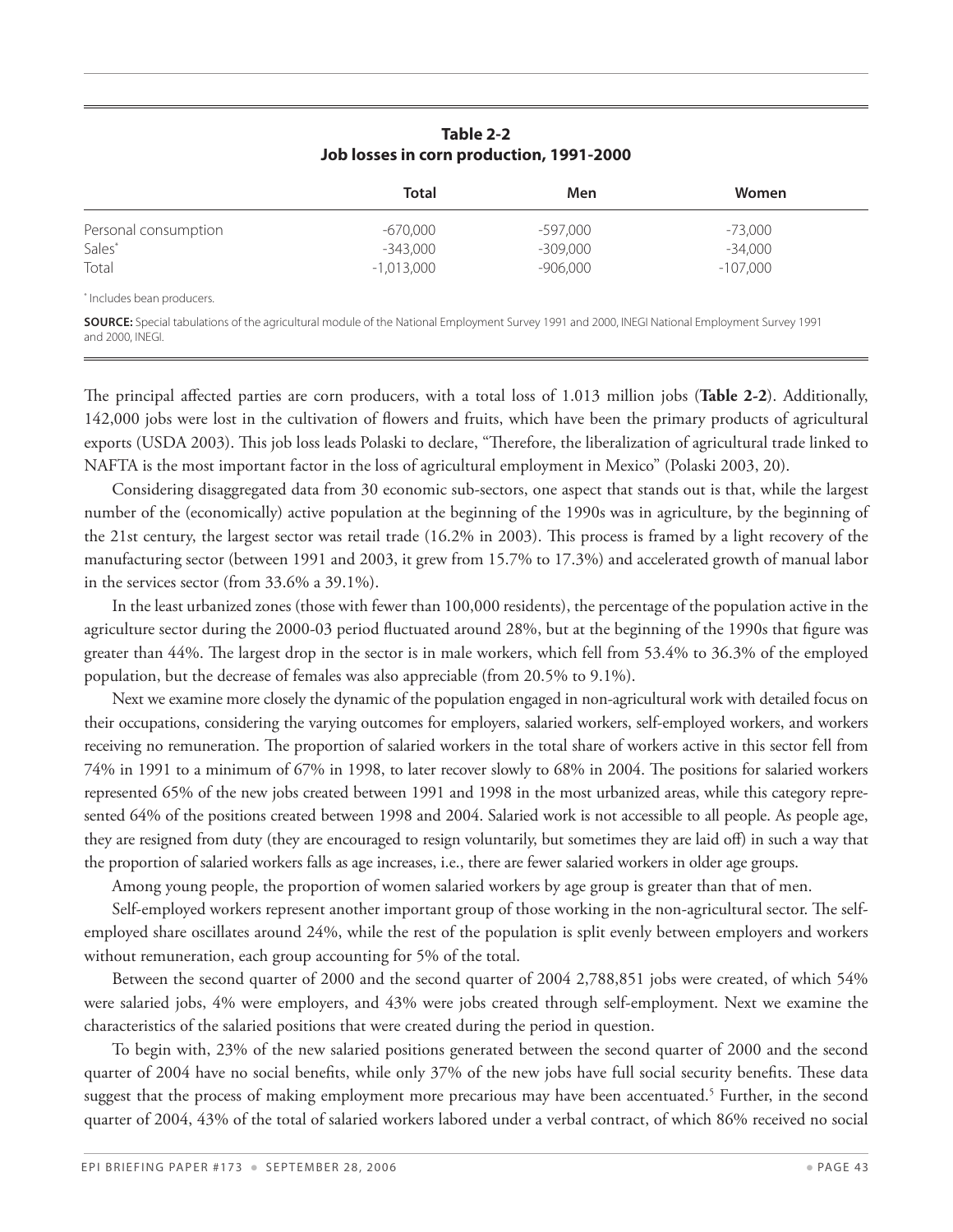#### **Table 2-2 Job losses in corn production, 1991-2000**

|                      | <b>Total</b> | Men        | Women      |  |
|----------------------|--------------|------------|------------|--|
| Personal consumption | -670,000     | -597,000   | -73,000    |  |
| Sales*               | -343,000     | -309,000   | $-34.000$  |  |
| Total                | $-1.013.000$ | $-906,000$ | $-107,000$ |  |

\* Includes bean producers. 

**Source:** Special tabulations of the agricultural module of the National Employment Survey 1991 and 2000, INEGI National Employment Survey 1991 and 2000, INEGI. 

The principal affected parties are corn producers, with a total loss of 1.013 million jobs (**Table 2-2**). Additionally, 142,000 jobs were lost in the cultivation of flowers and fruits, which have been the primary products of agricultural exports (USDA 2003). This job loss leads Polaski to declare, "Therefore, the liberalization of agricultural trade linked to NAFTA is the most important factor in the loss of agricultural employment in Mexico" (Polaski 2003, 20).

Considering disaggregated data from 30 economic sub-sectors, one aspect that stands out is that, while the largest number of the (economically) active population at the beginning of the 1990s was in agriculture, by the beginning of the 21st century, the largest sector was retail trade (16.2% in 2003). This process is framed by a light recovery of the manufacturing sector (between 1991 and 2003, it grew from 15.7% to 17.3%) and accelerated growth of manual labor in the services sector (from 33.6% a 39.1%).

In the least urbanized zones (those with fewer than 100,000 residents), the percentage of the population active in the agriculture sector during the 2000-03 period fluctuated around 28%, but at the beginning of the 1990s that figure was greater than 44%. The largest drop in the sector is in male workers, which fell from 53.4% to 36.3% of the employed population, but the decrease of females was also appreciable (from 20.5% to 9.1%).

Next we examine more closely the dynamic of the population engaged in non-agricultural work with detailed focus on their occupations, considering the varying outcomes for employers, salaried workers, self-employed workers, and workers receiving no remuneration. The proportion of salaried workers in the total share of workers active in this sector fell from 74% in 1991 to a minimum of 67% in 1998, to later recover slowly to 68% in 2004. The positions for salaried workers represented 65% of the new jobs created between 1991 and 1998 in the most urbanized areas, while this category represented 64% of the positions created between 1998 and 2004. Salaried work is not accessible to all people. As people age, they are resigned from duty (they are encouraged to resign voluntarily, but sometimes they are laid off) in such a way that the proportion of salaried workers falls as age increases, i.e., there are fewer salaried workers in older age groups.

Among young people, the proportion of women salaried workers by age group is greater than that of men.

Self-employed workers represent another important group of those working in the non-agricultural sector. The selfemployed share oscillates around 24%, while the rest of the population is split evenly between employers and workers without remuneration, each group accounting for 5% of the total.

Between the second quarter of 2000 and the second quarter of 2004 2,788,851 jobs were created, of which 54% were salaried jobs, 4% were employers, and 43% were jobs created through self-employment. Next we examine the characteristics of the salaried positions that were created during the period in question.

To begin with, 23% of the new salaried positions generated between the second quarter of 2000 and the second quarter of 2004 have no social benefits, while only 37% of the new jobs have full social security benefits. These data suggest that the process of making employment more precarious may have been accentuated.<sup>5</sup> Further, in the second quarter of 2004, 43% of the total of salaried workers labored under a verbal contract, of which 86% received no social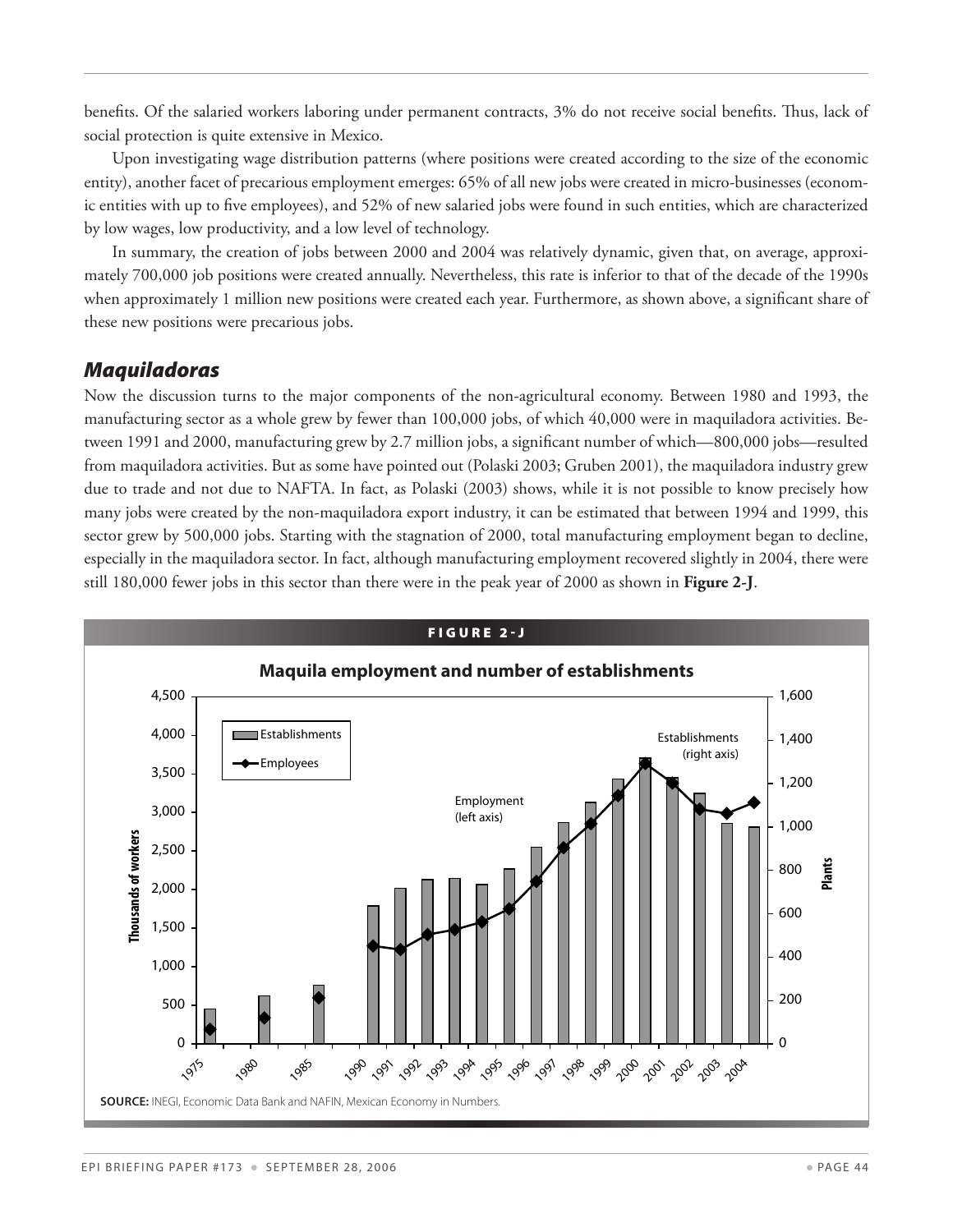benefits. Of the salaried workers laboring under permanent contracts, 3% do not receive social benefits. Thus, lack of social protection is quite extensive in Mexico.

Upon investigating wage distribution patterns (where positions were created according to the size of the economic entity), another facet of precarious employment emerges: 65% of all new jobs were created in micro-businesses (economic entities with up to five employees), and 52% of new salaried jobs were found in such entities, which are characterized by low wages, low productivity, and a low level of technology.

In summary, the creation of jobs between 2000 and 2004 was relatively dynamic, given that, on average, approximately 700,000 job positions were created annually. Nevertheless, this rate is inferior to that of the decade of the 1990s when approximately 1 million new positions were created each year. Furthermore, as shown above, a significant share of these new positions were precarious jobs.

#### *Maquiladoras*

Now the discussion turns to the major components of the non-agricultural economy. Between 1980 and 1993, the manufacturing sector as a whole grew by fewer than 100,000 jobs, of which 40,000 were in maquiladora activities. Between 1991 and 2000, manufacturing grew by 2.7 million jobs, a significant number of which—800,000 jobs—resulted from maquiladora activities. But as some have pointed out (Polaski 2003; Gruben 2001), the maquiladora industry grew due to trade and not due to NAFTA. In fact, as Polaski (2003) shows, while it is not possible to know precisely how many jobs were created by the non-maquiladora export industry, it can be estimated that between 1994 and 1999, this sector grew by 500,000 jobs. Starting with the stagnation of 2000, total manufacturing employment began to decline, especially in the maquiladora sector. In fact, although manufacturing employment recovered slightly in 2004, there were still 180,000 fewer jobs in this sector than there were in the peak year of 2000 as shown in **Figure 2-J**.

![](_page_43_Figure_5.jpeg)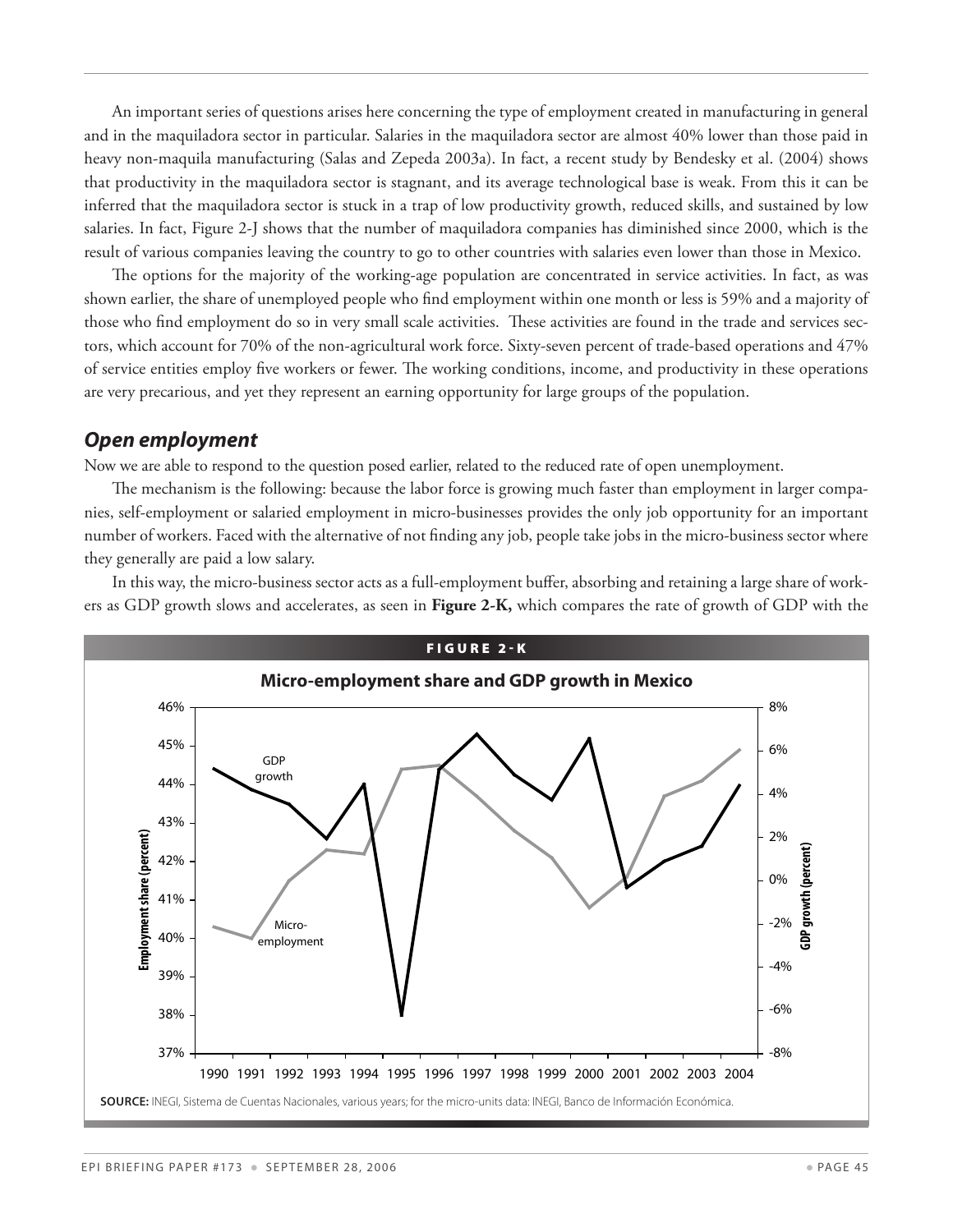An important series of questions arises here concerning the type of employment created in manufacturing in general and in the maquiladora sector in particular. Salaries in the maquiladora sector are almost 40% lower than those paid in heavy non-maquila manufacturing (Salas and Zepeda 2003a). In fact, a recent study by Bendesky et al. (2004) shows that productivity in the maquiladora sector is stagnant, and its average technological base is weak. From this it can be inferred that the maquiladora sector is stuck in a trap of low productivity growth, reduced skills, and sustained by low salaries. In fact, Figure 2-J shows that the number of maquiladora companies has diminished since 2000, which is the result of various companies leaving the country to go to other countries with salaries even lower than those in Mexico.

The options for the majority of the working-age population are concentrated in service activities. In fact, as was shown earlier, the share of unemployed people who find employment within one month or less is 59% and a majority of those who find employment do so in very small scale activities. These activities are found in the trade and services sectors, which account for 70% of the non-agricultural work force. Sixty-seven percent of trade-based operations and 47% of service entities employ five workers or fewer. The working conditions, income, and productivity in these operations are very precarious, and yet they represent an earning opportunity for large groups of the population.

#### *Open employment*

Now we are able to respond to the question posed earlier, related to the reduced rate of open unemployment.

The mechanism is the following: because the labor force is growing much faster than employment in larger companies, self-employment or salaried employment in micro-businesses provides the only job opportunity for an important number of workers. Faced with the alternative of not finding any job, people take jobs in the micro-business sector where they generally are paid a low salary.

In this way, the micro-business sector acts as a full-employment buffer, absorbing and retaining a large share of workers as GDP growth slows and accelerates, as seen in **Figure 2-K,** which compares the rate of growth of GDP with the

![](_page_44_Figure_6.jpeg)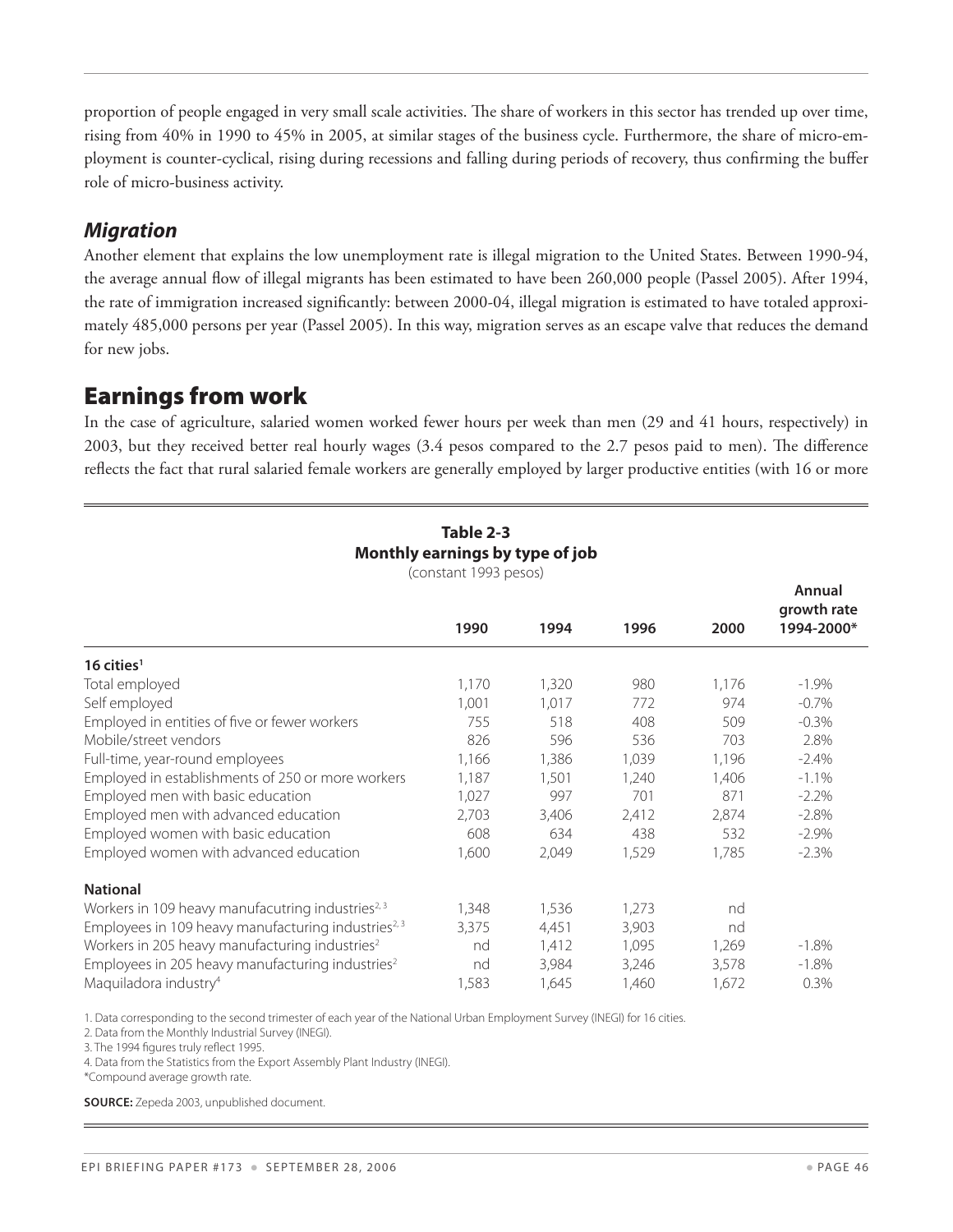proportion of people engaged in very small scale activities. The share of workers in this sector has trended up over time, rising from 40% in 1990 to 45% in 2005, at similar stages of the business cycle. Furthermore, the share of micro-employment is counter-cyclical, rising during recessions and falling during periods of recovery, thus confirming the buffer role of micro-business activity.

#### *Migration*

Another element that explains the low unemployment rate is illegal migration to the United States. Between 1990-94, the average annual flow of illegal migrants has been estimated to have been 260,000 people (Passel 2005). After 1994, the rate of immigration increased significantly: between 2000-04, illegal migration is estimated to have totaled approximately 485,000 persons per year (Passel 2005). In this way, migration serves as an escape valve that reduces the demand for new jobs.

## Earnings from work

In the case of agriculture, salaried women worked fewer hours per week than men (29 and 41 hours, respectively) in 2003, but they received better real hourly wages (3.4 pesos compared to the 2.7 pesos paid to men). The difference reflects the fact that rural salaried female workers are generally employed by larger productive entities (with 16 or more

| Monthly earnings by type of job<br>(constant 1993 pesos)        |       |       |       |       |                                     |
|-----------------------------------------------------------------|-------|-------|-------|-------|-------------------------------------|
|                                                                 | 1990  | 1994  | 1996  | 2000  | Annual<br>growth rate<br>1994-2000* |
| $16$ cities <sup>1</sup>                                        |       |       |       |       |                                     |
| Total employed                                                  | 1,170 | 1,320 | 980   | 1,176 | $-1.9\%$                            |
| Self employed                                                   | 1,001 | 1,017 | 772   | 974   | $-0.7\%$                            |
| Employed in entities of five or fewer workers                   | 755   | 518   | 408   | 509   | $-0.3\%$                            |
| Mobile/street vendors                                           | 826   | 596   | 536   | 703   | 2.8%                                |
| Full-time, year-round employees                                 | 1,166 | 1,386 | 1,039 | 1,196 | $-2.4\%$                            |
| Employed in establishments of 250 or more workers               | 1,187 | 1,501 | 1,240 | 1,406 | $-1.1%$                             |
| Employed men with basic education                               | 1,027 | 997   | 701   | 871   | $-2.2%$                             |
| Employed men with advanced education                            | 2,703 | 3,406 | 2,412 | 2,874 | $-2.8%$                             |
| Employed women with basic education                             | 608   | 634   | 438   | 532   | $-2.9\%$                            |
| Employed women with advanced education                          | 1,600 | 2,049 | 1,529 | 1,785 | $-2.3%$                             |
| <b>National</b>                                                 |       |       |       |       |                                     |
| Workers in 109 heavy manufacutring industries <sup>2, 3</sup>   | 1,348 | 1,536 | 1,273 | nd    |                                     |
| Employees in 109 heavy manufacturing industries <sup>2, 3</sup> | 3,375 | 4,451 | 3,903 | nd    |                                     |
| Workers in 205 heavy manufacturing industries <sup>2</sup>      | nd    | 1,412 | 1,095 | 1,269 | $-1.8\%$                            |
| Employees in 205 heavy manufacturing industries <sup>2</sup>    | nd    | 3,984 | 3,246 | 3,578 | $-1.8\%$                            |
| Maquiladora industry <sup>4</sup>                               | 1,583 | 1,645 | 1,460 | 1,672 | 0.3%                                |

## **Table 2-3**

1. Data corresponding to the second trimester of each year of the National Urban Employment Survey (INEGI) for 16 cities. 

2. Data from the Monthly Industrial Survey (INEGI). 

3. The 1994 figures truly reflect 1995. 

4. Data from the Statistics from the Export Assembly Plant Industry (INEGI). 

\*Compound average growth rate. 

**Source:** Zepeda 2003, unpublished document.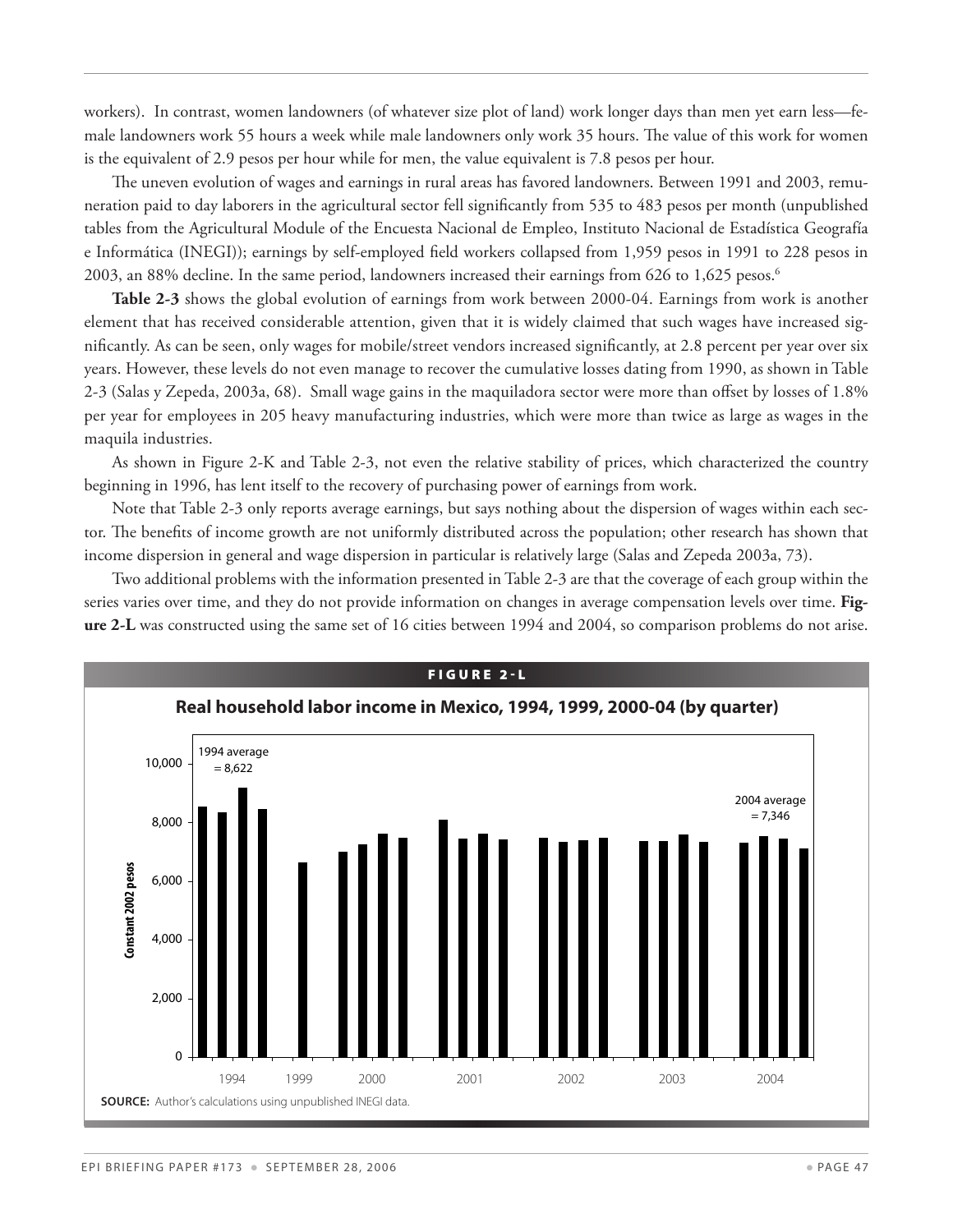workers). In contrast, women landowners (of whatever size plot of land) work longer days than men yet earn less—female landowners work 55 hours a week while male landowners only work 35 hours. The value of this work for women is the equivalent of 2.9 pesos per hour while for men, the value equivalent is 7.8 pesos per hour.

The uneven evolution of wages and earnings in rural areas has favored landowners. Between 1991 and 2003, remuneration paid to day laborers in the agricultural sector fell significantly from 535 to 483 pesos per month (unpublished tables from the Agricultural Module of the Encuesta Nacional de Empleo, Instituto Nacional de Estadística Geografía e Informática (INEGI)); earnings by self-employed field workers collapsed from 1,959 pesos in 1991 to 228 pesos in 2003, an 88% decline. In the same period, landowners increased their earnings from 626 to 1,625 pesos.<sup>6</sup>

**Table 2-3** shows the global evolution of earnings from work between 2000-04. Earnings from work is another element that has received considerable attention, given that it is widely claimed that such wages have increased significantly. As can be seen, only wages for mobile/street vendors increased significantly, at 2.8 percent per year over six years. However, these levels do not even manage to recover the cumulative losses dating from 1990, as shown in Table 2-3 (Salas y Zepeda, 2003a, 68). Small wage gains in the maquiladora sector were more than offset by losses of 1.8% per year for employees in 205 heavy manufacturing industries, which were more than twice as large as wages in the maquila industries.

As shown in Figure 2-K and Table 2-3, not even the relative stability of prices, which characterized the country beginning in 1996, has lent itself to the recovery of purchasing power of earnings from work.

Note that Table 2-3 only reports average earnings, but says nothing about the dispersion of wages within each sector. The benefits of income growth are not uniformly distributed across the population; other research has shown that income dispersion in general and wage dispersion in particular is relatively large (Salas and Zepeda 2003a, 73).

Two additional problems with the information presented in Table 2-3 are that the coverage of each group within the series varies over time, and they do not provide information on changes in average compensation levels over time. **Figure 2-L** was constructed using the same set of 16 cities between 1994 and 2004, so comparison problems do not arise.

![](_page_46_Figure_6.jpeg)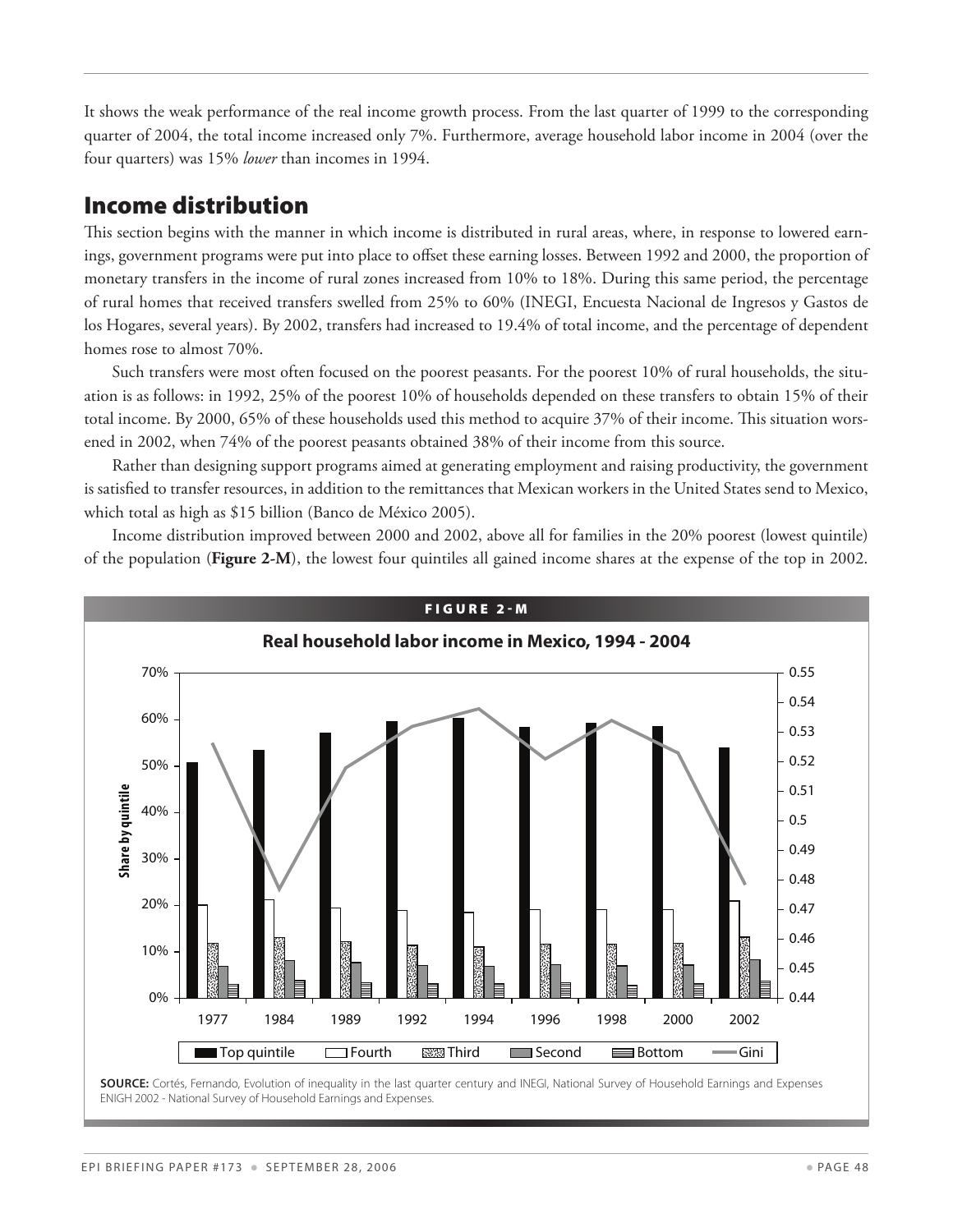It shows the weak performance of the real income growth process. From the last quarter of 1999 to the corresponding quarter of 2004, the total income increased only 7%. Furthermore, average household labor income in 2004 (over the four quarters) was 15% *lower* than incomes in 1994.

## Income distribution

This section begins with the manner in which income is distributed in rural areas, where, in response to lowered earnings, government programs were put into place to offset these earning losses. Between 1992 and 2000, the proportion of monetary transfers in the income of rural zones increased from 10% to 18%. During this same period, the percentage of rural homes that received transfers swelled from 25% to 60% (INEGI, Encuesta Nacional de Ingresos y Gastos de los Hogares, several years). By 2002, transfers had increased to 19.4% of total income, and the percentage of dependent homes rose to almost 70%.

Such transfers were most often focused on the poorest peasants. For the poorest 10% of rural households, the situation is as follows: in 1992, 25% of the poorest 10% of households depended on these transfers to obtain 15% of their total income. By 2000, 65% of these households used this method to acquire 37% of their income. This situation worsened in 2002, when 74% of the poorest peasants obtained 38% of their income from this source.

Rather than designing support programs aimed at generating employment and raising productivity, the government is satisfied to transfer resources, in addition to the remittances that Mexican workers in the United States send to Mexico, which total as high as \$15 billion (Banco de México 2005).

Income distribution improved between 2000 and 2002, above all for families in the 20% poorest (lowest quintile) of the population (**Figure 2-M**), the lowest four quintiles all gained income shares at the expense of the top in 2002.

![](_page_47_Figure_6.jpeg)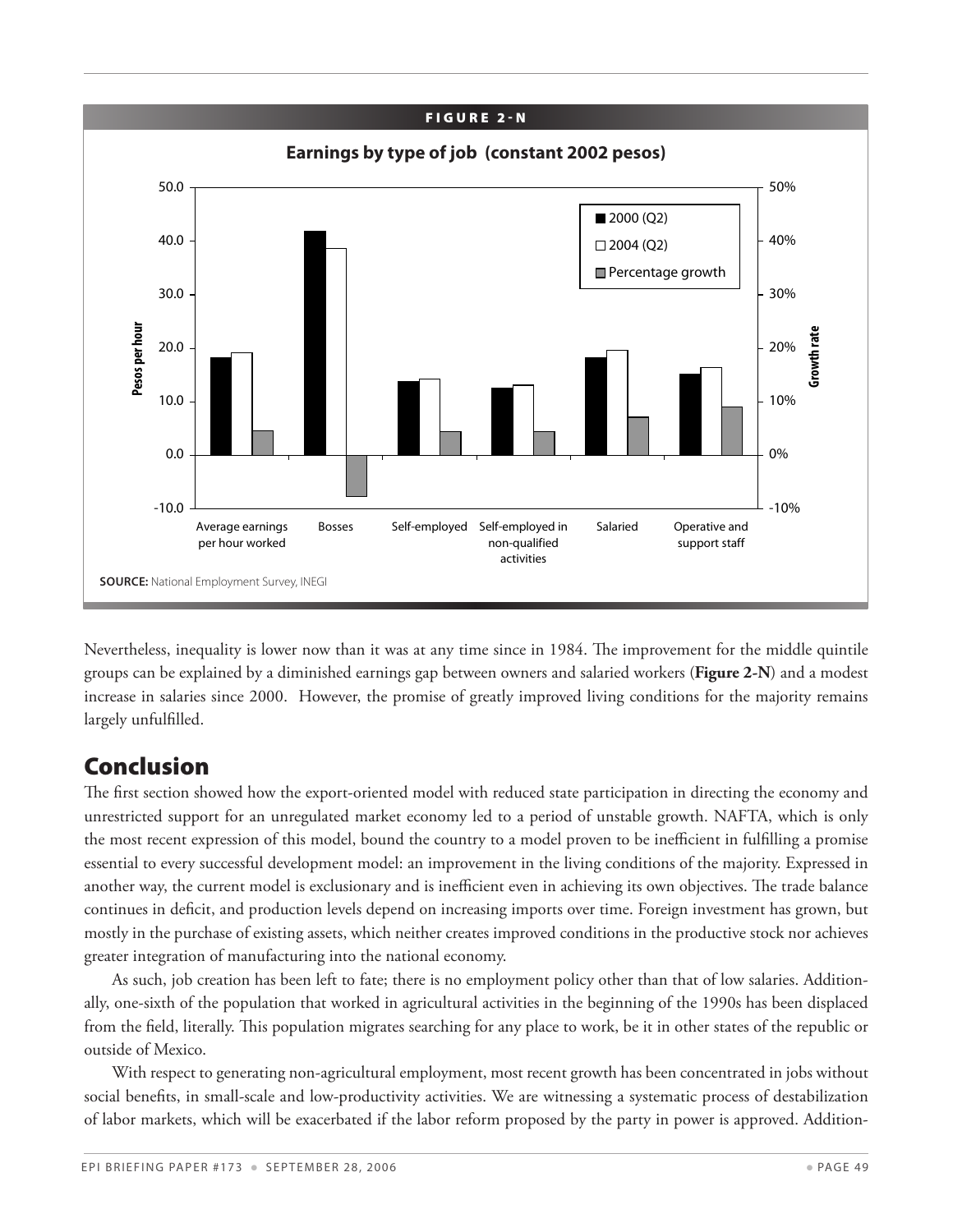![](_page_48_Figure_0.jpeg)

Nevertheless, inequality is lower now than it was at any time since in 1984. The improvement for the middle quintile groups can be explained by a diminished earnings gap between owners and salaried workers (**Figure 2-N**) and a modest increase in salaries since 2000. However, the promise of greatly improved living conditions for the majority remains largely unfulfilled.

## Conclusion

The first section showed how the export-oriented model with reduced state participation in directing the economy and unrestricted support for an unregulated market economy led to a period of unstable growth. NAFTA, which is only the most recent expression of this model, bound the country to a model proven to be inefficient in fulfilling a promise essential to every successful development model: an improvement in the living conditions of the majority. Expressed in another way, the current model is exclusionary and is inefficient even in achieving its own objectives. The trade balance continues in deficit, and production levels depend on increasing imports over time. Foreign investment has grown, but mostly in the purchase of existing assets, which neither creates improved conditions in the productive stock nor achieves greater integration of manufacturing into the national economy.

As such, job creation has been left to fate; there is no employment policy other than that of low salaries. Additionally, one-sixth of the population that worked in agricultural activities in the beginning of the 1990s has been displaced from the field, literally. This population migrates searching for any place to work, be it in other states of the republic or outside of Mexico.

With respect to generating non-agricultural employment, most recent growth has been concentrated in jobs without social benefits, in small-scale and low-productivity activities. We are witnessing a systematic process of destabilization of labor markets, which will be exacerbated if the labor reform proposed by the party in power is approved. Addition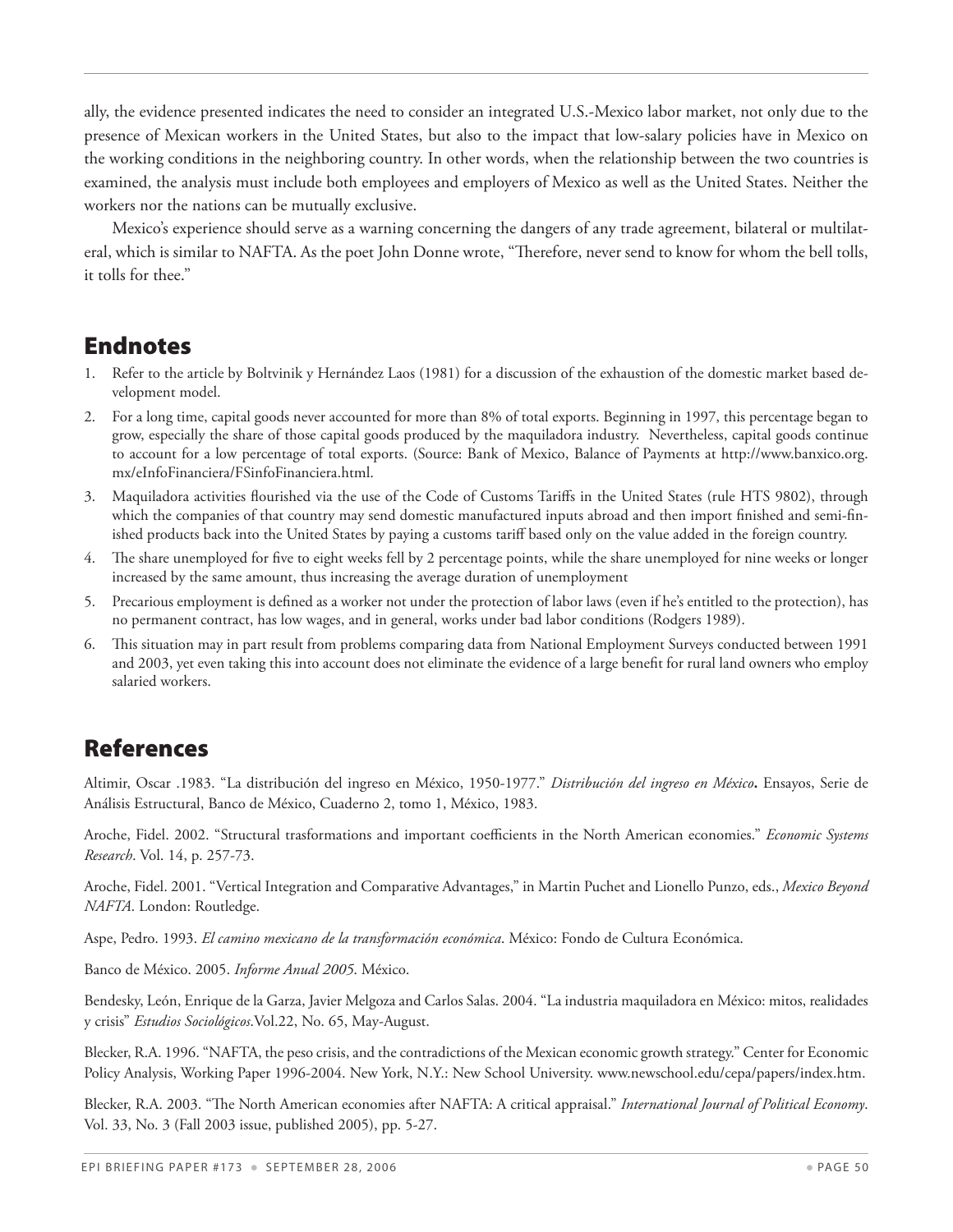ally, the evidence presented indicates the need to consider an integrated U.S.-Mexico labor market, not only due to the presence of Mexican workers in the United States, but also to the impact that low-salary policies have in Mexico on the working conditions in the neighboring country. In other words, when the relationship between the two countries is examined, the analysis must include both employees and employers of Mexico as well as the United States. Neither the workers nor the nations can be mutually exclusive.

Mexico's experience should serve as a warning concerning the dangers of any trade agreement, bilateral or multilateral, which is similar to NAFTA. As the poet John Donne wrote, "Therefore, never send to know for whom the bell tolls, it tolls for thee."

## Endnotes

- Refer to the article by Boltvinik y Hernández Laos (1981) for a discussion of the exhaustion of the domestic market based development model.
- 2. For a long time, capital goods never accounted for more than 8% of total exports. Beginning in 1997, this percentage began to grow, especially the share of those capital goods produced by the maquiladora industry. Nevertheless, capital goods continue to account for a low percentage of total exports. (Source: Bank of Mexico, Balance of Payments at http://www.banxico.org. mx/eInfoFinanciera/FSinfoFinanciera.html.
- 3. Maquiladora activities flourished via the use of the Code of Customs Tariffs in the United States (rule HTS 9802), through which the companies of that country may send domestic manufactured inputs abroad and then import finished and semi-finished products back into the United States by paying a customs tariff based only on the value added in the foreign country.
- 4. The share unemployed for five to eight weeks fell by 2 percentage points, while the share unemployed for nine weeks or longer increased by the same amount, thus increasing the average duration of unemployment
- 5. Precarious employment is defined as a worker not under the protection of labor laws (even if he's entitled to the protection), has no permanent contract, has low wages, and in general, works under bad labor conditions (Rodgers 1989).
- 6. This situation may in part result from problems comparing data from National Employment Surveys conducted between 1991 and 2003, yet even taking this into account does not eliminate the evidence of a large benefit for rural land owners who employ salaried workers.

## References

Altimir, Oscar .1983. "La distribución del ingreso en México, 1950-1977." *Distribución del ingreso en México***.** Ensayos, Serie de Análisis Estructural, Banco de México, Cuaderno 2, tomo 1, México, 1983.

Aroche, Fidel. 2002. "Structural trasformations and important coefficients in the North American economies." *Economic Systems Research*. Vol. 14, p. 257-73.

Aroche, Fidel. 2001. "Vertical Integration and Comparative Advantages," in Martin Puchet and Lionello Punzo, eds., *Mexico Beyond NAFTA*. London: Routledge.

Aspe, Pedro. 1993. *El camino mexicano de la transformación económica*. México: Fondo de Cultura Económica.

Banco de México. 2005. *Informe Anual 2005*. México.

Bendesky, León, Enrique de la Garza, Javier Melgoza and Carlos Salas. 2004. "La industria maquiladora en México: mitos, realidades y crisis" *Estudios Sociológicos*.Vol.22, No. 65, May-August.

Blecker, R.A. 1996. "NAFTA, the peso crisis, and the contradictions of the Mexican economic growth strategy." Center for Economic Policy Analysis, Working Paper 1996-2004. New York, N.Y.: New School University. www.newschool.edu/cepa/papers/index.htm.

Blecker, R.A. 2003. "The North American economies after NAFTA: A critical appraisal." *International Journal of Political Economy*. Vol. 33, No. 3 (Fall 2003 issue, published 2005), pp. 5-27.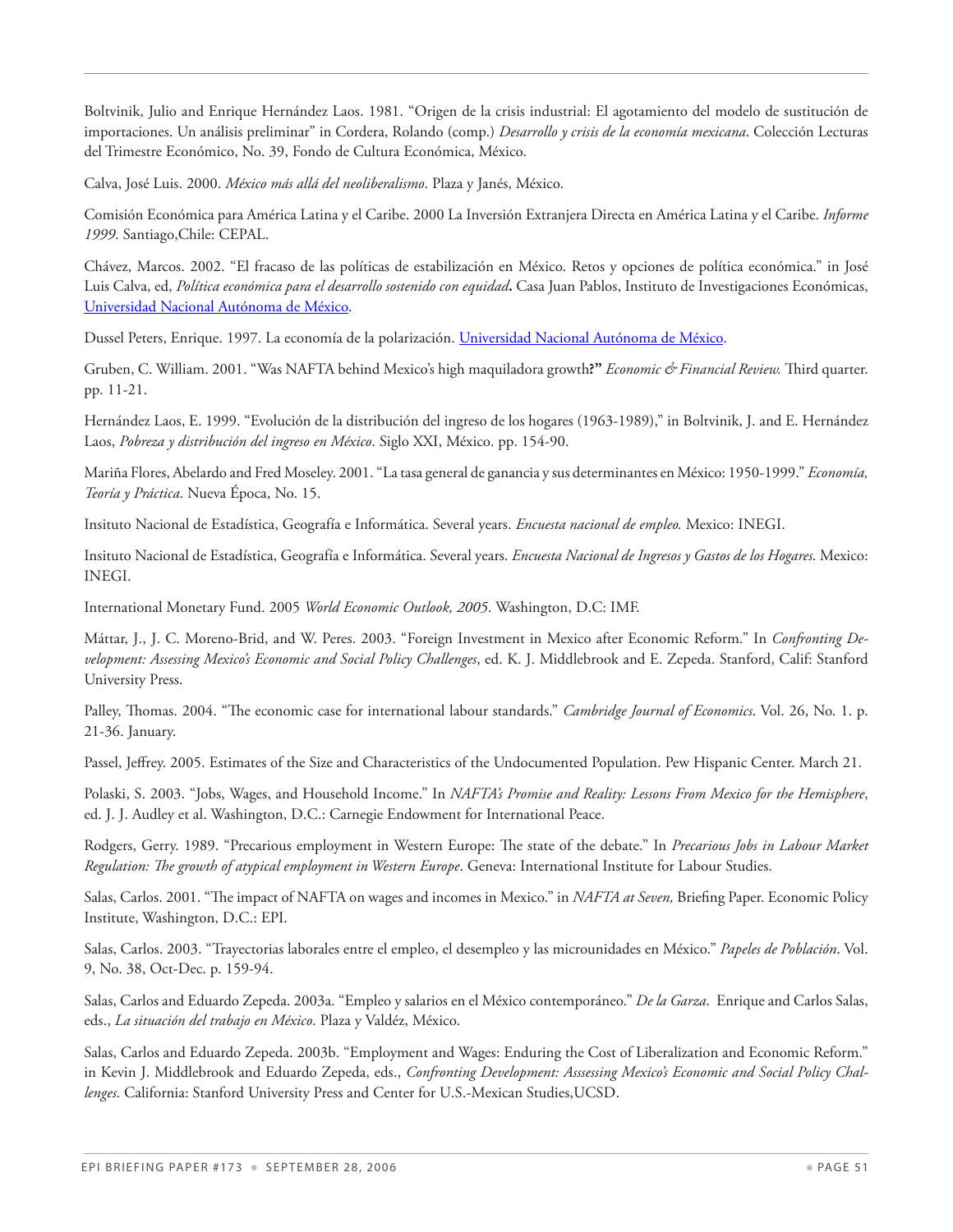Boltvinik, Julio and Enrique Hernández Laos. 1981. "Origen de la crisis industrial: El agotamiento del modelo de sustitución de importaciones. Un análisis preliminar" in Cordera, Rolando (comp.) *Desarrollo y crisis de la economía mexicana*. Colección Lecturas del Trimestre Económico, No. 39, Fondo de Cultura Económica, México.

Calva, José Luis. 2000. *México más allá del neoliberalismo*. Plaza y Janés, México.

Comisión Económica para América Latina y el Caribe. 2000 La Inversión Extranjera Directa en América Latina y el Caribe. *Informe 1999*. Santiago,Chile: CEPAL.

Chávez, Marcos. 2002. "El fracaso de las políticas de estabilización en México. Retos y opciones de política económica." in José Luis Calva, ed, *Política económica para el desarrollo sostenido con equidad***.** Casa Juan Pablos, Instituto de Investigaciones Económicas, Universidad Nacional Autónoma de México.

Dussel Peters, Enrique. 1997. La economía de la polarización. Universidad Nacional Autónoma de México.

Gruben, C. William. 2001. "Was NAFTA behind Mexico's high maquiladora growth**?"** *Economic & Financial Review.* Third quarter. pp. 11-21.

Hernández Laos, E. 1999. "Evolución de la distribución del ingreso de los hogares (1963-1989)," in Boltvinik, J. and E. Hernández Laos, *Pobreza y distribución del ingreso en México*. Siglo XXI, México. pp. 154-90.

Mariña Flores, Abelardo and Fred Moseley. 2001. "La tasa general de ganancia y sus determinantes en México: 1950-1999." *Economía, Teoría y Práctica*. Nueva Época, No. 15.

Insituto Nacional de Estadística, Geografía e Informática. Several years. *Encuesta nacional de empleo.* Mexico: INEGI.

Insituto Nacional de Estadística, Geografía e Informática. Several years. *Encuesta Nacional de Ingresos y Gastos de los Hogares*. Mexico: INEGI.

International Monetary Fund. 2005 *World Economic Outlook, 2005*. Washington, D.C: IMF.

Máttar, J., J. C. Moreno-Brid, and W. Peres. 2003. "Foreign Investment in Mexico after Economic Reform." In *Confronting Development: Assessing Mexico's Economic and Social Policy Challenges*, ed. K. J. Middlebrook and E. Zepeda. Stanford, Calif: Stanford University Press.

Palley, Thomas. 2004. "The economic case for international labour standards." *Cambridge Journal of Economics*. Vol. 26, No. 1. p. 21-36. January.

Passel, Jeffrey. 2005. Estimates of the Size and Characteristics of the Undocumented Population. Pew Hispanic Center. March 21.

Polaski, S. 2003. "Jobs, Wages, and Household Income." In *NAFTA's Promise and Reality: Lessons From Mexico for the Hemisphere*, ed. J. J. Audley et al. Washington, D.C.: Carnegie Endowment for International Peace.

Rodgers, Gerry. 1989. "Precarious employment in Western Europe: The state of the debate." In *Precarious Jobs in Labour Market Regulation: The growth of atypical employment in Western Europe*. Geneva: International Institute for Labour Studies.

Salas, Carlos. 2001. "The impact of NAFTA on wages and incomes in Mexico." in *NAFTA at Seven,* Briefing Paper. Economic Policy Institute, Washington, D.C.: EPI.

Salas, Carlos. 2003. "Trayectorias laborales entre el empleo, el desempleo y las microunidades en México." *Papeles de Población*. Vol. 9, No. 38, Oct-Dec. p. 159-94.

Salas, Carlos and Eduardo Zepeda. 2003a. "Empleo y salarios en el México contemporáneo." *De la Garza*. Enrique and Carlos Salas, eds., *La situación del trabajo en México*. Plaza y Valdéz, México.

Salas, Carlos and Eduardo Zepeda. 2003b. "Employment and Wages: Enduring the Cost of Liberalization and Economic Reform." in Kevin J. Middlebrook and Eduardo Zepeda, eds., *Confronting Development: Asssessing Mexico's Economic and Social Policy Challenges*. California: Stanford University Press and Center for U.S.-Mexican Studies,UCSD.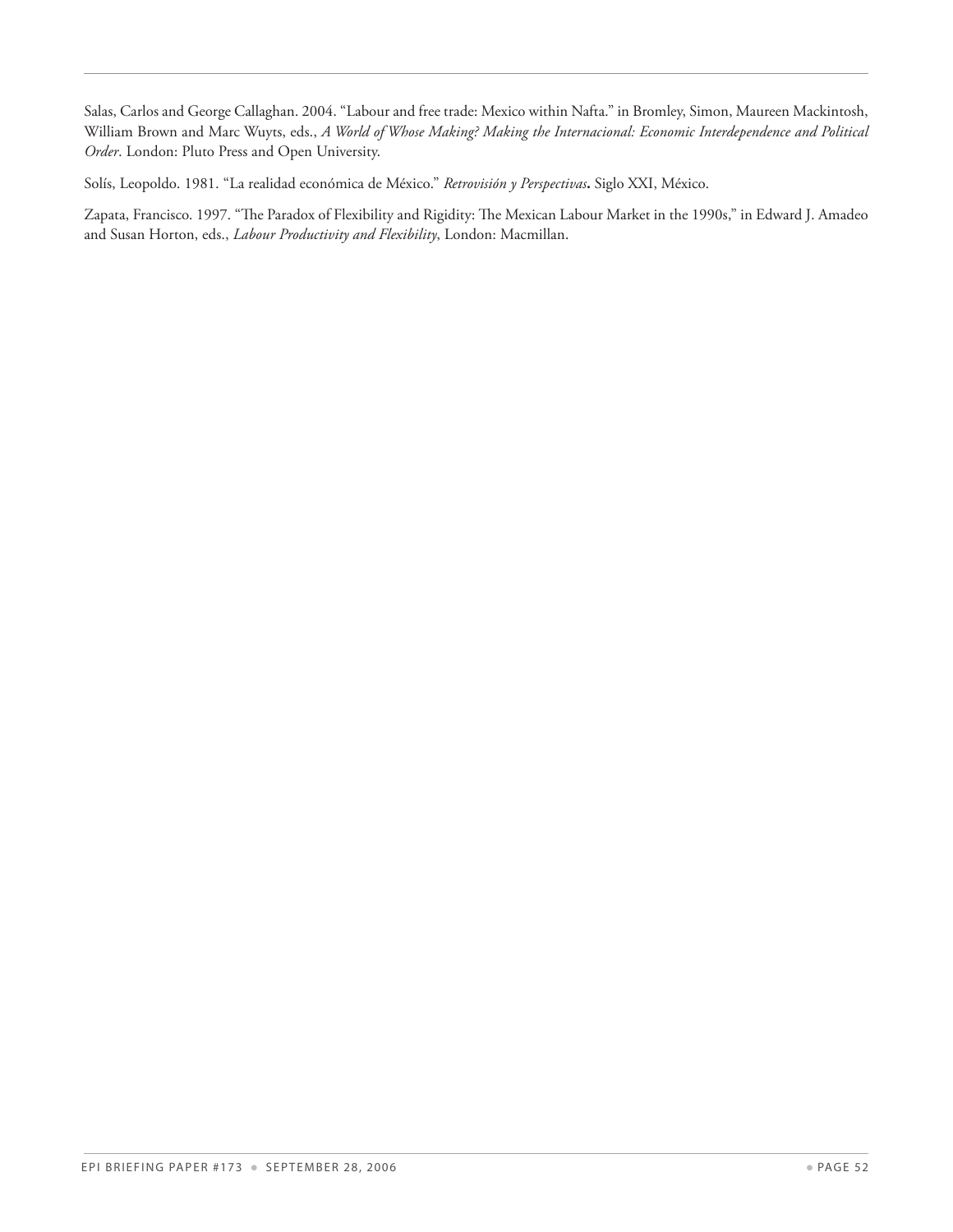Salas, Carlos and George Callaghan. 2004. "Labour and free trade: Mexico within Nafta." in Bromley, Simon, Maureen Mackintosh, William Brown and Marc Wuyts, eds., *A World of Whose Making? Making the Internacional: Economic Interdependence and Political Order*. London: Pluto Press and Open University.

Solís, Leopoldo. 1981. "La realidad económica de México." *Retrovisión y Perspectivas***.** Siglo XXI, México.

Zapata, Francisco. 1997. "The Paradox of Flexibility and Rigidity: The Mexican Labour Market in the 1990s," in Edward J. Amadeo and Susan Horton, eds., *Labour Productivity and Flexibility*, London: Macmillan.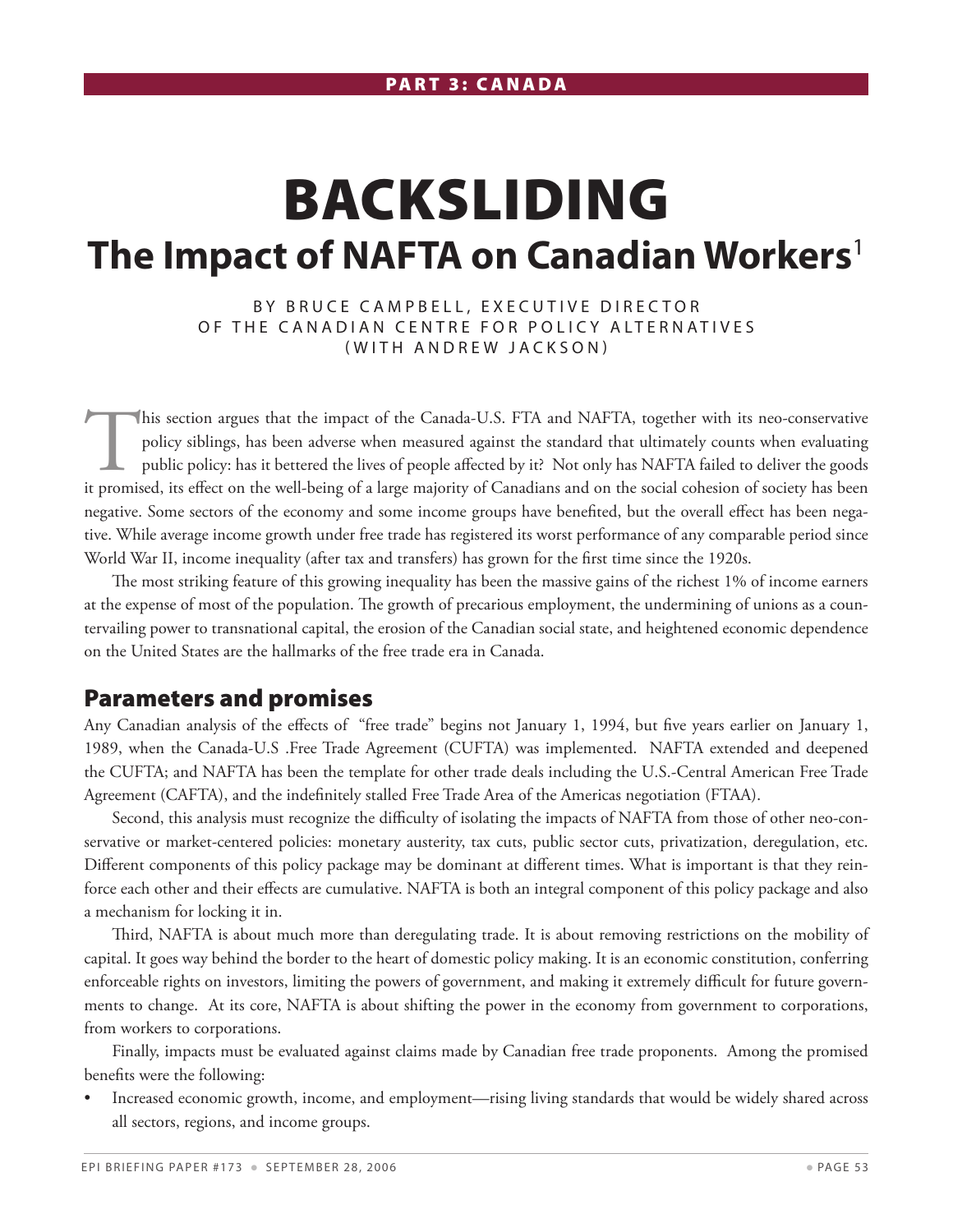# Backsliding **The Impact of NAFTA on Canadian Workers**<sup>1</sup>

BY BRUCE CAMPBELL, EXECUTIVE DIRECTOR OF THE CANADIAN CENTRE FOR POLICY ALTERNATIVES (WITH ANDREW JACKSON)

This section argues that the impact of the Canada-U.S. FTA and NAFTA, together with its neo-conservative policy siblings, has been adverse when measured against the standard that ultimately counts when evaluating public policy: has it bettered the lives of people affected by it? Not only has NAFTA failed to deliver the goods it promised, its effect on the well-being of a large majority of Canadians and on the social cohesion of society has been negative. Some sectors of the economy and some income groups have benefited, but the overall effect has been negative. While average income growth under free trade has registered its worst performance of any comparable period since World War II, income inequality (after tax and transfers) has grown for the first time since the 1920s.

The most striking feature of this growing inequality has been the massive gains of the richest 1% of income earners at the expense of most of the population. The growth of precarious employment, the undermining of unions as a countervailing power to transnational capital, the erosion of the Canadian social state, and heightened economic dependence on the United States are the hallmarks of the free trade era in Canada.

#### Parameters and promises

Any Canadian analysis of the effects of "free trade" begins not January 1, 1994, but five years earlier on January 1, 1989, when the Canada-U.S .Free Trade Agreement (CUFTA) was implemented. NAFTA extended and deepened the CUFTA; and NAFTA has been the template for other trade deals including the U.S.-Central American Free Trade Agreement (CAFTA), and the indefinitely stalled Free Trade Area of the Americas negotiation (FTAA).

Second, this analysis must recognize the difficulty of isolating the impacts of NAFTA from those of other neo-conservative or market-centered policies: monetary austerity, tax cuts, public sector cuts, privatization, deregulation, etc. Different components of this policy package may be dominant at different times. What is important is that they reinforce each other and their effects are cumulative. NAFTA is both an integral component of this policy package and also a mechanism for locking it in.

Third, NAFTA is about much more than deregulating trade. It is about removing restrictions on the mobility of capital. It goes way behind the border to the heart of domestic policy making. It is an economic constitution, conferring enforceable rights on investors, limiting the powers of government, and making it extremely difficult for future governments to change. At its core, NAFTA is about shifting the power in the economy from government to corporations, from workers to corporations.

Finally, impacts must be evaluated against claims made by Canadian free trade proponents. Among the promised benefits were the following:

• Increased economic growth, income, and employment—rising living standards that would be widely shared across all sectors, regions, and income groups.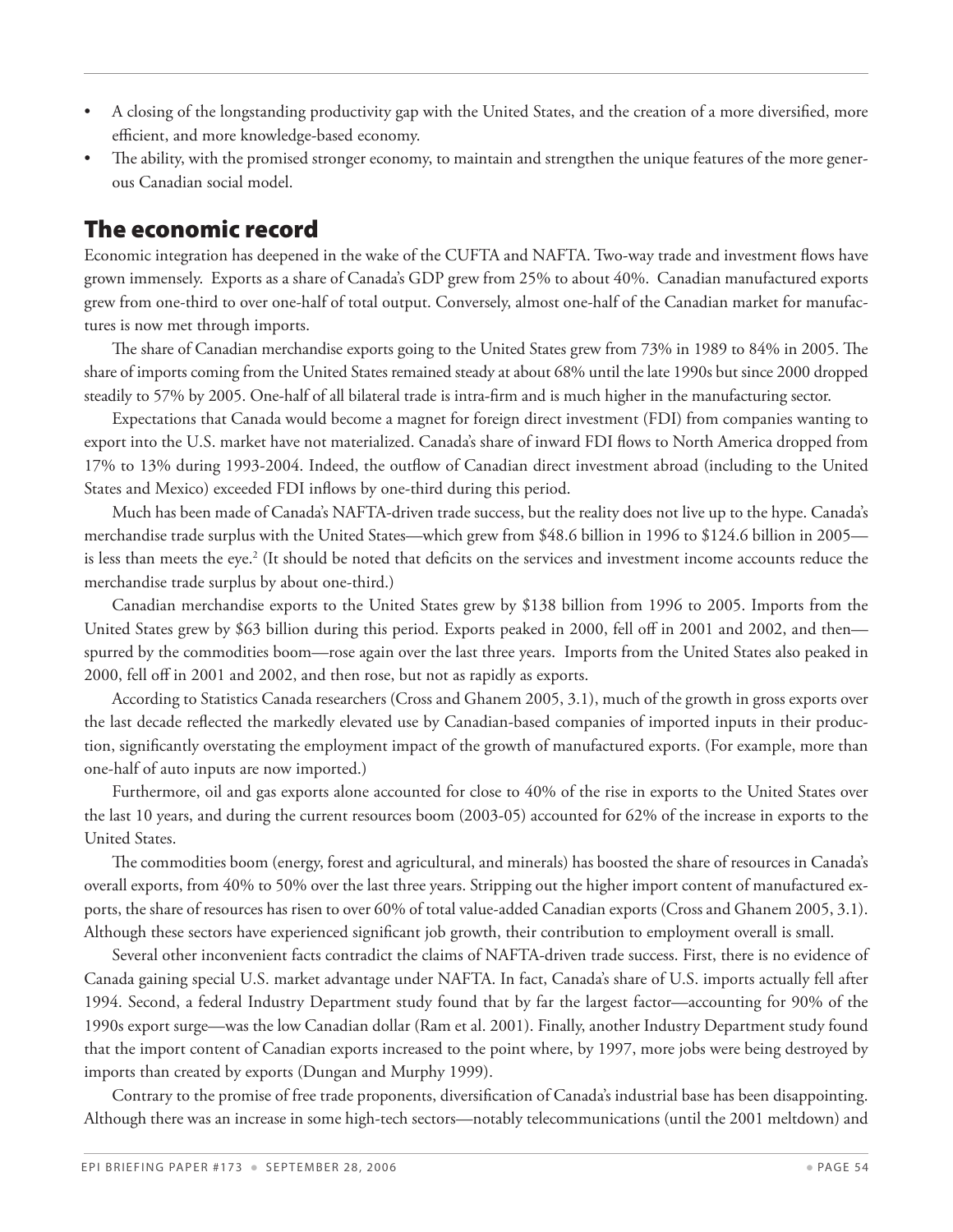- A closing of the longstanding productivity gap with the United States, and the creation of a more diversified, more efficient, and more knowledge-based economy.
- The ability, with the promised stronger economy, to maintain and strengthen the unique features of the more generous Canadian social model.

### The economic record

Economic integration has deepened in the wake of the CUFTA and NAFTA. Two-way trade and investment flows have grown immensely. Exports as a share of Canada's GDP grew from 25% to about 40%. Canadian manufactured exports grew from one-third to over one-half of total output. Conversely, almost one-half of the Canadian market for manufactures is now met through imports.

The share of Canadian merchandise exports going to the United States grew from 73% in 1989 to 84% in 2005. The share of imports coming from the United States remained steady at about 68% until the late 1990s but since 2000 dropped steadily to 57% by 2005. One-half of all bilateral trade is intra-firm and is much higher in the manufacturing sector.

Expectations that Canada would become a magnet for foreign direct investment (FDI) from companies wanting to export into the U.S. market have not materialized. Canada's share of inward FDI flows to North America dropped from 17% to 13% during 1993-2004. Indeed, the outflow of Canadian direct investment abroad (including to the United States and Mexico) exceeded FDI inflows by one-third during this period.

Much has been made of Canada's NAFTA-driven trade success, but the reality does not live up to the hype. Canada's merchandise trade surplus with the United States—which grew from \$48.6 billion in 1996 to \$124.6 billion in 2005 is less than meets the eye.<sup>2</sup> (It should be noted that deficits on the services and investment income accounts reduce the merchandise trade surplus by about one-third.)

Canadian merchandise exports to the United States grew by \$138 billion from 1996 to 2005. Imports from the United States grew by \$63 billion during this period. Exports peaked in 2000, fell off in 2001 and 2002, and then spurred by the commodities boom—rose again over the last three years. Imports from the United States also peaked in 2000, fell off in 2001 and 2002, and then rose, but not as rapidly as exports.

According to Statistics Canada researchers (Cross and Ghanem 2005, 3.1), much of the growth in gross exports over the last decade reflected the markedly elevated use by Canadian-based companies of imported inputs in their production, significantly overstating the employment impact of the growth of manufactured exports. (For example, more than one-half of auto inputs are now imported.)

Furthermore, oil and gas exports alone accounted for close to 40% of the rise in exports to the United States over the last 10 years, and during the current resources boom (2003-05) accounted for 62% of the increase in exports to the United States.

The commodities boom (energy, forest and agricultural, and minerals) has boosted the share of resources in Canada's overall exports, from 40% to 50% over the last three years. Stripping out the higher import content of manufactured exports, the share of resources has risen to over 60% of total value-added Canadian exports (Cross and Ghanem 2005, 3.1). Although these sectors have experienced significant job growth, their contribution to employment overall is small.

Several other inconvenient facts contradict the claims of NAFTA-driven trade success. First, there is no evidence of Canada gaining special U.S. market advantage under NAFTA. In fact, Canada's share of U.S. imports actually fell after 1994. Second, a federal Industry Department study found that by far the largest factor—accounting for 90% of the 1990s export surge—was the low Canadian dollar (Ram et al. 2001). Finally, another Industry Department study found that the import content of Canadian exports increased to the point where, by 1997, more jobs were being destroyed by imports than created by exports (Dungan and Murphy 1999).

Contrary to the promise of free trade proponents, diversification of Canada's industrial base has been disappointing. Although there was an increase in some high-tech sectors—notably telecommunications (until the 2001 meltdown) and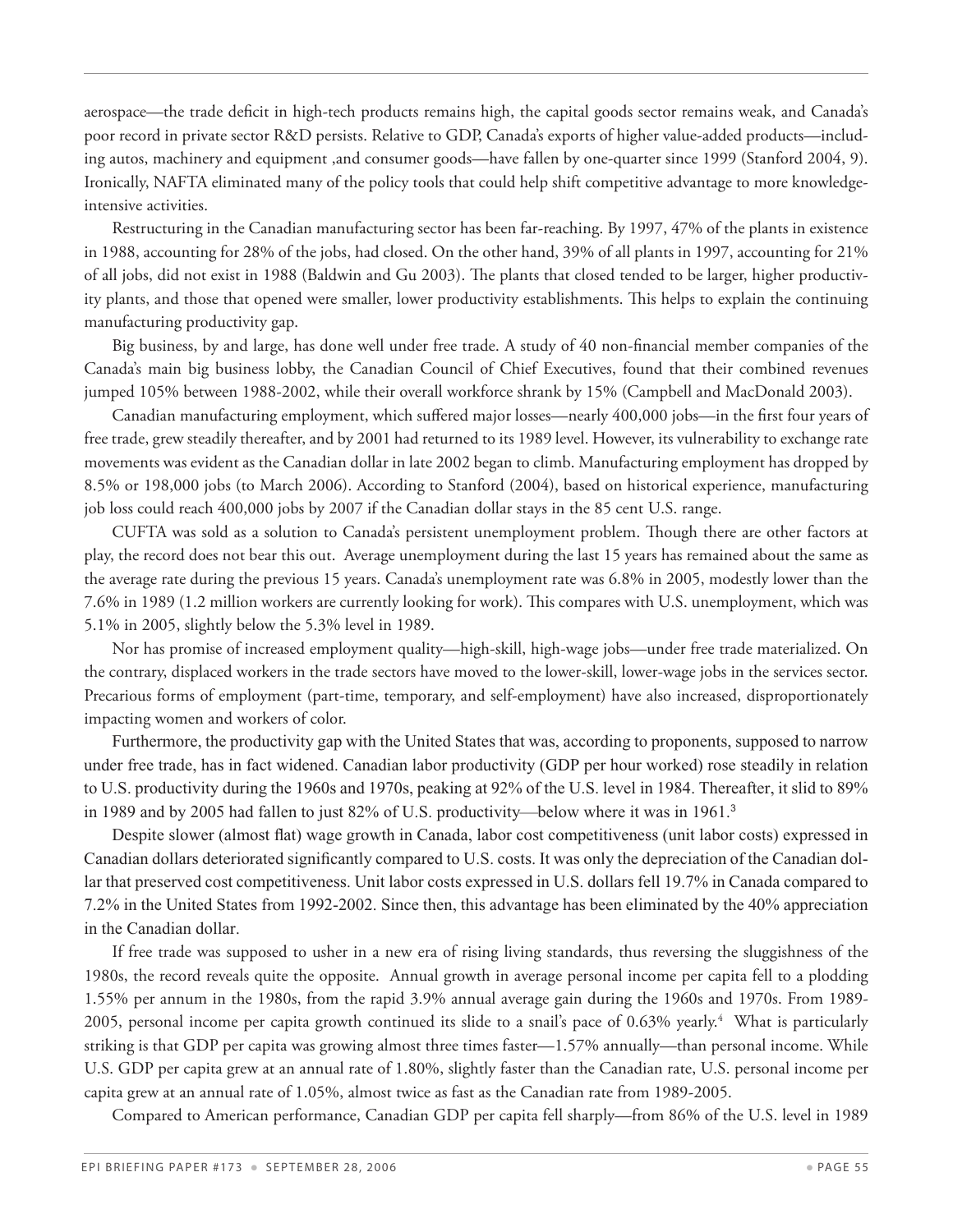aerospace—the trade deficit in high-tech products remains high, the capital goods sector remains weak, and Canada's poor record in private sector R&D persists. Relative to GDP, Canada's exports of higher value-added products—including autos, machinery and equipment ,and consumer goods—have fallen by one-quarter since 1999 (Stanford 2004, 9). Ironically, NAFTA eliminated many of the policy tools that could help shift competitive advantage to more knowledgeintensive activities.

Restructuring in the Canadian manufacturing sector has been far-reaching. By 1997, 47% of the plants in existence in 1988, accounting for 28% of the jobs, had closed. On the other hand, 39% of all plants in 1997, accounting for 21% of all jobs, did not exist in 1988 (Baldwin and Gu 2003). The plants that closed tended to be larger, higher productivity plants, and those that opened were smaller, lower productivity establishments. This helps to explain the continuing manufacturing productivity gap.

Big business, by and large, has done well under free trade. A study of 40 non-financial member companies of the Canada's main big business lobby, the Canadian Council of Chief Executives, found that their combined revenues jumped 105% between 1988-2002, while their overall workforce shrank by 15% (Campbell and MacDonald 2003).

Canadian manufacturing employment, which suffered major losses—nearly 400,000 jobs—in the first four years of free trade, grew steadily thereafter, and by 2001 had returned to its 1989 level. However, its vulnerability to exchange rate movements was evident as the Canadian dollar in late 2002 began to climb. Manufacturing employment has dropped by 8.5% or 198,000 jobs (to March 2006). According to Stanford (2004), based on historical experience, manufacturing job loss could reach 400,000 jobs by 2007 if the Canadian dollar stays in the 85 cent U.S. range.

CUFTA was sold as a solution to Canada's persistent unemployment problem. Though there are other factors at play, the record does not bear this out. Average unemployment during the last 15 years has remained about the same as the average rate during the previous 15 years. Canada's unemployment rate was 6.8% in 2005, modestly lower than the 7.6% in 1989 (1.2 million workers are currently looking for work). This compares with U.S. unemployment, which was 5.1% in 2005, slightly below the 5.3% level in 1989.

Nor has promise of increased employment quality—high-skill, high-wage jobs—under free trade materialized. On the contrary, displaced workers in the trade sectors have moved to the lower-skill, lower-wage jobs in the services sector. Precarious forms of employment (part-time, temporary, and self-employment) have also increased, disproportionately impacting women and workers of color.

 Furthermore, the productivity gap with the United States that was, according to proponents, supposed to narrow under free trade, has in fact widened. Canadian labor productivity (GDP per hour worked) rose steadily in relation to U.S. productivity during the 1960s and 1970s, peaking at 92% of the U.S. level in 1984. Thereafter, it slid to 89% in 1989 and by 2005 had fallen to just 82% of U.S. productivity—below where it was in 1961.<sup>3</sup>

 Despite slower (almost flat) wage growth in Canada, labor cost competitiveness (unit labor costs) expressed in Canadian dollars deteriorated significantly compared to U.S. costs. It was only the depreciation of the Canadian dollar that preserved cost competitiveness. Unit labor costs expressed in U.S. dollars fell 19.7% in Canada compared to 7.2% in the United States from 1992-2002. Since then, this advantage has been eliminated by the 40% appreciation in the Canadian dollar.

If free trade was supposed to usher in a new era of rising living standards, thus reversing the sluggishness of the 1980s, the record reveals quite the opposite. Annual growth in average personal income per capita fell to a plodding 1.55% per annum in the 1980s, from the rapid 3.9% annual average gain during the 1960s and 1970s. From 1989- 2005, personal income per capita growth continued its slide to a snail's pace of 0.63% yearly. $^4$  What is particularly striking is that GDP per capita was growing almost three times faster—1.57% annually—than personal income. While U.S. GDP per capita grew at an annual rate of 1.80%, slightly faster than the Canadian rate, U.S. personal income per capita grew at an annual rate of 1.05%, almost twice as fast as the Canadian rate from 1989-2005.

Compared to American performance, Canadian GDP per capita fell sharply—from 86% of the U.S. level in 1989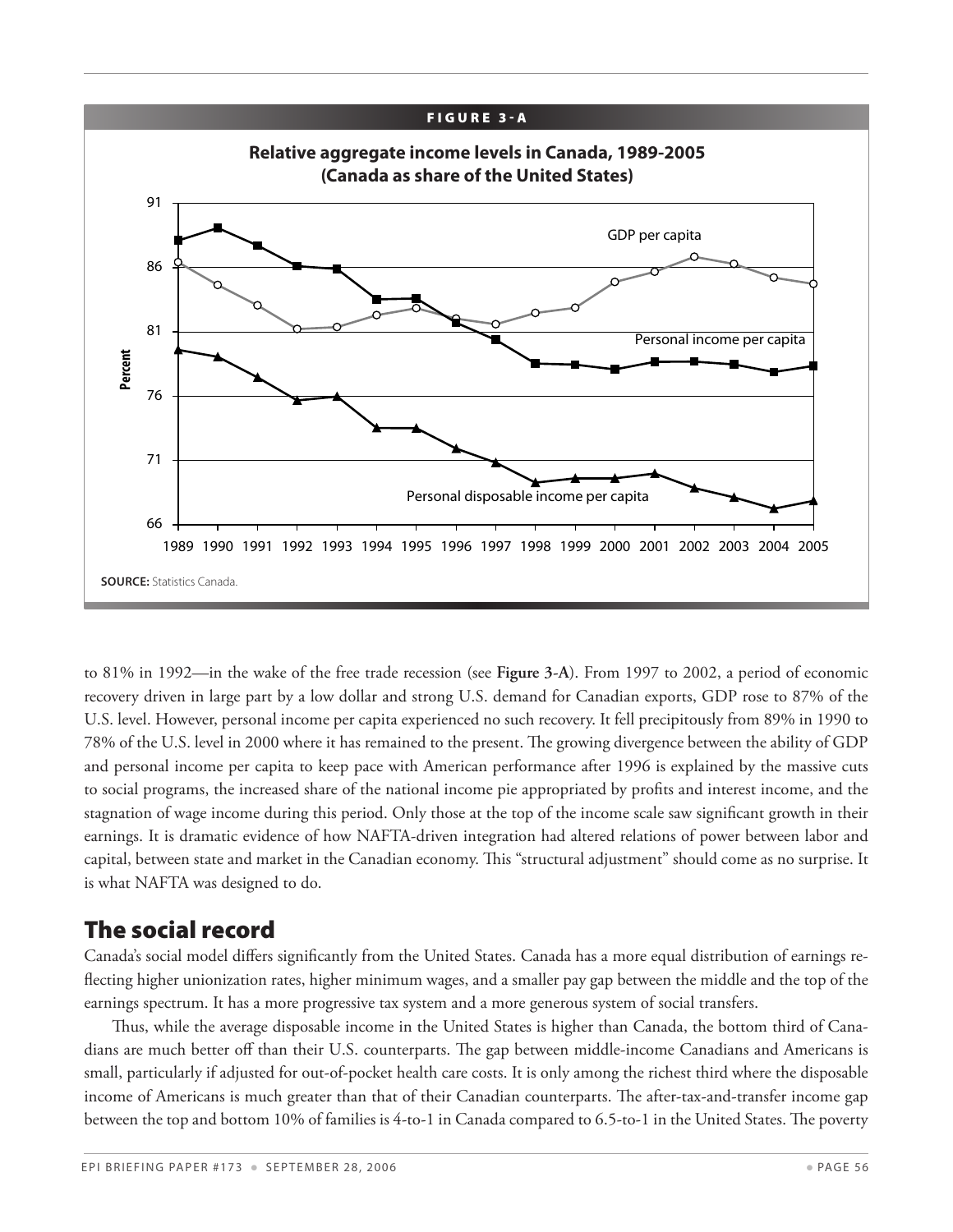![](_page_55_Figure_0.jpeg)

to 81% in 1992—in the wake of the free trade recession (see **Figure 3-A**). From 1997 to 2002, a period of economic recovery driven in large part by a low dollar and strong U.S. demand for Canadian exports, GDP rose to 87% of the U.S. level. However, personal income per capita experienced no such recovery. It fell precipitously from 89% in 1990 to 78% of the U.S. level in 2000 where it has remained to the present. The growing divergence between the ability of GDP and personal income per capita to keep pace with American performance after 1996 is explained by the massive cuts to social programs, the increased share of the national income pie appropriated by profits and interest income, and the stagnation of wage income during this period. Only those at the top of the income scale saw significant growth in their earnings. It is dramatic evidence of how NAFTA-driven integration had altered relations of power between labor and capital, between state and market in the Canadian economy. This "structural adjustment" should come as no surprise. It is what NAFTA was designed to do.

## The social record

Canada's social model differs significantly from the United States. Canada has a more equal distribution of earnings reflecting higher unionization rates, higher minimum wages, and a smaller pay gap between the middle and the top of the earnings spectrum. It has a more progressive tax system and a more generous system of social transfers.

Thus, while the average disposable income in the United States is higher than Canada, the bottom third of Canadians are much better off than their U.S. counterparts. The gap between middle-income Canadians and Americans is small, particularly if adjusted for out-of-pocket health care costs. It is only among the richest third where the disposable income of Americans is much greater than that of their Canadian counterparts. The after-tax-and-transfer income gap between the top and bottom 10% of families is 4-to-1 in Canada compared to 6.5-to-1 in the United States. The poverty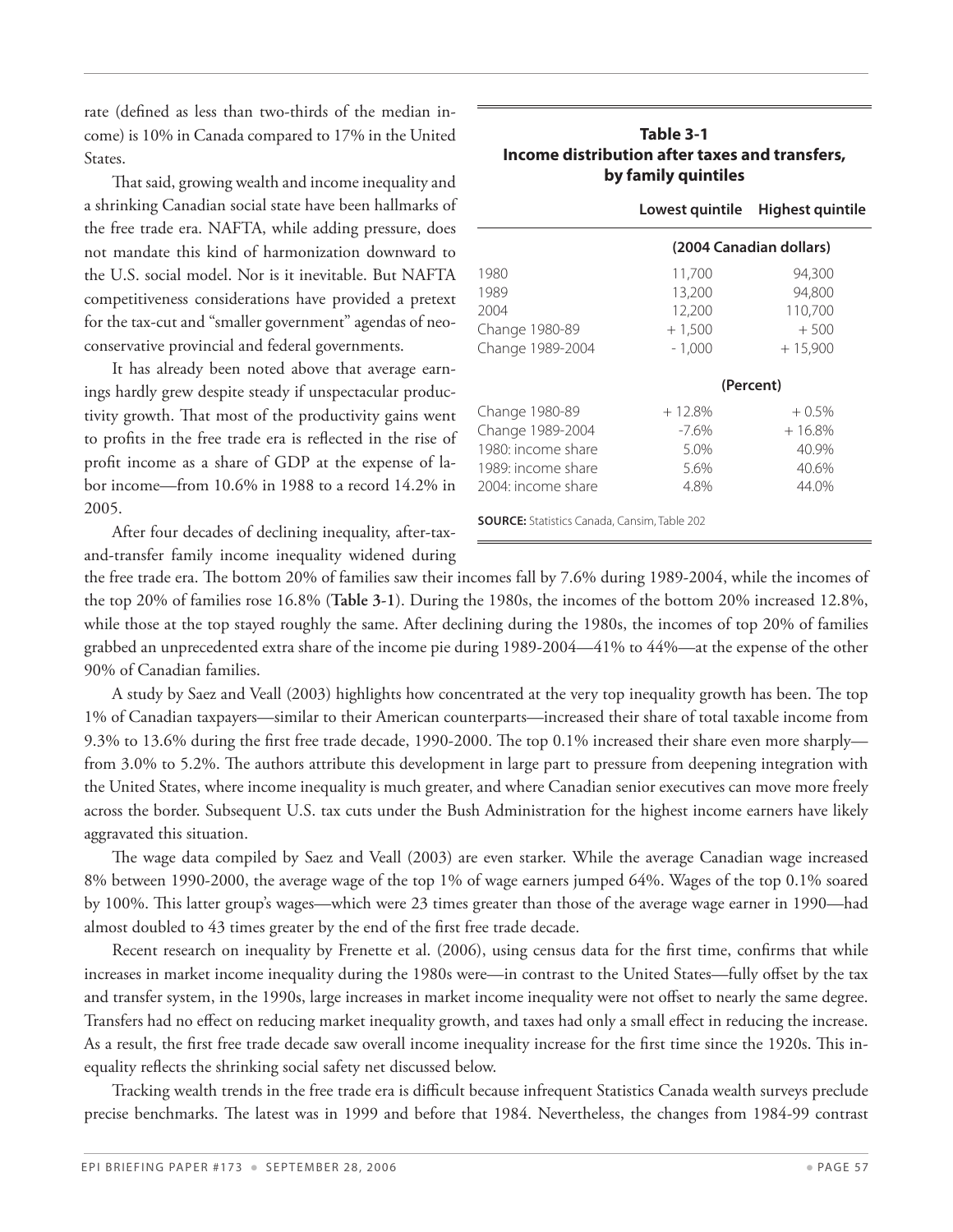rate (defined as less than two-thirds of the median income) is 10% in Canada compared to 17% in the United States.

That said, growing wealth and income inequality and a shrinking Canadian social state have been hallmarks of the free trade era. NAFTA, while adding pressure, does not mandate this kind of harmonization downward to the U.S. social model. Nor is it inevitable. But NAFTA competitiveness considerations have provided a pretext for the tax-cut and "smaller government" agendas of neoconservative provincial and federal governments.

It has already been noted above that average earnings hardly grew despite steady if unspectacular productivity growth. That most of the productivity gains went to profits in the free trade era is reflected in the rise of profit income as a share of GDP at the expense of labor income—from 10.6% in 1988 to a record 14.2% in 2005.

After four decades of declining inequality, after-taxand-transfer family income inequality widened during

#### **Table 3-1 Income distribution after taxes and transfers, by family quintiles**

|                                                     | Lowest quintile         | <b>Highest quintile</b> |  |  |  |
|-----------------------------------------------------|-------------------------|-------------------------|--|--|--|
|                                                     | (2004 Canadian dollars) |                         |  |  |  |
| 1980                                                | 11,700                  | 94,300                  |  |  |  |
| 1989                                                | 13,200                  | 94,800                  |  |  |  |
| 2004                                                | 12,200                  | 110,700                 |  |  |  |
| Change 1980-89                                      | $+1,500$                | $+500$                  |  |  |  |
| Change 1989-2004                                    | $-1,000$                | $+15,900$               |  |  |  |
|                                                     | (Percent)               |                         |  |  |  |
| Change 1980-89                                      | $+12.8%$                | $+0.5%$                 |  |  |  |
| Change 1989-2004                                    | $-7.6\%$                | $+16.8%$                |  |  |  |
| 1980: income share                                  | 5.0%                    | 40.9%                   |  |  |  |
| 1989: income share                                  | 5.6%                    | 40.6%                   |  |  |  |
| 2004: income share                                  | 4.8%                    | 44.0%                   |  |  |  |
| <b>SOURCE:</b> Statistics Canada, Cansim, Table 202 |                         |                         |  |  |  |

the free trade era. The bottom 20% of families saw their incomes fall by 7.6% during 1989-2004, while the incomes of the top 20% of families rose 16.8% (**Table 3-1**). During the 1980s, the incomes of the bottom 20% increased 12.8%, while those at the top stayed roughly the same. After declining during the 1980s, the incomes of top 20% of families grabbed an unprecedented extra share of the income pie during 1989-2004—41% to 44%—at the expense of the other 90% of Canadian families.

A study by Saez and Veall (2003) highlights how concentrated at the very top inequality growth has been. The top 1% of Canadian taxpayers—similar to their American counterparts—increased their share of total taxable income from 9.3% to 13.6% during the first free trade decade, 1990-2000. The top 0.1% increased their share even more sharply from 3.0% to 5.2%. The authors attribute this development in large part to pressure from deepening integration with the United States, where income inequality is much greater, and where Canadian senior executives can move more freely across the border. Subsequent U.S. tax cuts under the Bush Administration for the highest income earners have likely aggravated this situation.

The wage data compiled by Saez and Veall (2003) are even starker. While the average Canadian wage increased 8% between 1990-2000, the average wage of the top 1% of wage earners jumped 64%. Wages of the top 0.1% soared by 100%. This latter group's wages—which were 23 times greater than those of the average wage earner in 1990—had almost doubled to 43 times greater by the end of the first free trade decade.

Recent research on inequality by Frenette et al. (2006), using census data for the first time, confirms that while increases in market income inequality during the 1980s were—in contrast to the United States—fully offset by the tax and transfer system, in the 1990s, large increases in market income inequality were not offset to nearly the same degree. Transfers had no effect on reducing market inequality growth, and taxes had only a small effect in reducing the increase. As a result, the first free trade decade saw overall income inequality increase for the first time since the 1920s. This inequality reflects the shrinking social safety net discussed below.

Tracking wealth trends in the free trade era is difficult because infrequent Statistics Canada wealth surveys preclude precise benchmarks. The latest was in 1999 and before that 1984. Nevertheless, the changes from 1984-99 contrast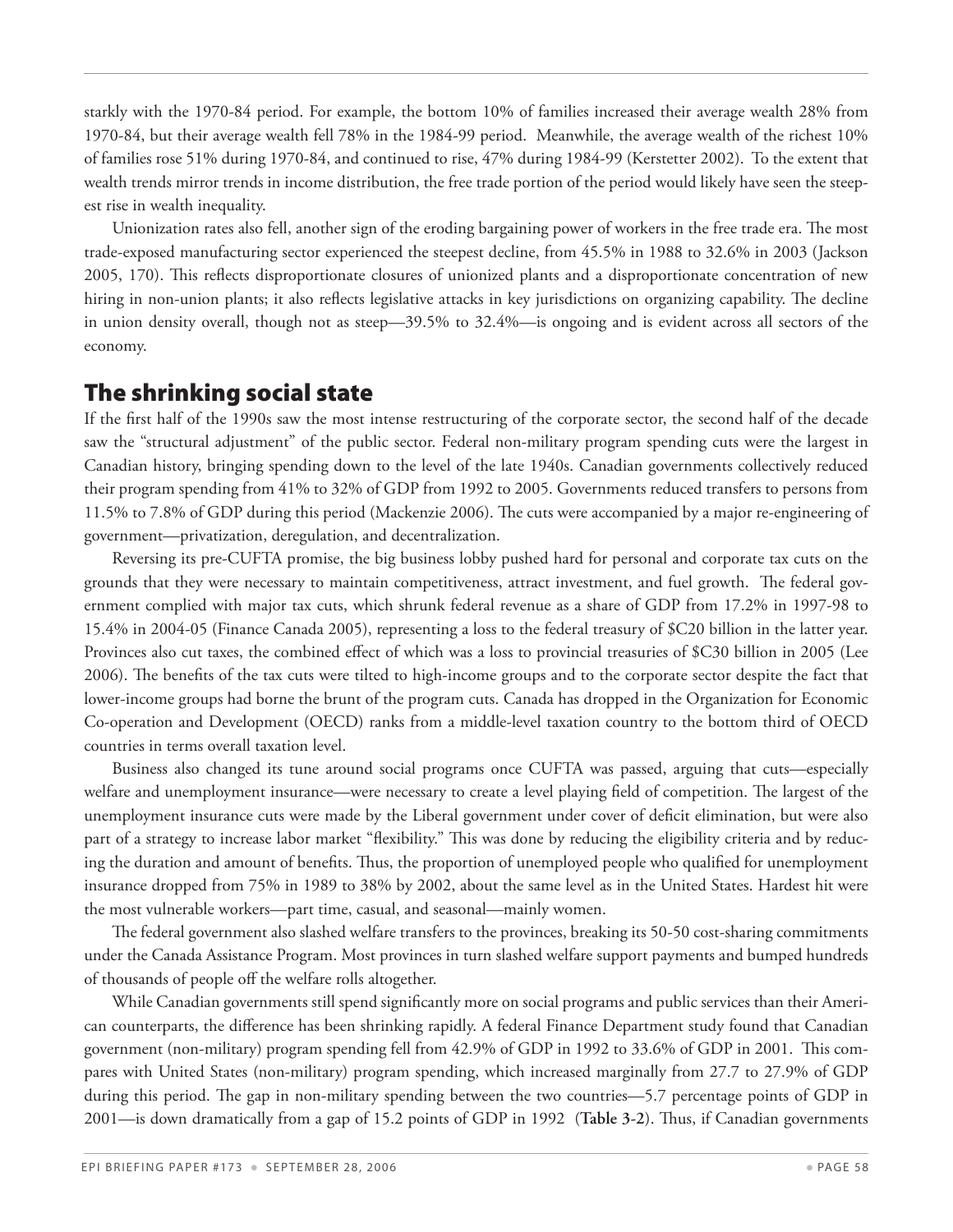starkly with the 1970-84 period. For example, the bottom 10% of families increased their average wealth 28% from 1970-84, but their average wealth fell 78% in the 1984-99 period. Meanwhile, the average wealth of the richest 10% of families rose 51% during 1970-84, and continued to rise, 47% during 1984-99 (Kerstetter 2002). To the extent that wealth trends mirror trends in income distribution, the free trade portion of the period would likely have seen the steepest rise in wealth inequality.

Unionization rates also fell, another sign of the eroding bargaining power of workers in the free trade era. The most trade-exposed manufacturing sector experienced the steepest decline, from 45.5% in 1988 to 32.6% in 2003 (Jackson 2005, 170). This reflects disproportionate closures of unionized plants and a disproportionate concentration of new hiring in non-union plants; it also reflects legislative attacks in key jurisdictions on organizing capability. The decline in union density overall, though not as steep—39.5% to 32.4%—is ongoing and is evident across all sectors of the economy.

#### The shrinking social state

If the first half of the 1990s saw the most intense restructuring of the corporate sector, the second half of the decade saw the "structural adjustment" of the public sector. Federal non-military program spending cuts were the largest in Canadian history, bringing spending down to the level of the late 1940s. Canadian governments collectively reduced their program spending from 41% to 32% of GDP from 1992 to 2005. Governments reduced transfers to persons from 11.5% to 7.8% of GDP during this period (Mackenzie 2006). The cuts were accompanied by a major re-engineering of government—privatization, deregulation, and decentralization.

Reversing its pre-CUFTA promise, the big business lobby pushed hard for personal and corporate tax cuts on the grounds that they were necessary to maintain competitiveness, attract investment, and fuel growth. The federal government complied with major tax cuts, which shrunk federal revenue as a share of GDP from 17.2% in 1997-98 to 15.4% in 2004-05 (Finance Canada 2005), representing a loss to the federal treasury of \$C20 billion in the latter year. Provinces also cut taxes, the combined effect of which was a loss to provincial treasuries of \$C30 billion in 2005 (Lee 2006). The benefits of the tax cuts were tilted to high-income groups and to the corporate sector despite the fact that lower-income groups had borne the brunt of the program cuts. Canada has dropped in the Organization for Economic Co-operation and Development (OECD) ranks from a middle-level taxation country to the bottom third of OECD countries in terms overall taxation level.

Business also changed its tune around social programs once CUFTA was passed, arguing that cuts—especially welfare and unemployment insurance—were necessary to create a level playing field of competition. The largest of the unemployment insurance cuts were made by the Liberal government under cover of deficit elimination, but were also part of a strategy to increase labor market "flexibility." This was done by reducing the eligibility criteria and by reducing the duration and amount of benefits. Thus, the proportion of unemployed people who qualified for unemployment insurance dropped from 75% in 1989 to 38% by 2002, about the same level as in the United States. Hardest hit were the most vulnerable workers—part time, casual, and seasonal—mainly women.

The federal government also slashed welfare transfers to the provinces, breaking its 50-50 cost-sharing commitments under the Canada Assistance Program. Most provinces in turn slashed welfare support payments and bumped hundreds of thousands of people off the welfare rolls altogether.

While Canadian governments still spend significantly more on social programs and public services than their American counterparts, the difference has been shrinking rapidly. A federal Finance Department study found that Canadian government (non-military) program spending fell from 42.9% of GDP in 1992 to 33.6% of GDP in 2001. This compares with United States (non-military) program spending, which increased marginally from 27.7 to 27.9% of GDP during this period. The gap in non-military spending between the two countries—5.7 percentage points of GDP in 2001—is down dramatically from a gap of 15.2 points of GDP in 1992 (**Table 3-2**). Thus, if Canadian governments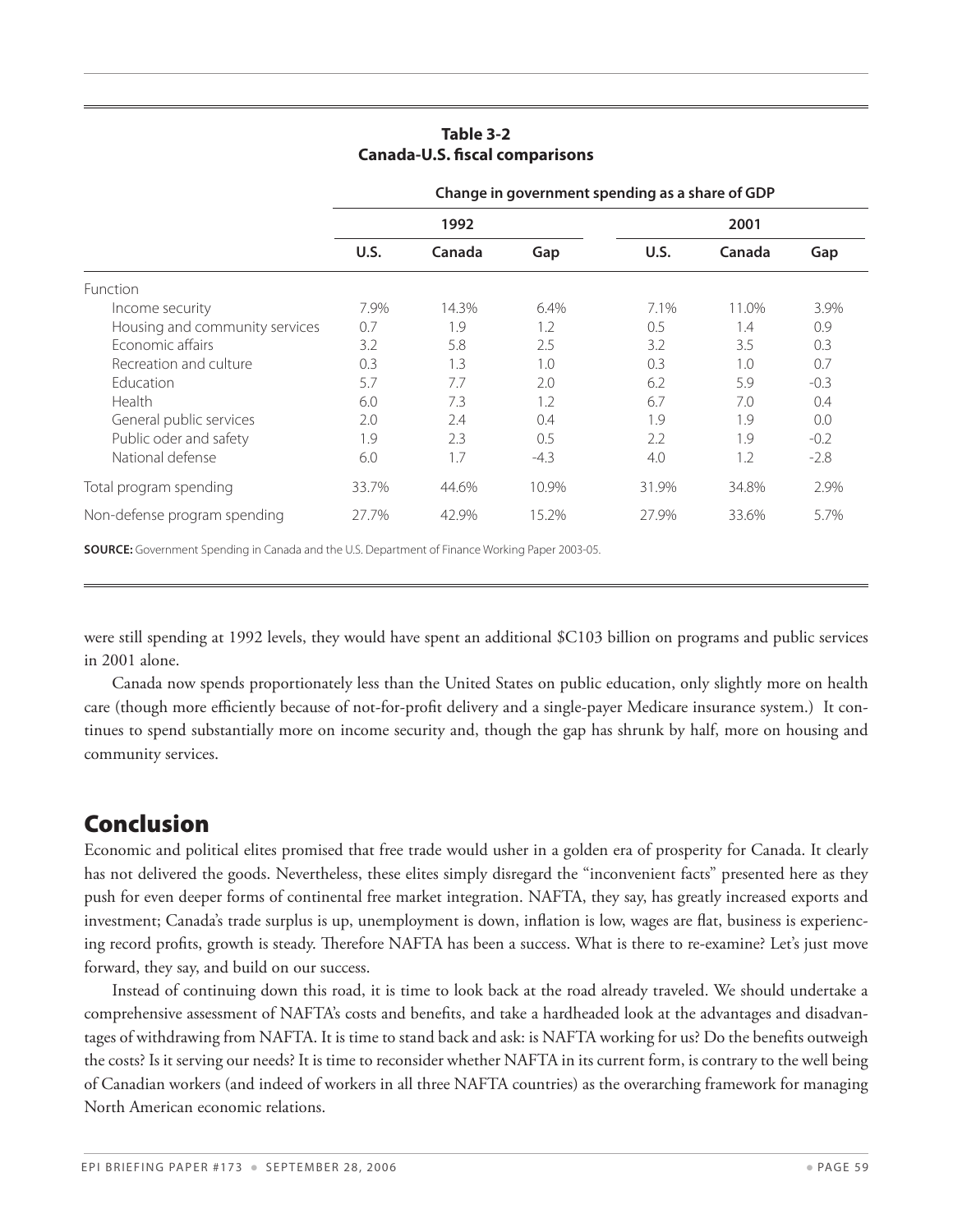|                                | Change in government spending as a share of GDP |        |        |       |        |        |  |
|--------------------------------|-------------------------------------------------|--------|--------|-------|--------|--------|--|
|                                | 1992                                            |        |        | 2001  |        |        |  |
|                                | U.S.                                            | Canada | Gap    | U.S.  | Canada | Gap    |  |
| <b>Function</b>                |                                                 |        |        |       |        |        |  |
| Income security                | 7.9%                                            | 14.3%  | 6.4%   | 7.1%  | 11.0%  | 3.9%   |  |
| Housing and community services | 0.7                                             | 1.9    | 1.2    | 0.5   | 1.4    | 0.9    |  |
| Economic affairs               | 3.2                                             | 5.8    | 2.5    | 3.2   | 3.5    | 0.3    |  |
| Recreation and culture         | 0.3                                             | 1.3    | 1.0    | 0.3   | 1.0    | 0.7    |  |
| Education                      | 5.7                                             | 7.7    | 2.0    | 6.2   | 5.9    | $-0.3$ |  |
| Health                         | 6.0                                             | 7.3    | 1.2    | 6.7   | 7.0    | 0.4    |  |
| General public services        | 2.0                                             | 2.4    | 0.4    | 1.9   | 1.9    | 0.0    |  |
| Public oder and safety         | 1.9                                             | 2.3    | 0.5    | 2.2   | 1.9    | $-0.2$ |  |
| National defense               | 6.0                                             | 1.7    | $-4.3$ | 4.0   | 1.2    | $-2.8$ |  |
| Total program spending         | 33.7%                                           | 44.6%  | 10.9%  | 31.9% | 34.8%  | 2.9%   |  |
| Non-defense program spending   | 27.7%                                           | 42.9%  | 15.2%  | 27.9% | 33.6%  | 5.7%   |  |

#### **Table 3-2 Canada-U.S. fiscal comparisons**

**Source:** Government Spending in Canada and the U.S. Department of Finance Working Paper 2003-05. 

were still spending at 1992 levels, they would have spent an additional \$C103 billion on programs and public services in 2001 alone.

Canada now spends proportionately less than the United States on public education, only slightly more on health care (though more efficiently because of not-for-profit delivery and a single-payer Medicare insurance system.) It continues to spend substantially more on income security and, though the gap has shrunk by half, more on housing and community services.

## Conclusion

Economic and political elites promised that free trade would usher in a golden era of prosperity for Canada. It clearly has not delivered the goods. Nevertheless, these elites simply disregard the "inconvenient facts" presented here as they push for even deeper forms of continental free market integration. NAFTA, they say, has greatly increased exports and investment; Canada's trade surplus is up, unemployment is down, inflation is low, wages are flat, business is experiencing record profits, growth is steady. Therefore NAFTA has been a success. What is there to re-examine? Let's just move forward, they say, and build on our success.

Instead of continuing down this road, it is time to look back at the road already traveled. We should undertake a comprehensive assessment of NAFTA's costs and benefits, and take a hardheaded look at the advantages and disadvantages of withdrawing from NAFTA. It is time to stand back and ask: is NAFTA working for us? Do the benefits outweigh the costs? Is it serving our needs? It is time to reconsider whether NAFTA in its current form, is contrary to the well being of Canadian workers (and indeed of workers in all three NAFTA countries) as the overarching framework for managing North American economic relations.